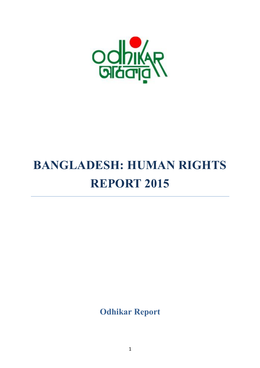

# **BANGLADESH: HUMAN RIGHTS REPORT 2015**

**Odhikar Report**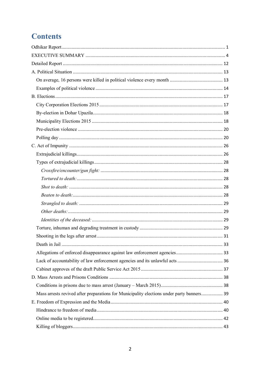# **Contents**

| Mass arrests revived after preparations for Municipality elections under party banners 39 |  |
|-------------------------------------------------------------------------------------------|--|
|                                                                                           |  |
|                                                                                           |  |
|                                                                                           |  |
|                                                                                           |  |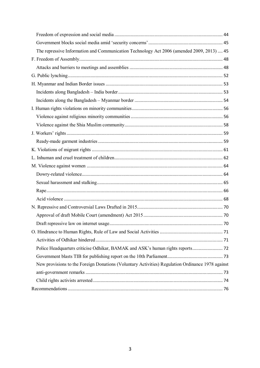| The repressive Information and Communication Technology Act 2006 (amended 2009, 2013)  45        |  |
|--------------------------------------------------------------------------------------------------|--|
|                                                                                                  |  |
|                                                                                                  |  |
|                                                                                                  |  |
|                                                                                                  |  |
|                                                                                                  |  |
|                                                                                                  |  |
|                                                                                                  |  |
|                                                                                                  |  |
|                                                                                                  |  |
|                                                                                                  |  |
|                                                                                                  |  |
|                                                                                                  |  |
|                                                                                                  |  |
|                                                                                                  |  |
|                                                                                                  |  |
|                                                                                                  |  |
|                                                                                                  |  |
|                                                                                                  |  |
|                                                                                                  |  |
|                                                                                                  |  |
|                                                                                                  |  |
|                                                                                                  |  |
|                                                                                                  |  |
|                                                                                                  |  |
|                                                                                                  |  |
| New provisions to the Foreign Donations (Voluntary Activities) Regulation Ordinance 1978 against |  |
|                                                                                                  |  |
|                                                                                                  |  |
|                                                                                                  |  |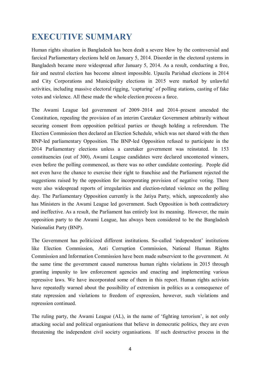# **EXECUTIVE SUMMARY**

Human rights situation in Bangladesh has been dealt a severe blow by the controversial and farcical Parliamentary elections held on January 5, 2014. Disorder in the electoral systems in Bangladesh became more widespread after January 5, 2014. As a result, conducting a free, fair and neutral election has become almost impossible. Upazila Parishad elections in 2014 and City Corporations and Municipality elections in 2015 were marked by unlawful activities, including massive electoral rigging, 'capturing' of polling stations, casting of fake votes and violence. All these made the whole election process a farce.

The Awami League led government of 2009–2014 and 2014–present amended the Constitution, repealing the provision of an interim Caretaker Government arbitrarily without securing consent from opposition political parties or though holding a referendum. The Election Commission then declared an Election Schedule, which was not shared with the then BNP-led parliamentary Opposition. The BNP-led Opposition refused to participate in the 2014 Parliamentary elections unless a caretaker government was reinstated. In 153 constituencies (out of 300), Awami League candidates were declared uncontested winners, even before the polling commenced, as there was no other candidate contesting. People did not even have the chance to exercise their right to franchise and the Parliament rejected the suggestions raised by the opposition for incorporating provision of negative voting. There were also widespread reports of irregularities and election-related violence on the polling day. The Parliamentary Opposition currently is the Jatiya Party, which, unprecedently also has Ministers in the Awami League led government. Such Opposition is both contradictory and ineffective. As a result, the Parliament has entirely lost its meaning. However, the main opposition party to the Awami League, has always been considered to be the Bangladesh Nationalist Party (BNP).

The Government has politicized different institutions. So-called 'independent' institutions like Election Commission, Anti Corruption Commission, National Human Rights Commission and Information Commission have been made subservient to the government. At the same time the government caused numerous human rights violations in 2015 through granting impunity to law enforcement agencies and enacting and implementing various repressive laws. We have incorporated some of them in this report. Human rights activists have repeatedly warned about the possibility of extremism in politics as a consequence of state repression and violations to freedom of expression, however, such violations and repression continued.

The ruling party, the Awami League (AL), in the name of 'fighting terrorism', is not only attacking social and political organisations that believe in democratic politics, they are even threatening the independent civil society organisations. If such destructive process in the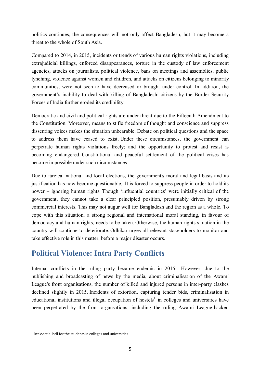politics continues, the consequences will not only affect Bangladesh, but it may become a threat to the whole of South Asia.

Compared to 2014, in 2015, incidents or trends of various human rights violations, including extrajudicial killings, enforced disappearances, torture in the custody of law enforcement agencies, attacks on journalists, political violence, bans on meetings and assemblies, public lynching, violence against women and children, and attacks on citizens belonging to minority communities, were not seen to have decreased or brought under control. In addition, the government's inability to deal with killing of Bangladeshi citizens by the Border Security Forces of India further eroded its credibility.

Democratic and civil and political rights are under threat due to the Fifteenth Amendment to the Constitution. Moreover, means to stifle freedom of thought and conscience and suppress dissenting voices makes the situation unbearable. Debate on political questions and the space to address them have ceased to exist. Under these circumstances, the government can perpetrate human rights violations freely; and the opportunity to protest and resist is becoming endangered. Constitutional and peaceful settlement of the political crises has become impossible under such circumstances.

Due to farcical national and local elections, the government's moral and legal basis and its justification has now become questionable. It is forced to suppress people in order to hold its power – ignoring human rights. Though 'influential countries' were initially critical of the government, they cannot take a clear principled position, presumably driven by strong commercial interests. This may not augur well for Bangladesh and the region as a whole. To cope with this situation, a strong regional and international moral standing, in favour of democracy and human rights, needs to be taken. Otherwise, the human rights situation in the country will continue to deteriorate. Odhikar urges all relevant stakeholders to monitor and take effective role in this matter, before a major disaster occurs.

# **Political Violence: Intra Party Conflicts**

Internal conflicts in the ruling party became endemic in 2015. However, due to the publishing and broadcasting of news by the media, about criminalisation of the Awami League's front organisations, the number of killed and injured persons in inter-party clashes declined slightly in 2015. Incidents of extortion, capturing tender bids, criminalisation in educational institutions and illegal occupation of hostels<sup>1</sup> in colleges and universities have been perpetrated by the front organsations, including the ruling Awami League-backed

**<sup>1</sup>**<br><sup>1</sup> Residential hall for the students in colleges and universities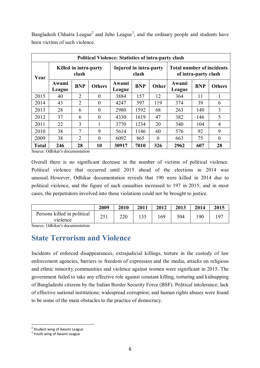Bangladesh Chhatra League<sup>2</sup> and Jubo League<sup>3</sup>; and the ordinary people and students have been victims of such violence.

| <b>Political Violence: Statistics of intra-party clash</b> |                            |                                |                |                        |            |          |                                                          |            |                |  |
|------------------------------------------------------------|----------------------------|--------------------------------|----------------|------------------------|------------|----------|----------------------------------------------------------|------------|----------------|--|
| Year                                                       |                            | Killed in intra-party<br>clash |                | Injured in intra-party | clash      |          | <b>Total number of incidents</b><br>of intra-party clash |            |                |  |
|                                                            | Awami<br>League            | <b>BNP</b>                     | <b>Others</b>  | Awami<br>League        | <b>BNP</b> | Other    | Awami<br>League                                          | <b>BNP</b> | <b>Others</b>  |  |
| 2015                                                       | 40                         | 2                              | 0              | 3884                   | 157        | 12       | 364                                                      | 11         |                |  |
| 2014                                                       | 43                         | $\overline{2}$                 | $\theta$       | 4247                   | 397        | 119      | 374                                                      | 39         | 6              |  |
| 2013                                                       | 28                         | 6                              | $\theta$       | 2980                   | 1592       | 68       | 263                                                      | 140        | 3              |  |
| 2012                                                       | 37                         | 6                              | $\overline{0}$ | 4330                   | 1619       | 47       | 382                                                      | 146        | 5              |  |
| 2011                                                       | 22                         | 3                              |                | 3770                   | 1234       | 20       | 340                                                      | 104        | $\overline{4}$ |  |
| 2010                                                       | 38                         | 7                              | 9              | 5614                   | 1146       | 60       | 576                                                      | 92         | 9              |  |
| 2009                                                       | 38                         | $\overline{2}$                 | $\theta$       | 6092                   | 865        | $\theta$ | 663                                                      | 75         | $\theta$       |  |
| <b>Total</b>                                               | 246<br>$\sim$ 11 $\cdot$ 1 | 28                             | 10             | 30917                  | 7010       | 326      | 2962                                                     | 607        | 28             |  |

Source: Odhikar's documentation

Overall there is no significant decrease in the number of victims of political violence. Political violence that occurred until 2015 ahead of the elections in 2014 was unusual. However, Odhikar documentation reveals that 190 were killed in 2014 due to political violence, and the figure of such casualties increased to 197 in 2015; and in most cases, the perpetrators involved into these violations could not be brought to justice.

|                                         | 2009        | 2010 | 2011 | 2012 | 2013 | 2014 | 2015 |
|-----------------------------------------|-------------|------|------|------|------|------|------|
| Persons killed in political<br>violence | 251<br>29 I | 220  |      | .69  | 504  | .90  | 07   |

Source: Odhikar's documentation

## **State Terrorism and Violence**

Incidents of enforced disappearances, extrajudicial killings, torture in the custody of law enforcement agencies, barriers to freedom of expression and the media, attacks on religious and ethnic minority communities and violence against women were significant in 2015. The government failed to take any effective role against constant killing, torturing and kidnapping of Bangladeshi citizens by the Indian Border Security Force (BSF). Political intolerance; lack of effective national institutions; widespread corruption; and human rights abuses were found to be some of the main obstacles to the practice of democracy.

 $\overline{a}$ <sup>2</sup> Student wing of Awami League

<sup>&</sup>lt;sup>3</sup> Youth wing of Awami League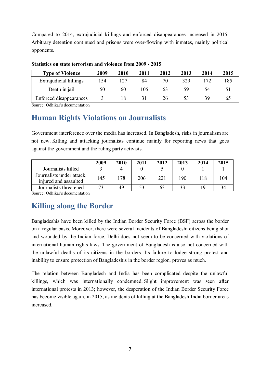Compared to 2014, extrajudicial killings and enforced disappearances increased in 2015. Arbitrary detention continued and prisons were over-flowing with inmates, mainly political opponents.

| <b>Type of Violence</b>        | 2009 | 2010 | 2011 | 2012 | 2013 | 2014 | 2015 |
|--------------------------------|------|------|------|------|------|------|------|
| Extrajudicial killings         | 154  | 127  | 84   | 70   | 329  | 172  | 185  |
| Death in jail                  | 50   | 60   | 105  | 63   | 59   | 54   |      |
| <b>Enforced disappearances</b> |      |      |      | 26   | 53   | 39   |      |

#### **Statistics on state terrorism and violence from 2009 - 2015**

Source: Odhikar's documentation

# **Human Rights Violations on Journalists**

Government interference over the media has increased. In Bangladesh, risks in journalism are not new. Killing and attacking journalists continue mainly for reporting news that goes against the government and the ruling party activists.

|                                                    | 2009 | 2010 | 2011 | 2012 | 2013 | 2014 | 2015 |
|----------------------------------------------------|------|------|------|------|------|------|------|
| Journalists killed                                 |      |      |      |      |      |      |      |
| Journalists under attack,<br>injured and assaulted | 145  | 178  | 206  | 221  | 190  | 118  | 104  |
| Journalists threatened                             |      | 49   |      | 63   | 33   | 19   |      |

Source: Odhikar's documentation

# **Killing along the Border**

Bangladeshis have been killed by the Indian Border Security Force (BSF) across the border on a regular basis. Moreover, there were several incidents of Bangladeshi citizens being shot and wounded by the Indian force. Delhi does not seem to be concerned with violations of international human rights laws. The government of Bangladesh is also not concerned with the unlawful deaths of its citizens in the borders. Its failure to lodge strong protest and inability to ensure protection of Bangladeshis in the border region, proves as much.

The relation between Bangladesh and India has been complicated despite the unlawful killings, which was internationally condemned. Slight improvement was seen after international protests in 2013; however, the desperation of the Indian Border Security Force has become visible again, in 2015, as incidents of killing at the Bangladesh-India border areas increased.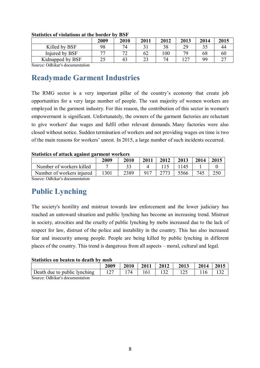|                  | 2009 | 2010              | 2011 | 2012 | 2013 | 2014 | 2015 |
|------------------|------|-------------------|------|------|------|------|------|
| Killed by BSF    | 98   | 74                |      | 38   | 29   | 35   |      |
| Injured by BSF   | 77   | $\mathbf{z}$<br>∼ | 62   | 100  | 70   | 68   | 60   |
| Kidnapped by BSF | 25   | 43                | 23   | 74   | ר ו  | 99   |      |
| _______<br>--    |      |                   |      |      |      |      |      |

#### **Statistics of violations at the border by BSF**

Source: Odhikar's documentation

# **Readymade Garment Industries**

The RMG sector is a very important pillar of the country's economy that create job opportunities for a very large number of people. The vast majority of women workers are employed in the garment industry. For this reason, the contribution of this sector in women's empowerment is significant. Unfortunately, the owners of the garment factories are reluctant to give workers' due wages and fulfil other relevant demands. Many factories were also closed without notice. Sudden termination of workers and not providing wages on time is two of the main reasons for workers' unrest. In 2015, a large number of such incidents occurred.

#### **Statistics of attack against garment workers**

|                           | 2009 | 2010 | 2011 | 2012 | 2013 | 2014 | 2015 |
|---------------------------|------|------|------|------|------|------|------|
| Number of workers killed  |      |      |      |      |      |      |      |
| Number of workers injured | 1301 | 2389 | 017  |      | 5566 | 745  |      |

Source: Odhikar's documentation

# **Public Lynching**

The society's hostility and mistrust towards law enforcement and the lower judiciary has reached an untoward situation and public lynching has become an increasing trend. Mistrust in society, atrocities and the cruelty of public lynching by mobs increased due to the lack of respect for law, distrust of the police and instability in the country. This has also increased fear and insecurity among people. People are being killed by public lynching in different places of the country. This trend is dangerous from all aspects – moral, cultural and legal.

#### **Statistics on beaten to death by mob**

|                              | 2009 | 2010 | 2011 | 2012 | 2013 | 2014 | 2015 |
|------------------------------|------|------|------|------|------|------|------|
| Death due to public lynching |      |      | 161  |      |      |      |      |
| Course Odhibar commontation  |      |      |      |      |      |      |      |

Source: Odhikar's documentation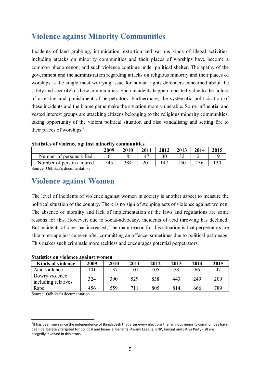# **Violence against Minority Communities**

Incidents of land grabbing, intimidation, extortion and various kinds of illegal activities, including attacks on minority communities and their places of worships have become a common phenomenon; and such violence continue under political shelter. The apathy of the government and the administration regarding attacks on religious minority and their places of worships is the single most worrying issue for human rights defenders concerned about the safety and security of these communities. Such incidents happen repeatedly due to the failure of arresting and punishment of perpetrators. Furthermore, the systematic politicisation of these incidents and the blame game make the situation more vulnerable. Some influential and vested interest groups are attacking citizens belonging to the religious minority communities, taking opportunity of the violent political situation and also vandalising and setting fire to their places of worships. 4

| <u>ouwousto of Trolenee Memmor Ministry</u> |      |      |      |      |      |      |      |  |  |
|---------------------------------------------|------|------|------|------|------|------|------|--|--|
|                                             | 2009 | 2010 | 2011 | 2012 | 2013 | 2014 | 2015 |  |  |
| Number of persons killed                    |      |      |      |      |      |      |      |  |  |
| Number of persons injured                   | 545  | 384  | 201  |      |      |      |      |  |  |
| $\sim$ 11 $\,$ 1 $\,$ 1<br>$\sim$           |      |      |      |      |      |      |      |  |  |

#### **Statistics of violence against minority communities**

Source: Odhikar's documentation

# **Violence against Women**

The level of incidents of violence against women in society is another aspect to measure the political situation of the country. There is no sign of stopping acts of violence against women. The absence of morality and lack of implementation of the laws and regulations are some reasons for this. However, due to social-advocacy, incidents of acid throwing has declined. But incidents of rape has increased; The main reason for this situation is that perpetrators are able to escape justice even after committing an offence, sometimes due to political patronage. This makes such criminals more reckless and encourages potential perpetrators.

| Diumonts on violence alumne women     |      |      |      |      |      |      |      |  |  |
|---------------------------------------|------|------|------|------|------|------|------|--|--|
| <b>Kinds of violence</b>              | 2009 | 2010 | 2011 | 2012 | 2013 | 2014 | 2015 |  |  |
| Acid violence                         | 101  | 137  | 101  | 105  | 53   | 66   |      |  |  |
| Dowry violence<br>including relatives | 324  | 390  | 529  | 838  | 443  | 249  | 209  |  |  |
| Rape                                  | 456  | 559  | 711  | 805  | 814  | 666  | 789  |  |  |

#### **Statistics on violence against women**

Source: Odhikar's documentation

 $\overline{\phantom{a}}$ 

 $^4$ It has been seen since the independence of Bangladesh that after every elections the religious minority communities have been deliberately targeted for political and financial benefits. Awami League, BNP, Jamaat and Jatiya Party - all are allegedly involved in this attack.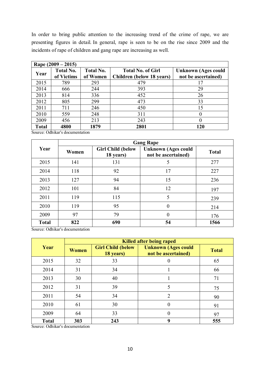In order to bring public attention to the increasing trend of the crime of rape, we are presenting figures in detail. In general, rape is seen to be on the rise since 2009 and the incidents of rape of children and gang rape are increasing as well.

|       | Rape $(2009 - 2015)$ |                  |                                  |                            |
|-------|----------------------|------------------|----------------------------------|----------------------------|
| Year  | <b>Total No.</b>     | <b>Total No.</b> | <b>Total No. of Girl</b>         | <b>Unknown (Ages could</b> |
|       | of Victims           | of Women         | <b>Children</b> (below 18 years) | not be ascertained)        |
| 2015  | 789                  | 293              | 479                              | 17                         |
| 2014  | 666                  | 244              | 393                              | 29                         |
| 2013  | 814                  | 336              | 452                              | 26                         |
| 2012  | 805                  | 299              | 473                              | 33                         |
| 2011  | 711                  | 246              | 450                              | 15                         |
| 2010  | 559                  | 248              | 311                              | $\theta$                   |
| 2009  | 456                  | 213              | 243                              | 0                          |
| Total | 4800                 | 1879             | 2801                             | 120                        |

Source: Odhikar's documentation

| Year         | <b>Gang Rape</b> |                                       |                                                   |              |  |  |
|--------------|------------------|---------------------------------------|---------------------------------------------------|--------------|--|--|
|              | Women            | <b>Girl Child (below</b><br>18 years) | <b>Unknown (Ages could</b><br>not be ascertained) | <b>Total</b> |  |  |
| 2015         | 141              | 131                                   | 5                                                 | 277          |  |  |
| 2014         | 118              | 92                                    | 17                                                | 227          |  |  |
| 2013         | 127              | 94                                    | 15                                                | 236          |  |  |
| 2012         | 101              | 84                                    | 12                                                | 197          |  |  |
| 2011         | 119              | 115                                   | 5                                                 | 239          |  |  |
| 2010         | 119              | 95                                    | $\overline{0}$                                    | 214          |  |  |
| 2009         | 97               | 79                                    | $\overline{0}$                                    | 176          |  |  |
| <b>Total</b> | 822              | 690                                   | 54                                                | 1566         |  |  |

Source: Odhikar's documentation

|              | <b>Killed after being raped</b> |                                       |                                                   |              |  |
|--------------|---------------------------------|---------------------------------------|---------------------------------------------------|--------------|--|
| Year         | <b>Women</b>                    | <b>Girl Child (below</b><br>18 years) | <b>Unknown (Ages could</b><br>not be ascertained) | <b>Total</b> |  |
| 2015         | 32                              | 33                                    | $\Omega$                                          | 65           |  |
| 2014         | 31                              | 34                                    |                                                   | 66           |  |
| 2013         | 30                              | 40                                    |                                                   | 71           |  |
| 2012         | 31                              | 39                                    | 5                                                 | 75           |  |
| 2011         | 54                              | 34                                    | $\overline{2}$                                    | 90           |  |
| 2010         | 61                              | 30                                    | $\theta$                                          | 91           |  |
| 2009         | 64                              | 33                                    | $\theta$                                          | 97           |  |
| <b>Total</b> | 303                             | 243                                   | 9                                                 | 555          |  |

Source: Odhikar's documentation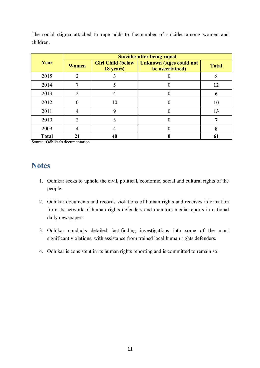The social stigma attached to rape adds to the number of suicides among women and children.

| Year         | <b>Suicides after being raped</b> |                                        |                                                   |              |  |
|--------------|-----------------------------------|----------------------------------------|---------------------------------------------------|--------------|--|
|              | <b>Women</b>                      | <b>Girl Child (below)</b><br>18 years) | <b>Unknown (Ages could not</b><br>be ascertained) | <b>Total</b> |  |
| 2015         | 2                                 |                                        |                                                   |              |  |
| 2014         |                                   |                                        |                                                   | 12           |  |
| 2013         | 2                                 |                                        |                                                   |              |  |
| 2012         |                                   | 10                                     |                                                   | 10           |  |
| 2011         |                                   | q                                      |                                                   | 13           |  |
| 2010         | $\mathfrak{D}$                    |                                        |                                                   |              |  |
| 2009         |                                   |                                        |                                                   |              |  |
| <b>Total</b> | 21                                | 40                                     |                                                   | 6            |  |

Source: Odhikar's documentation

# **Notes**

- 1. Odhikar seeks to uphold the civil, political, economic, social and cultural rights of the people.
- 2. Odhikar documents and records violations of human rights and receives information from its network of human rights defenders and monitors media reports in national daily newspapers.
- 3. Odhikar conducts detailed fact-finding investigations into some of the most significant violations, with assistance from trained local human rights defenders.
- 4. Odhikar is consistent in its human rights reporting and is committed to remain so.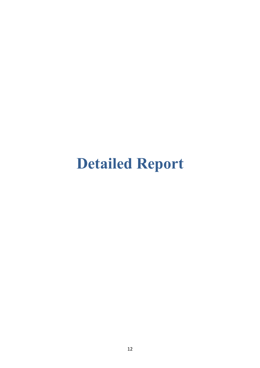# **Detailed Report**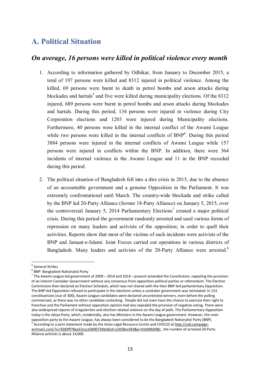# **A. Political Situation**

## *On average, 16 persons were killed in political violence every month*

- 1. According to information gathered by Odhikar, from January to December 2015, a total of 197 persons were killed and 8312 injured in political violence. Among the killed, 69 persons were burnt to death in petrol bombs and arson attacks during blockades and hartals<sup>5</sup> and five were killed during municipality elections. Of the  $8312$ injured, 689 persons were burnt in petrol bombs and arson attacks during blockades and hartals. During this period, 134 persons were injured in violence during City Corporation elections and 1203 were injured during Municipality elections. Furthermore, 40 persons were killed in the internal conflict of the Awami League while two persons were killed in the internal conflicts of BNP<sup>6</sup>. During this period 3884 persons were injured in the internal conflicts of Awami League while 157 persons were injured in conflicts within the BNP. In addition, there were 364 incidents of internal violence in the Awami League and 11 in the BNP recorded during this period.
- 2. The political situation of Bangladesh fell into a dire crisis in 2015, due to the absence of an accountable government and a genuine Opposition in the Parliament. It was extremely confrontational until March. The country-wide blockade and strike called by the BNP led 20-Party Alliance (former 18-Party Alliance) on January 5, 2015, over the controversial January 5, 2014 Parliamentary Elections<sup>7</sup> created a major political crisis. During this period the government randomly arrested and used various forms of repression on many leaders and activists of the opposition; in order to quell their activities. Reports show that most of the victims of such incidents were activists of the BNP and Jamaat-e-Islami. Joint Forces carried out operations in various districts of Bangladesh. Many leaders and activists of the 20-Party Alliance were arrested.<sup>8</sup>

<sup>&</sup>lt;sup>5</sup> General Strikes

<sup>6</sup> BNP: Bangladesh Nationalist Party

<sup>&</sup>lt;sup>7</sup> The Awami League led government of 2009 – 2014 and 2014 – present amended the Constitution, repealing the provision of an interim Caretaker Government without any consensus from opposition political parties or referendum. The Election Commission then declared an Election Schedule, which was not shared with the then BNP-led parliamentary Opposition. The BNP-led Opposition refused to participate in the elections unless a caretaker government was reinstated. In 153 constituencies (out of 300), Awami League candidates were declared uncontested winners, even before the polling commenced, as there was no other candidate contesting. People did not even have the chance to exercise their right to franchise and the Parliament without opposition opinion had also repealed the provision of negative voting. There were also widespread reports of irregularities and election-related violence on the day of polls. The Parliamentary Opposition today is the Jatiya Party, which, incidentally, also has Ministers in the Awami League government. However, the main opposition party to the Awami League, has always been considered to be the Bangladesh Nationalist Party (BNP). <sup>8</sup> According to a joint statement made by the Asian Legal Resource Centre and CIVICUS at http://us6.campaign-

archive1.com/?u=9283ff78aa53cccd2800739dc&id=12458ec493&e=41b94b008c , the number of arrested 20-Party Alliance activists is about 14,000.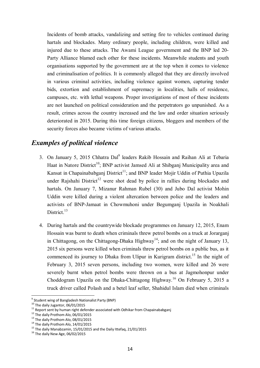Incidents of bomb attacks, vandalizing and setting fire to vehicles continued during hartals and blockades. Many ordinary people, including children, were killed and injured due to these attacks. The Awami League government and the BNP led 20- Party Alliance blamed each other for these incidents. Meanwhile students and youth organisations supported by the government are at the top when it comes to violence and criminalisation of politics. It is commonly alleged that they are directly involved in various criminal activities, including violence against women, capturing tender bids, extortion and establishment of supremacy in localities, halls of residence, campuses, etc. with lethal weapons. Proper investigations of most of these incidents are not launched on political consideration and the perpetrators go unpunished. As a result, crimes across the country increased and the law and order situation seriously deteriorated in 2015. During this time foreign citizens, bloggers and members of the security forces also became victims of various attacks.

## *Examples of political violence*

- 3. On January 5, 2015 Chhatra Dal<sup>9</sup> leaders Rakib Hossain and Raihan Ali at Tebaria Haat in Natore District<sup>10</sup>; BNP activist Jamsed Ali at Shibgani Municipality area and Kansat in Chapainababganj District<sup>11</sup>; and BNP leader Mojir Uddin of Puthia Upazila under Raishahi District<sup>12</sup> were shot dead by police in rallies during blockades and hartals. On January 7, Mizanur Rahman Rubel (30) and Jubo Dal activist Mohin Uddin were killed during a violent altercation between police and the leaders and activists of BNP-Jamaat in Chowmuhoni under Begumganj Upazila in Noakhali District.<sup>13</sup>
- 4. During hartals and the countrywide blockade programmes on January 12, 2015, Enam Hossain was burnt to death when criminals threw petrol bombs on a truck at Jorarganj in Chittagong, on the Chittagong-Dhaka Highway<sup>14</sup>; and on the night of January 13, 2015 six persons were killed when criminals threw petrol bombs on a public bus, as it commenced its journey to Dhaka from Ulipur in Kurigram district.<sup>15</sup> In the night of February 3, 2015 seven persons, including two women, were killed and 26 were severely burnt when petrol bombs were thrown on a bus at Jagmohonpur under Choddogram Upazila on the Dhaka-Chittagong Highway.<sup>16</sup> On February 5, 2015 a truck driver called Polash and a betel leaf seller, Shahidul Islam died when criminals

<sup>&</sup>lt;sup>9</sup> Student wing of Bangladesh Nationalist Party (BNP)

 $10$  The daily Jugantor, 06/01/2015

<sup>&</sup>lt;sup>11</sup> Report sent by human right defender associated with Odhikar from Chapainababganj

<sup>&</sup>lt;sup>12</sup> The daily Prothom Alo, 06/01/2015

<sup>&</sup>lt;sup>13</sup> The daily Prothom Alo, 08/01/2015

 $14$  The daily Prothom Alo, 14/01/2015

<sup>&</sup>lt;sup>15</sup> The daily Manabzamin, 15/01/2015 and the Daily Ittefaq, 21/01/2015

 $16$  The daily New Age, 06/02/2015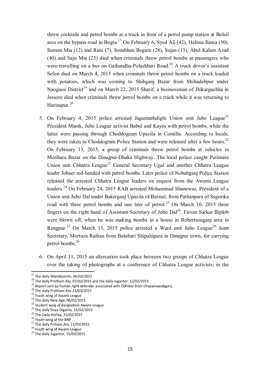threw cocktails and petrol bombs at a truck in front of a petrol pump station at Bolail area on the bypass road in Bogra.<sup>17</sup> On February 6, Syed Ali (42), Halima Bawa (50), Sumon Mia (12) and Rani (7), Sonabhan Begum (28), Sujan (13), Abul Kalam Azad (40) and Saju Mia (25) died when criminals threw petrol bombs at passengers who were travelling on a bus on Gaibandha-Polashbari Road.<sup>18</sup> A truck driver's assistant Selim died on March 4, 2015 when criminals threw petrol bombs on a truck loaded with potatoes, which was coming to Shibganj Bazar from Mohadebpur under Naogaon District<sup>19</sup> and on March 22, 2015 Sharif, a businessman of Jhikargachha in Jessore died when criminals threw petrol bombs on a truck while it was returning to Harinapur. $20$ 

- 5. On February 4, 2015 police arrested Jagannathdighi Union unit Jubo League<sup>21</sup> President Manik, Jubo League activist Babul and Kayes with petrol bombs, while the latter were passing through Choddogram Upazila in Comilla. According to locals, they were taken to Choddogram Police Station and were released after a few hours.<sup>22</sup> On February 13, 2015, a group of criminals threw petrol bombs at vehicles in Motihara Bazar on the Dinajpur-Dhaka Highway. The local police caught Putimara Union unit Chhatra League<sup>23</sup> General Secretary Ujial and another Chhatra League leader Jobaer red-handed with petrol bombs. Later police of Nobabganj Police Station released the arrested Chhatra League leaders on request from the Awami League leaders.<sup>24</sup> On February 24, 2015 RAB arrested Mohammad Shanewaz, President of a Union unit Jubo Dal under Bakerganj Upazila of Barisal, from Pathanpara of Sagorika road with three petrol bombs and one liter of petrol.<sup>25</sup> On March 10, 2015 three fingers on the right hand of Assistant Secretary of Jubo Dal<sup>26</sup>, Firoze Sarkar Biplob were blown off, when he was making bombs in a house in Robertsonganj area in Rangpur.<sup>27</sup> On March 13, 2015 police arrested a Ward unit Jubo League<sup>28</sup> Joint Secretary, Mortuza Raihan from Balubari Shipahipara in Dinajpur town, for carrying petrol bombs. 29
- 6. On April 11, 2015 an altercation took place between two groups of Chhatra League over the taking of photographs at a conference of Chhatra League activists; in the

 $17$  The daily Manabzamin, 06/02/2015

<sup>&</sup>lt;sup>18</sup> The daily Prothom Alo, 07/02/2015 and the daily Jugantor, 12/02/2015

<sup>&</sup>lt;sup>19</sup> Report sent by human right defender associated with Odhikar from Chapainawabganj.

<sup>&</sup>lt;sup>20</sup> The daily Prothom Alo, 23/03/2015

<sup>&</sup>lt;sup>21</sup> Youth wing of Awami League

 $22$  The daily New Age, 06/02/2015

<sup>&</sup>lt;sup>23</sup> Student wing of Bangladesh Awami League

<sup>&</sup>lt;sup>24</sup> The daily Naya Diganta, 15/02/2015

<sup>&</sup>lt;sup>25</sup> The Daily Ittefaq, 25/02/2015

 $^{26}$  Youth wing of the BNP

 $27$  The daily Prthom Alo, 11/03/2015

<sup>&</sup>lt;sup>28</sup> Youth wing of Awami League

<sup>&</sup>lt;sup>29</sup> The daily Jugantor, 15/03/2015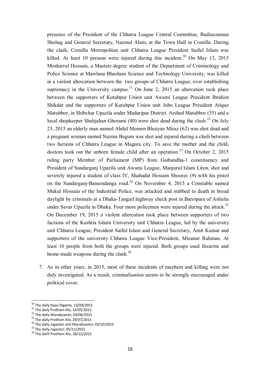presence of the President of the Chhatra League Central Committee, Badiuzzaman Shohag and General Secretary, Nazmul Alam, at the Town Hall in Comilla. During the clash, Comilla Metropolitan unit Chhatra League President Saiful Islam was killed. At least 10 persons were injured during this incident.<sup>30</sup> On May 13, 2015 Mosharraf Hossain, a Masters degree student of the Department of Criminology and Police Science at Mawlana Bhashani Science and Technology University, was killed in a violent altercation between the two groups of Chhatra League; over establishing supremacy in the University campus.<sup>31</sup> On June 2, 2015 an altercation took place between the supporters of Kutubpur Union unit Awami League President Ibrahim Shikdar and the supporters of Kutubpur Union unit Jubo League President Atique Matubbor, in Shibchar Upazila under Madaripur District. Arshed Matubbor (35) and a local shopkeeper Shahjahan Ghorami (40) were shot dead during the clash.<sup>32</sup> On July 23, 2015 an elderly man named Abdul Momen Bhuiyan Miraz (62) was shot dead and a pregnant woman named Nazma Begum was shot and injured during a clash between two factions of Chhatra League in Magura city. To save the mother and the child, doctors took out the unborn female child after an operation.<sup>33</sup> On October 2, 2015 ruling party Member of Parliament (MP) from Gaibandha-1 constituency and President of Sundarganj Upazila unit Awami League, Manjurul Islam Liton, shot and severely injured a student of class IV, Shahadat Hossain Shourav (9) with his pistol on the Sundarganj-Bamondanga road.<sup>34</sup> On November 4, 2015 a Constable named Mukul Hossain of the Industrial Police, was attacked and stabbed to death in broad daylight by criminals at a Dhaka-Tangail highway check post in Baroipara of Ashulia under Savar Upazila in Dhaka. Four more policemen were injured during the attack.<sup>35</sup> On December 19, 2015 a violent altercation took place between supporters of two factions of the Kushtia Islami University unit Chhatra League, led by the university unit Chhatra League, President Saiful Islam and General Secretary, Amit Kumar and supporters of the university Chhatra League Vice-President, Mizanur Rahman. At least 10 people from both the groups were injured. Both groups used firearms and home-made weapons during the clash.<sup>36</sup>

7. As in other years, in 2015, most of these incidents of mayhem and killing were not duly investigated. As a result, criminalisation seems to be strongly encouraged under political cover.

<sup>&</sup>lt;sup>30</sup> The daily Naya Diganta, 13/04/2015

 $31$  The daily Prothom Alo,  $14/05/2015$ .

<sup>&</sup>lt;sup>32</sup> The daily Manabzamin, 04/06/2015

<sup>&</sup>lt;sup>33</sup> The daily Prothom Alo, 29/07/2015

<sup>&</sup>lt;sup>34</sup> The daily Jugantor and Manabzamin, 03/10/2015

 $35$  The daily Jugantor, 05/11/2015

<sup>&</sup>lt;sup>36</sup> The dailY Prothom Alo, 20/12/2015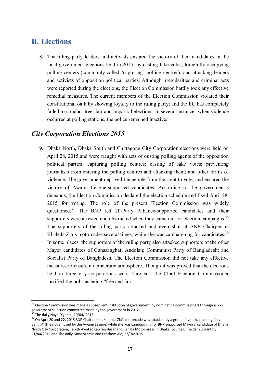# **B. Elections**

8. The ruling party leaders and activists ensured the victory of their candidates in the local government elections held in 2015, by casting fake votes, forcefully occupying polling centers (commonly called 'capturing' polling centres), and attacking leaders and activists of opposition political parties. Although irregularities and criminal acts were reported during the elections, the Election Commission hardly took any effective remedial measures. The current members of the Election Commission violated their constitutional oath by showing loyalty to the ruling party; and the EC has completely failed to conduct free, fair and impartial elections. In several instances when violence occurred at polling stations, the police remained inactive.

## *City Corporation Elections 2015*

9. Dhaka North, Dhaka South and Chittagong City Corporation elections were held on April 28, 2015 and were fraught with acts of ousting polling agents of the opposition political parties; capturing polling centres; casting of fake votes; preventing journalists from entering the polling centres and attacking them; and other forms of violence. The government deprived the people from the right to vote; and ensured the victory of Awami League-supported candidates. According to the government's demands, the Election Commission declared the election schedule and fixed April 28, 2015 for voting. The role of the present Election Commission was widely questioned.<sup>37</sup> The BNP led 20-Party Alliance-supported candidates and their supporters were arrested and obstructed when they came out for election campaigns.<sup>38</sup> The supporters of the ruling party attacked and even shot at BNP Chairperson Khaleda Zia's motorcades several times, while she was campaigning for candidates.<sup>39</sup> In some places, the supporters of the ruling party also attacked supporters of the other Mayor candidates of Ganasanghati Andolan; Communist Party of Bangladesh; and Socialist Party of Bangladesh. The Election Commission did not take any effective measures to ensure a democratic atmosphere. Though it was proved that the elections held in three city corporations were 'farcical', the Chief Election Commissioner justified the polls as being "free and fair".

 $\overline{a}$  $37$  Election Commission was made a subservient institution of government, by nominating commissioners through a progovernment selection committee made by the government in 2012.

The daily Naya Diganta, 20/04/ 2015

<sup>&</sup>lt;sup>39</sup> On April 20 and 22, 2015 BNP Chairperson Khaleda Zia's motorcade was attacked by a group of youth, chanting "Joy Bangla" (the slogan used by the Awami League) while she was campaigning for BNP supported Mayoral candidate of Dhaka North City Corporation, Tabith Awal at Kawran Bazar and Bangla Motor areas in Dhaka. Sources: The daily Jugantor, 21/04/2015 and The daily Manabzamin and Prothom Alo, 23/04/2015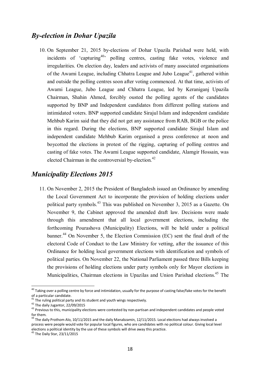## *By-election in Dohar Upazila*

10. On September 21, 2015 by-elections of Dohar Upazila Parishad were held, with incidents of 'capturing<sup>40</sup>' polling centres, casting fake votes, violence and irregularities. On election day, leaders and activists of many associated organisations of the Awami League, including Chhatra League and Jubo League<sup>41</sup>, gathered within and outside the polling centres soon after voting commenced. At that time, activists of Awami League, Jubo League and Chhatra League, led by Keraniganj Upazila Chairman, Shahin Ahmed, forcibly ousted the polling agents of the candidates supported by BNP and Independent candidates from different polling stations and intimidated voters. BNP supported candidate Sirajul Islam and independent candidate Mehbub Karim said that they did not get any assistance from RAB, BGB or the police in this regard. During the elections, BNP supported candidate Sirajul Islam and independent candidate Mehbub Karim organised a press conference at noon and boycotted the elections in protest of the rigging, capturing of polling centres and casting of fake votes. The Awami League supported candidate, Alamgir Hossain, was elected Chairman in the controversial by-election. 42

## *Municipality Elections 2015*

11. On November 2, 2015 the President of Bangladesh issued an Ordinance by amending the Local Government Act to incorporate the provision of holding elections under political party symbols.<sup>43</sup> This was published on November 3, 2015 as a Gazette. On November 9, the Cabinet approved the amended draft law. Decisions were made through this amendment that all local government elections, including the forthcoming Pourashova (Municipality) Elections, will be held under a political banner.<sup>44</sup> On November 5, the Election Commission (EC) sent the final draft of the electoral Code of Conduct to the Law Ministry for vetting, after the issuance of this Ordinance for holding local government elections with identification and symbols of political parties. On November 22, the National Parliament passed three Bills keeping the provisions of holding elections under party symbols only for Mayor elections in Municipalities, Chairman elections in Upazilas and Union Parishad elections.<sup>45</sup> The

 $\overline{a}$ <sup>40</sup> Taking over a polling centre by force and intimidation, usually for the purpose of casting false/fake votes for the benefit of a particular candidate.

 $41$  The ruling political party and its student and youth wings respectively.

<sup>42</sup> The daily Jugantor, 22/09/2015

<sup>&</sup>lt;sup>43</sup> Previous to this, municipality elections were contested by non-partisan and independent candidates and people voted for them.

<sup>&</sup>lt;sup>44</sup> The daily Prothom Alo, 10/11/2015 and the daily Manabzamin, 12/11/2015. Local elections had always involved a process were people would vote for popular local figures, who are candidates with no political colour. Giving local level elections a political identity by the use of these symbols will drive away this practice.

<sup>&</sup>lt;sup>45</sup> The Daily Star, 23/11/2015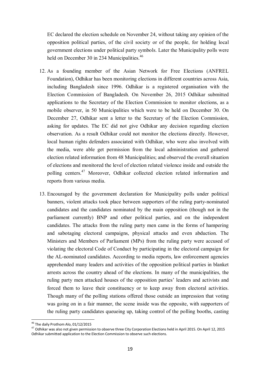EC declared the election schedule on November 24, without taking any opinion of the opposition political parties, of the civil society or of the people, for holding local government elections under political party symbols. Later the Municipality polls were held on December 30 in 234 Municipalities.<sup>46</sup>

- 12. As a founding member of the Asian Network for Free Elections (ANFREL Foundation), Odhikar has been monitoring elections in different countries across Asia, including Bangladesh since 1996. Odhikar is a registered organisation with the Election Commission of Bangladesh. On November 26, 2015 Odhikar submitted applications to the Secretary of the Election Commission to monitor elections, as a mobile observer, in 50 Municipalities which were to be held on December 30. On December 27, Odhikar sent a letter to the Secretary of the Election Commission, asking for updates. The EC did not give Odhikar any decision regarding election observation. As a result Odhikar could not monitor the elections directly. However, local human rights defenders associated with Odhikar, who were also involved with the media, were able get permission from the local administration and gathered election related information from 48 Municipalities; and observed the overall situation of elections and monitored the level of election related violence inside and outside the polling centers.<sup>47</sup> Moreover, Odhikar collected election related information and reports from various media.
- 13. Encouraged by the government declaration for Municipality polls under political banners, violent attacks took place between supporters of the ruling party-nominated candidates and the candidates nominated by the main opposition (though not in the parliament currently) BNP and other political parties, and on the independent candidates. The attacks from the ruling party men came in the forms of hampering and sabotaging electoral campaigns, physical attacks and even abduction. The Ministers and Members of Parliament (MPs) from the ruling party were accused of violating the electoral Code of Conduct by participating in the electoral campaign for the AL-nominated candidates. According to media reports, law enforcement agencies apprehended many leaders and activities of the opposition political parties in blanket arrests across the country ahead of the elections. In many of the municipalities, the ruling party men attacked houses of the opposition parties' leaders and activists and forced them to leave their constituency or to keep away from electoral activities. Though many of the polling stations offered those outside an impression that voting was going on in a fair manner, the scene inside was the opposite, with supporters of the ruling party candidates queueing up, taking control of the polling booths, casting

 $\overline{\phantom{a}}$ 

<sup>&</sup>lt;sup>46</sup> The daily Prothom Alo, 01/12/2015

<sup>47</sup> Odhikar was also not given permission to observe three City Corporation Elections held in April 2015. On April 12, 2015 Odhikar submitted application to the Election Commission to observe such elections.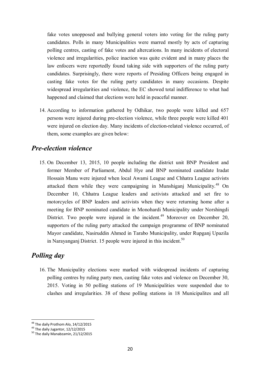fake votes unopposed and bullying general voters into voting for the ruling party candidates. Polls in many Municipalities were marred mostly by acts of capturing polling centres, casting of fake votes and altercations. In many incidents of electoral violence and irregularities, police inaction was quite evident and in many places the law enfocers were reportedly found taking side with supporters of the ruling party candidates. Surprisingly, there were reports of Presiding Officers being engaged in casting fake votes for the ruling party candidates in many occasions. Despite widespread irregularities and violence, the EC showed total indifference to what had happened and claimed that elections were held in peaceful manner.

14. According to information gathered by Odhikar, two people were killed and 657 persons were injured during pre-election violence, while three people were killed 401 were injured on election day. Many incidents of election-related violence occurred, of them, some examples are given below:

#### *Pre-election violence*

15. On December 13, 2015, 10 people including the district unit BNP President and former Member of Parliament, Abdul Hye and BNP nominated candidate Iradat Hossain Manu were injured when local Awami League and Chhatra League activists attacked them while they were campaigning in Munshiganj Municipality.<sup>48</sup> On December 10, Chhatra League leaders and activists attacked and set fire to motorcycles of BNP leaders and activists when they were returning home after a meeting for BNP nominated candidate in Monohardi Municipality under Norshingdi District. Two people were injured in the incident.<sup>49</sup> Moreover on December 20, supporters of the ruling party attacked the campaign programme of BNP nominated Mayor candidate, Nasiruddin Ahmed in Tarabo Municipality, under Rupganj Upazila in Narayanganj District. 15 people were injured in this incident.<sup>50</sup>

## *Polling day*

16. The Municipality elections were marked with widespread incidents of capturing polling centres by ruling party men, casting fake votes and violence on December 30, 2015. Voting in 50 polling stations of 19 Municipalities were suspended due to clashes and irregularities. 38 of these polling stations in 18 Municipalites and all

 $\overline{\phantom{a}}$ <sup>48</sup> The daily Prothom Alo, 14/12/2015

 $^{49}$  The daily Jugantor,  $12/12/2015$ 

<sup>&</sup>lt;sup>50</sup> The daily Manabzamin, 21/12/2015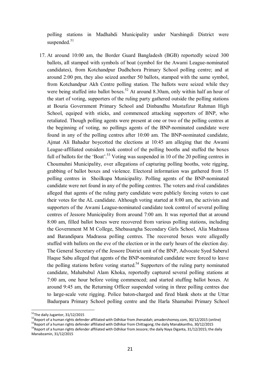polling stations in Madhabdi Municipality under Narshingdi District were suspended.<sup>51</sup>

17. At around 10:00 am, the Border Guard Bangladesh (BGB) reportedly seized 300 ballots, all stamped with symbols of boat (symbol for the Awami League-nominated candidates), from Kotchandpur Dudhchora Primary School polling centre; and at around 2:00 pm, they also seized another 50 ballots, stamped with the same symbol, from Kotchandpur Akh Centre polling station. The ballots were seized while they were being stuffed into ballot boxes.<sup>52</sup> At around 8.30am, only within half an hour of the start of voting, supporters of the ruling party gathered outside the polling stations at Bouria Government Primary School and Dinbandhu Mustafizur Rahman High School, equiped with sticks, and commenced attacking supporters of BNP, who retaliated. Though polling agents were present at one or two of the polling centres at the beginning of voting, no pollings agents of the BNP-nominated candidate were found in any of the polling centres after 10:00 am. The BNP-nominated candidate, Ajmat Ali Bahadur boycotted the elections at 10:45 am alleging that the Awami League-affiliated outsiders took control of the polling booths and stuffed the boxes full of ballots for the 'Boat'.<sup>53</sup> Voting was suspended in 10 of the 20 polling centres in Choumuhni Municipality, over allegations of capturing polling booths, vote rigging, grabbing of ballot boxes and violence. Electoral information was gathered from 15 polling centres in Shoilkupa Municipality. Polling agents of the BNP-nominated candidate were not found in any of the polling centres. The voters and rival candidates alleged that agents of the ruling party candidate were publicly forcing voters to cast their votes for the AL candidate. Although voting started at 8:00 am, the activists and supporters of the Awami League-nominated candidate took control of several polling centres of Jessore Municipality from around 7:00 am. It was reported that at around 8:00 am, filled ballot boxes were recovered from various polling stations, including the Government M M College, Shebasangha Secondary Girls School, Alia Madrassa and Barandipara Madrassa polling centres. The recovered boxes were allegedly stuffed with ballots on the eve of the election or in the early hours of the election day. The General Secretary of the Jessore District unit of the BNP, Advocate Syed Saberul Haque Sabu alleged that agents of the BNP-nominated candidate were forced to leave the polling stations before voting started.<sup>54</sup> Supporters of the ruling party nominated candidate, Mahabubul Alam Khoka, reportedly captured several polling stations at 7:00 am, one hour before voting commenced; and started stuffing ballot boxes. At around 9:45 am, the Returning Officer suspended voting in three polling centres due to large-scale vote rigging. Police baton-charged and fired blank shots at the Uttar Badurpara Primary School polling centre and the Harla Shamabai Primary School

 $\overline{\phantom{a}}$ 

<sup>&</sup>lt;sup>51</sup>The daily Jugantor, 31/12/2015

<sup>52</sup>Report of a human rights defender affiliated with Odhikar from Jhenaidah; amadershomoy.com, 30/12/2015 (online) <sup>53</sup>Report of a human rights defender affiliated with Odhikar from Chittagong; the daily Manabkantho, 30/12/2015

<sup>&</sup>lt;sup>54</sup>Report of a human rights defender affiliated with Odhikar from Jessore; the daily Naya Diganta, 31/12/2015; the daily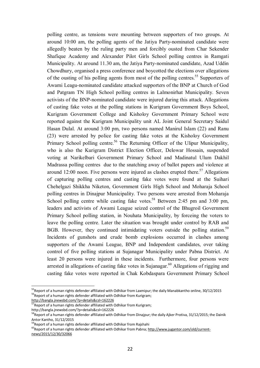polling centre, as tensions were mounting between supporters of two groups. At around 10:00 am, the polling agents of the Jatiya Party-nominated candidate were allegedly beaten by the ruling party men and forcibly ousted from Char Sekender Shafique Academy and Alexander Pilot Girls School polling centres in Ramgati Municipality. At around 11.30 am, the Jatiya Party-nominated candidate, Azad Uddin Chowdhury, organised a press conference and boycotted the elections over allegations of the ousting of his polling agents from most of the polling centres.<sup>55</sup> Supporters of Awami Leagu-nominated candidate attacked supporters of the BNP at Church of God and Patgram TN High School polling centres in Lalmonirhat Municipality. Seven activists of the BNP-nominated candidate were injured during this attack. Allegations of casting fake votes at the polling stations in Kurigram Government Boys School, Kurigram Government College and Kisholoy Government Primary School were reported against the Kurigram Municipality unit AL Joint General Secretary Saidul Hasan Dulal. At around 3:00 pm, two persons named Manirul Islam (22) and Ranu (23) were arrested by police for casting fake votes at the Kisholoy Government Primary School polling centre.<sup>56</sup> The Returning Officer of the Ulipur Municipality, who is also the Kurigram District Election Officer, Delowar Hossain, suspended voting at Narikelbari Government Primary School and Madinatul Ulum Dakhil Madrassa polling centres due to the snatching away of ballot papers and violence at around 12:00 noon. Five persons were injured as clashes erupted there.<sup>57</sup> Allegations of capturing polling centres and casting fake votes were found at the Suihari Chehelgazi Shikkha Niketon, Government Girls High School and Moharaja School polling centres in Dinajpur Municipality. Two persons were arrested from Moharaja School polling centre while casting fake votes.<sup>58</sup> Between 2:45 pm and 3:00 pm, leaders and activists of Awami League seized control of the Bhugroil Government Primary School polling station, in Nouhata Municipality, by forceing the voters to leave the polling centre. Later the situation was brought under control by RAB and BGB. However, they continued intimidating voters outside the polling station.<sup>59</sup> Incidents of gunshots and crude bomb explosions occurred in clashes among supporters of the Awami League, BNP and Independent candidates, over taking control of five polling stations at Sujanagar Municipality under Pabna District. At least 20 persons were injured in these incidents. Furthermore, four persons were arrested in allegations of casting fake votes in Sujanagar.<sup>60</sup> Allegations of rigging and casting fake votes were reported in Chak Kobdaspara Government Primary School

<sup>&</sup>lt;sup>55</sup>Report of a human rights defender affiliated with Odhikar from Laxmipur; the daily Manabkantho online, 30/12/2015 <sup>56</sup>Report of a human rights defender affiliated with Odhikar from Kurigram;

http://bangla.jnewsbd.com/?p=details&csl=162226

 $\overline{7}$ Report of a human rights defender affiliated with Odhikar from Kurigram;

http://bangla.jnewsbd.com/?p=details&csl=162226

 ${}^8$ Report of a human rights defender affiliated with Odhikar from Dinajpur; the daily Ajker Protiva, 31/12/2015; the Dainik Antor Kantho, 31/12/2015

<sup>&</sup>lt;sup>59</sup>Report of a human rights defender affiliated with Odhikar from Rajshahi

<sup>&</sup>lt;sup>60</sup>Report of a human rights defender affiliated with Odhikar from Pabna; http://www.jugantor.com/old/currentnews/2015/12/30/32066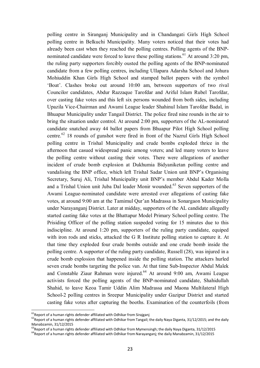polling centre in Siranganj Municipality and in Chandangati Girls High School polling centre in Belkuchi Municipality. Many voters noticed that their votes had already been cast when they reached the polling centres. Polling agents of the BNPnominated candidate were forced to leave these polling stations.<sup>61</sup> At around 3:20 pm, the ruling party supporters forcibly ousted the polling agents of the BNP-nominated candidate from a few polling centres, including Ullapara Adarsha School and Johura Mohiuddin Khan Girls High School and stamped ballot papers with the symbol 'Boat'. Clashes broke out around 10:00 am, between supporters of two rival Councilor candidates, Abdur Razzaque Tarofdar and Ariful Islam Rubel Tarofdar, over casting fake votes and this left six persons wounded from both sides, including Upazila Vice-Chairman and Awami League leader Shahinul Islam Tarofdar Badal, in Bhuapur Municipality under Tangail District. The police fired nine rounds in the air to bring the situation under control. At around 2:00 pm, supporters of the AL-nominated candidate snatched away 44 ballot papers from Bhuapur Pilot High School polling centre.<sup>62</sup> 18 rounds of gunshot were fired in front of the Nazrul Girls High School polling centre in Trishal Municipality and crude bombs exploded thrice in the afternoon that casued widespread panic among voters; and led many voters to leave the polling centre without casting their votes. There were allegations of another incident of crude bomb explosion at Dukhumia Bidyaniketan polling centre and vandalising the BNP office, which left Trishal Sadar Union unit BNP's Organising Secretary, Suruj Ali, Trishal Municipality unit BNP's member Abdul Kader Molla and a Trishal Union unit Juba Dal leader Monir wounded.<sup>63</sup> Seven supporters of the Awami League-nominated candidate were arrested over allegations of casting fake votes, at around 9:00 am at the Tamimul Qur'an Madrassa in Sonargaon Municipality under Narayanganj District. Later at midday, supporters of the AL candidate allegedly started casting fake votes at the Bhattapur Model Primary School polling centre. The Prisiding Officer of the polling station suspeded voting for 15 minutes due to this indiscipline. At around 1:20 pm, supporters of the ruling party candidate, equiped with iron rods and sticks, attacked the G R Institute polling station to capture it. At that time they exploded four crude bombs outside and one crude bomb inside the polling centre. A supporter of the ruling party candidate, Russell (28), was injured in a crude bomb explosion that happened inside the polling station. The attackers hurled seven crude bombs targeting the police van. At that time Sub-Inspector Abdul Malek and Constable Ziaur Rahman were injured.<sup>64</sup> At around 9:00 am, Awami League activists forced the polling agents of the BNP-nominated candidate, Shahidullah Shahid, to leave Keoa Tamir Uddin Alim Madrassa and Maona Multilateral High School-2 polling centres in Sreepur Municipality under Gazipur District and started casting fake votes after capturing the booths. Examination of the counterfoils (from

 $\overline{\phantom{a}}$ 

 $^{61}$ Report of a human rights defender affiliated with Odhikar from Sirajganj

 $\frac{62}{3}$ Report of a human rights defender affiliated with Odhikar from Tangail; the daily Naya Diganta, 31/12/2015; and the daily Manabzamin, 31/12/2015

 $^{63}$ Report of a human rights defender affiliated with Odhikar from Mymensingh; the daily Naya Diganta, 31/12/2015

<sup>&</sup>lt;sup>64</sup>Report of a human rights defender affiliated with Odhikar from Narayanganj; the daily Manabzamin, 31/12/2015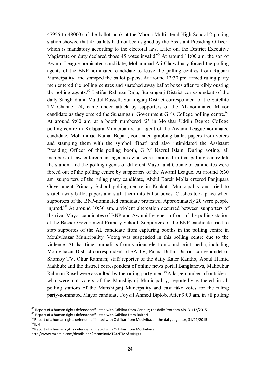47955 to 48000) of the ballot book at the Maona Multilateral High School-2 polling station showed that 45 ballots had not been signed by the Assistant Presiding Officer, which is mandatory according to the electoral law. Later on, the District Executive Magistrate on duty declared those 45 votes invalid.<sup>65</sup> At around 11:00 am, the son of Awami League-nominated candidate, Mohammad Ali Chowdhury forced the polling agents of the BNP-nominated candidate to leave the polling centres from Rajbari Municipality; and stamped the ballot papers. At around 12:30 pm, armed ruling party men entered the polling centres and snatched away ballot boxes after forcibly ousting the polling agents.<sup>66</sup> Latifur Rahman Raju, Sunamganj District correspondent of the daily Sangbad and Maidul Russell, Sunamganj District correspondent of the Satellite TV Channel 24, came under attack by supporters of the AL-nominated Mayor candidate as they entered the Sunamganj Government Girls College polling centre.<sup>67</sup> At around 9:00 am, at a booth numbered '2' in Mojahar Uddin Degree College polling centre in Kolapara Municipality, an agent of the Awami League-nominated candidate, Mohammad Kamal Bepari, continued grabbing ballot papers from voters and stamping them with the symbol 'Boat' and also intimidated the Assistant Presiding Officer of this polling booth, G M Nazrul Islam. During voting, all members of law enforcement agencies who were stationed in that polling centre left the station; and the polling agents of different Mayor and Couniclor candidates were forced out of the polling centre by supporters of the Awami League. At around 9:30 am, supporters of the ruling party candidate, Abdul Barek Molla entered Panjupara Government Primary School polling centre in Kuakata Municipality and tried to snatch away ballot papers and stuff them into ballot boxes. Clashes took place when supporters of the BNP-nominated candidate protested. Approximately 20 were people injured.<sup>68</sup> At around 10:30 am, a violent altercation occurred between supporters of the rival Mayor candidates of BNP and Awami League, in front of the polling station at the Bazaar Government Primary School. Supporters of the BNP candidate tried to stop supportes of the AL candidate from capturing booths in the polling centre in Moulvibazar Municipality. Votng was suspended in this polling centre due to the violence. At that time journalists from various electronic and print media, including Moulvibazar District correspondent of SA-TV, Panna Dutta; District correspondet of Shomoy TV, Oliur Rahman; staff reporter of the daily Kaler Kantho, Abdul Hamid Mahbub; and the district correspondent of online news portal Banglanews, Mahbubur Rahman Rasel were assaulted by the ruling party men.<sup>69</sup>A large number of outsiders, who were not voters of the Munshigani Municipality, reportedly gathered in all polling stations of the Munshiganj Muncipality and cast fake votes for the ruling party-nominated Mayor candidate Foysal Ahmed Biplob. After 9:00 am, in all polling

 $^{65}$  Report of a human rights defender affiliated with Odhikar from Gazipur; the daily Prothom Alo, 31/12/2015

<sup>&</sup>lt;sup>66</sup> Report of a human rights defender affiliated with Odhikar from Rajbari

 $^{67}$ Report of a human rights defender affiliated with Odhikar from Moulvibazar; the daily Jugantor, 31/12/2015  $h$ idl $^{68}$ 

 $^{69}$ Report of a human rights defender affiliated with Odhikar from Moulvibazar;

http://www.mzamin.com/details.php?mzamin=MTA4NTMz&s=Ng==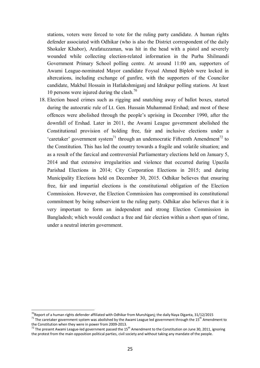stations, voters were forced to vote for the ruling party candidate. A human rights defender associated with Odhikar (who is also the District correspondent of the daily Shokaler Khabor), Arafatuzzaman, was hit in the head with a pistol and severely wounded while collecting election-related information in the Purba Shilmandi Government Primary School polling centre. At around 11:00 am, supporters of Awami League-nominated Mayor candidate Foysal Ahmed Biplob were locked in altercations, including exchange of gunfire, with the supporters of the Councilor candidate, Makbul Hossain in Hatlakshmiganj and Idrakpur polling stations. At least 10 persons were injured during the clash.<sup>70</sup>

18. Election based crimes such as rigging and snatching away of ballot boxes, started during the autocratic rule of Lt. Gen. Hussain Muhammad Ershad; and most of these offences were abolished through the people's uprising in December 1990, after the downfall of Ershad. Later in 2011, the Awami League government abolished the Constitutional provision of holding free, fair and inclusive elections under a 'caretaker' government system<sup>71</sup> through an undemocratic Fifteenth Amendment<sup>72</sup> to the Constitution. This has led the country towards a fragile and volatile situation; and as a result of the farcical and controversial Parliamentary elections held on January 5, 2014 and that extensive irregularities and violence that occurred during Upazila Parishad Elections in 2014; City Corporation Elections in 2015; and during Municipality Elections held on December 30, 2015. Odhikar believes that ensuring free, fair and impartial elections is the constitutional obligation of the Election Commission. However, the Election Commission has compromised its constitutional commitment by being subservient to the ruling party. Odhikar also believes that it is very important to form an independent and strong Election Commission in Bangladesh; which would conduct a free and fair election within a short span of time, under a neutral interim government.

 $\overline{\phantom{a}}$ 

 $^{70}$ Report of a human rights defender affiliated with Odhikar from Munshiganj; the daily Naya Diganta, 31/12/2015 <sup>71</sup> The caretaker government system was abolished by the Awami League led government through the 15<sup>th</sup> Amendment to the Constitution when they were in power from 2009-2013.

 $72$  The present Awami League-led government passed the 15<sup>th</sup> Amendment to the Constitution on June 30, 2011, ignoring the protest from the main opposition political parties, civil society and without taking any mandate of the people.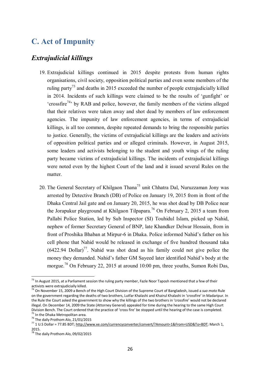# **C. Act of Impunity**

## *Extrajudicial killings*

- 19. Extrajudicial killings continued in 2015 despite protests from human rights organisations, civil society, opposition political parties and even some members of the ruling party<sup>73</sup> and deaths in 2015 exceeded the number of people extrajudicially killed in 2014. Incidents of such killings were claimed to be the results of 'gunfight' or 'crossfire<sup>74</sup>' by RAB and police, however, the family members of the victims alleged that their relatives were taken away and shot dead by members of law enforcement agencies. The impunity of law enforcement agencies, in terms of extrajudicial killings, is all too common, despite repeated demands to bring the responsible parties to justice. Generally, the victims of extrajudicial killings are the leaders and activists of opposition political parties and or alleged criminals. However, in August 2015, some leaders and activists belonging to the student and youth wings of the ruling party became victims of extrajudicial killings. The incidents of extrajudicial killings were noted even by the highest Court of the land and it issued several Rules on the matter.
- 20. The General Secretary of Khilgaon Thana<sup>75</sup> unit Chhatra Dal, Nuruzzaman Jony was arrested by Detective Branch (DB) of Police on January 19, 2015 from in front of the Dhaka Central Jail gate and on January 20, 2015, he was shot dead by DB Police near the Jorapukur playground at Khilgaon Tilpapara.<sup>76</sup> On February 2, 2015 a team from Pallabi Police Station, led by Sub Inspector (SI) Touhidul Islam, picked up Nahid, nephew of former Secretary General of BNP, late Khandker Delwar Hossain, from in front of Proshika Bhaban at Mirpur-6 in Dhaka. Police informed Nahid's father on his cell phone that Nahid would be released in exchange of five hundred thousand taka  $(6422.94 \text{ Dollar})^{77}$ . Nahid was shot dead as his family could not give police the money they demanded. Nahid's father GM Sayeed later identified Nahid's body at the morgue.<sup>78</sup> On February 22, 2015 at around 10:00 pm, three youths, Sumon Robi Das,

 $\overline{\phantom{a}}$ 

<sup>&</sup>lt;sup>73</sup> In August 2015, at a Parliament session the ruling party member, Fazle Noor Taposh mentioned that a few of their activists were extrajudicially killed.

<sup>74</sup> On November 15, 2009 a Bench of the High Court Division of the Supreme Court of Bangladesh, issued a *suo moto* Rule on the government regarding the deaths of two brothers, Lutfar Khalashi and Khairul Khalashi in 'crossfire' in Madaripur. In the Rule the Court asked the government to show why the killings of the two brothers in 'crossfire' would not be declared illegal. On December 14, 2009 the State (Attorney General) appealed for time during the hearing to the same High Court Division Bench. The Court ordered that the practice of 'cross fire' be stopped until the hearing of the case is completed. <sup>75</sup> In the Dhaka Metropolitan area.

<sup>&</sup>lt;sup>76</sup> The daily Prothom Alo, 21/01/2015

<sup>77</sup> 1 U.S Dollar = 77.85 BDT; http://www.xe.com/currencyconverter/convert/?Amount=1&From=USD&To=BDT; March 1, 2015.

 $78$  The daily Prothom Alo, 09/02/2015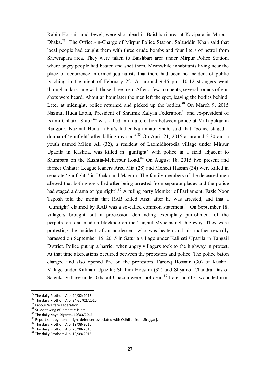Robin Hossain and Jewel, were shot dead in Baishbari area at Kazipara in Mirpur, Dhaka.<sup>79</sup> The Officer-in-Charge of Mirpur Police Station, Salauddin Khan said that local people had caught them with three crude bombs and four liters of petrol from Shewrapara area. They were taken to Baishbari area under Mirpur Police Station, where angry people had beaten and shot them. Meanwhile inhabitants living near the place of occurrence informed journalists that there had been no incident of public lynching in the night of February 22. At around 9:45 pm, 10-12 strangers went through a dark lane with those three men. After a few moments, several rounds of gun shots were heard. About an hour later the men left the spot, leaving the bodies behind. Later at midnight, police returned and picked up the bodies.<sup>80</sup> On March 9, 2015 Nazmul Huda Lablu, President of Shramik Kalyan Federation<sup>81</sup> and ex-president of Islami Chhatra Shibir<sup>82</sup> was killed in an altercation between police at Mithapukur in Rangpur. Nazmul Huda Lablu's father Nurunnabi Shah, said that "police staged a drama of 'gunfight' after killing my son".<sup>83</sup> On April 21, 2015 at around 2:30 am, a youth named Milon Ali (32), a resident of Laxmidhorodia village under Mirpur Upazila in Kushtia, was killed in 'gunfight' with police in a field adjacent to Shunipara on the Kushtia-Meherpur Road. $84$  On August 18, 2015 two present and former Chhatra League leaders Arzu Mia (28) and Mehedi Hassan (34) were killed in separate 'gunfights' in Dhaka and Magura. The family members of the deceased men alleged that both were killed after being arrested from separate places and the police had staged a drama of 'gunfight'.<sup>85</sup> A ruling party Member of Parliament, Fazle Noor Taposh told the media that RAB killed Arzu after he was arrested; and that a 'Gunfight' claimed by RAB was a so-called common statement.<sup>86</sup> On September 18, villagers brought out a procession demanding exemplary punishment of the perpetrators and made a blockade on the Tangail-Mynemsingh highway. They were protesting the incident of an adolescent who was beaten and his mother sexually harassed on September 15, 2015 in Saturia village under Kalihati Upazila in Tangail District. Police put up a barrier when angry villagers took to the highway in protest. At that time altercations occurred between the protestors and police. The police baton charged and also opened fire on the protestors. Farooq Hossain (30) of Kushtia Village under Kalihati Upazila; Shahim Hossain (32) and Shyamol Chandra Das of Salenka Village under Ghatail Upazila were shot dead.<sup>87</sup> Later another wounded man

 $\overline{\phantom{a}}$ <sup>79</sup> The daily Prothom Alo, 24/02/2015

<sup>80</sup> The daily Prothom Alo, 24-25/02/2015

<sup>&</sup>lt;sup>81</sup> Labour Welfare Federation

<sup>82</sup> Student wing of Jamaat-e-Islami

<sup>83</sup> The daily Naya Diganta, 10/03/2015

<sup>84</sup> Report sent by human right defender associated with Odhikar from Sirajganj.

<sup>&</sup>lt;sup>85</sup> The daily Prothom Alo, 19/08/2015

<sup>86</sup> The daily Prothom Alo, 20/08/2015

<sup>&</sup>lt;sup>87</sup> The daily Prothom Alo, 19/09/2015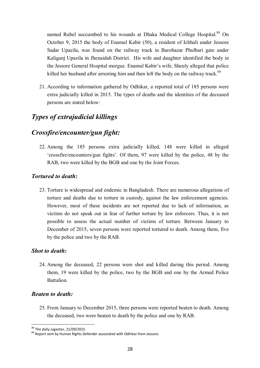named Rubel succumbed to his wounds at Dhaka Medical College Hospital.<sup>88</sup> On October 9, 2015 the body of Enamul Kabir (50), a resident of Ichhali under Jessore Sadar Upazila, was found on the railway track in Barobazar Phulbari gate under Kaliganj Upazila in Jhenaidah District. His wife and daughter identified the body in the Jessore General Hospital morgue. Enamul Kabir's wife, Sheuly alleged that police killed her husband after arresting him and then left the body on the railway track.<sup>89</sup>

21. According to information gathered by Odhikar, a reported total of 185 persons were extra judicially killed in 2015. The types of deaths and the identities of the deceased persons are stated below:

## *Types of extrajudicial killings*

## *Crossfire/encounter/gun fight:*

22. Among the 185 persons extra judicially killed, 148 were killed in alleged 'crossfire/encounters/gun fights'. Of them, 97 were killed by the police, 48 by the RAB, two were killed by the BGB and one by the Joint Forces.

#### *Tortured to death:*

23. Torture is widespread and endemic in Bangladesh. There are numerous allegations of torture and deaths due to torture in custody, against the law enforcement agencies. However, most of these incidents are not reported due to lack of information, as victims do not speak out in fear of further torture by law enforcers. Thus, it is not possible to assess the actual number of victims of torture. Between January to December of 2015, seven persons were reported tortured to death. Among them, five by the police and two by the RAB.

#### *Shot to death:*

24. Among the deceased, 22 persons were shot and killed during this period. Among them, 19 were killed by the police, two by the BGB and one by the Armed Police Battalion.

#### *Beaten to death:*

25. From January to December 2015, three persons were reported beaten to death. Among the deceased, two were beaten to death by the police and one by RAB.

 $\overline{a}$ <sup>88</sup> The daily Jugantor, 21/09/2015

<sup>89</sup> Report sent by Human Rights Defender associated with Odhikar from Jessore.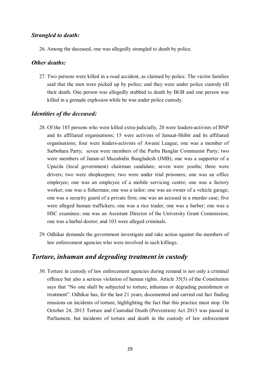#### *Strangled to death:*

26. Among the deceased, one was allegedly strangled to death by police.

#### *Other deaths:*

27. Two persons were killed in a road accident, as claimed by police. The victim families said that the men were picked up by police; and they were under police custody till their death. One person was allegedly stabbed to death by BGB and one person was killed in a grenade explosion while he was under police custody.

#### *Identities of the deceased:*

- 28. Of the 185 persons who were killed extra-judicially, 20 were leaders-activists of BNP and its affiliated organisations; 15 were activists of Jamaat-Shibir and its affiliated organisations; four were leaders-activists of Awami League; one was a member of Sarbohara Party; seven were members of the Purba Banglar Communist Party; two were members of Jamat-ul Muzahidin Bangladesh (JMB); one was a supporter of a Upazila (local government) chairman candidate; seven were youths; three were drivers; two were shopkeepers; two were under trial prisoners; one was an office employee; one was an employee of a mobile servicing centre; one was a factory worker; one was a fisherman; one was a tailor; one was an owner of a vehicle garage; one was a security guard of a private firm; one was an accused in a murder case; five were alleged human traffickers; one was a rice trader; one was a barber; one was a HSC examinee; one was an Assistant Director of the University Grant Commission; one was a harbal doctor; and 103 were alleged criminals.
- 29. Odhikar demands the government investigate and take action against the members of law enforcement agencies who were involved in such killings.

## *Torture, inhuman and degrading treatment in custody*

30. Torture in custody of law enforcement agencies during remand is not only a criminal offence but also a serious violation of human rights. Article 35(5) of the Constitution says that "No one shall be subjected to torture, inhuman or degrading punishment or treatment". Odhikar has, for the last 21 years, documented and carried out fact finding missions on incidents of torture, highlighting the fact that this practice must stop. On October 24, 2013 Torture and Custodial Death (Prevention) Act 2013 was passed in Parliament, but incidents of torture and death in the custody of law enforcement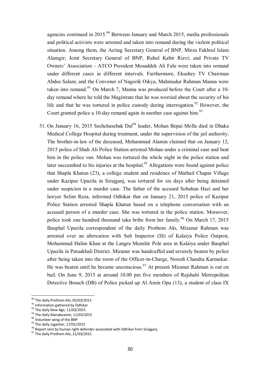agencies continued in 2015.<sup>90</sup> Between January and March 2015, media professionals and political activists were arrested and taken into remand during the violent political situation. Among them, the Acting Secretary General of BNP, Mirza Fakhrul Islam Alamgir; Joint Secretary General of BNP, Ruhul Kabir Rizvi; and Private TV Owners' Association – ATCO President Mosaddek Ali Falu were taken into remand under different cases in different intervals. Furthermore, Ekushey TV Chairman Abdus Salam; and the Convener of Nagorik Oikya, Mahmudur Rahman Manna were taken into remand. $91$  On March 7, Manna was produced before the Court after a 10day remand where he told the Magistrate that he was worried about the security of his life and that he was tortured in police custody during interrogation.<sup>92</sup> However, the Court granted police a 10-day remand again in another case against him.<sup>93</sup>

31. On January 16, 2015 Sechchasebak Dal<sup>94</sup> leader, Mohan Bepai Molla died in Dhaka Medical College Hospital during treatment, under the supervision of the jail authority. The brother-in-law of the deceased, Mohammad Alamin claimed that on January 12, 2015 police of Shah Ali Police Station arrested Mohan under a criminal case and beat him in the police van. Mohan was tortured the whole night in the police station and later succumbed to his injuries at the hospital.<sup>95</sup> Allegations were found against police that Shapla Khatun (23), a college student and residence of Mathail Chapar Village under Kazipur Upazila in Sirajganj, was tortured for six days after being detained under suspicion in a murder case. The father of the accused Sobahan Hazi and her lawyer Selim Reza, informed Odhikar that on January 21, 2015 police of Kazipur Police Station arrested Shapla Khatun based on a telephone conversation with an accused person of a murder case. She was tortured in the police station. Moreover, police took one hundred thousand taka bribe from her family.<sup>96</sup> On March 17, 2015 Bauphal Upazila correspondent of the daily Prothom Alo, Mizanur Rahman was arrested over an altercation with Sub Inspector (SI) of Kalaiya Police Outpost, Mohammad Halim Khan at the Langra Munshir Pole area in Kalaiya under Bauphal Upazila in Patuakhali District. Mizanur was handcuffed and severely beaten by police after being taken into the room of the Officer-in-Charge, Noresh Chandra Karmokar. He was beaten until he became unconscious.<sup>97</sup> At present Mizanur Rahman is out on bail. On June 9, 2015 at around 10.00 pm five members of Rajshahi Metropolitan Detective Branch (DB) of Police picked up Al Amin Opu (13), a student of class IX

<sup>&</sup>lt;sup>90</sup> The daily Prothom Alo, 05/03/2015

<sup>&</sup>lt;sup>91</sup> Information gathered by Odhikar

<sup>&</sup>lt;sup>92</sup> The daily New Age, 11/03/2015

<sup>&</sup>lt;sup>93</sup> The daily Manabzamin, 11/03/2015

<sup>94</sup> Volunteer wing of the BNP

 $95$  The daily Jugantor, 17/01/2015

<sup>96</sup> Report sent by human right defender associated with Odhikar from Sirajganj.

<sup>&</sup>lt;sup>97</sup> The daily Prothom Alo, 21/03/2015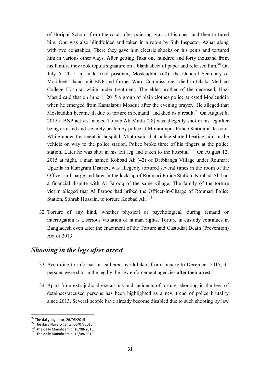of Horipur School, from the road, after pointing guns at his chest and then tortured him. Opu was also blindfolded and taken in a room by Sub Inspector Azhar along with two constables. There they gave him electric shocks on his penis and tortured him in various other ways. After getting Taka one hundred and forty thousand from his family, they took Opu's signature on a blank sheet of paper and released him.<sup>98</sup> On July 5, 2015 an under-trial prisoner, Mosleuddin (60), the General Secretary of Motijheel Thana unit BNP and former Ward Commissioner, died in Dhaka Medical College Hospital while under treatment. The elder brother of the deceased, Hazi Masud said that on June 1, 2015 a group of plain clothes police arrested Mosleuddin when he emerged from Kamalapur Mosque after the evening prayer. He alleged that Mosleuddin became ill due to torture in remand; and died as a result.<sup>99</sup> On August 8, 2015 a BNP activist named Toiyab Ali Mintu (28) was allegedly shot in his leg after being arrested and severely beaten by police at Monirampur Police Station in Jessore. While under treatment in hospital, Mintu said that police started beating him in the vehicle on way to the police station. Police broke three of his fingers at the police station. Later he was shot in his left leg and taken to the hospital.<sup>100</sup> On August 12, 2015 at night, a man named Kobbad Ali (42) of Datbhanga Village under Roumari Upazila in Kurigram District, was allegedly tortured several times in the room of the Officer-in-Charge and later in the lock-up of Roumari Police Station. Kobbad Ali had a financial dispute with Al Farooq of the same village. The family of the torture victim alleged that Al Farooq had bribed the Officer-in-Charge of Roumari Police Station, Sohrab Hossain, to torture Kobbad Ali.<sup>101</sup>

32. Torture of any kind, whether physical or psychological, during remand or interrogation is a serious violation of human rights. Torture in custody continues in Bangladesh even after the enactment of the Torture and Custodial Death (Prevention) Act of 2013.

## *Shooting in the legs after arrest*

- 33. According to information gathered by Odhikar, from January to December 2015, 35 persons were shot in the leg by the law enforcement agencies after their arrest.
- 34. Apart from extrajudicial executions and incidents of torture, shooting in the legs of detainees/accused persons has been highlighted as a new trend of police brutality since 2013. Several people have already become disabled due to such shooting by law

<sup>&</sup>lt;sup>98</sup> The daily Jugantor, 26/06/2015

<sup>99</sup> The daily Naya Diganta, 06/07/2015

<sup>100</sup> The daily Manabzamin, 10/08/2015

<sup>&</sup>lt;sup>101</sup> The daily Manabzamin, 15/08/2015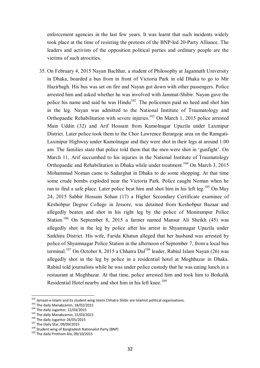enforcement agencies in the last few years. It was learnt that such incidents widely took place at the time of resisting the protests of the BNP-led 20-Party Alliance. The leaders and activists of the opposition political parties and ordinary people are the victims of such atrocities.

35. On February 4, 2015 Nayan Bachhar, a student of Philosophy at Jagannath University in Dhaka, boarded a bus from in front of Victoria Park in old Dhaka to go to Mir Hazirbagh. His bus was set on fire and Nayan got down with other passengers. Police arrested him and asked whether he was involved with Jammat-Shibir. Nayan gave the police his name and said he was  $Hindu^{102}$ . The policemen paid no heed and shot him in the leg. Nayan was admitted to the National Institute of Traumatology and Orthopaedic Rehabilitation with severe injuries.<sup>103</sup> On March 1, 2015 police arrested Main Uddin (32) and Arif Hossain from Kamolnagar Upazila under Laxmipur District. Later police took them to the Chor Lawrence Berargoje area on the Ramgati-Laxmipur Highway under Kamolnagar and they were shot in their legs at around 1:00 am. The families state that police told them that the men were shot in 'gunfight'. On March 11, Arif succumbed to his injuries in the National Institute of Traumatology Orthopaedic and Rehabilitation in Dhaka while under treatment.<sup>104</sup> On March 3, 2015 Mohammad Noman came to Sadarghat in Dhaka to do some shopping. At that time some crude bombs exploded near the Victoria Park. Police caught Noman when he ran to find a safe place. Later police beat him and shot him in his left leg.<sup>105</sup> On May 24, 2015 Sabbir Hossain Sohan (17) a Higher Secondary Certificate examinee of Keshobpur Degree College in Jessore, was detained from Keshobpur Bazaar and allegedly beaten and shot in his right leg by the police of Monirampur Police Station.<sup>106</sup> On September 8, 2015 a farmer named Mansur Ali Sheikh (45) was allegedly shot in the leg by police after his arrest in Shyamnagar Upazila under Satkhira District. His wife, Farida Khatun alleged that her husband was arrested by police of Shyamnagar Police Station in the afternoon of September 7, from a local bus terminal.<sup>107</sup> On October 8, 2015 a Chhatra Dal<sup>108</sup> leader, Rabiul Islam Nayan (26) was allegedly shot in the leg by police in a residential hotel at Moghbazar in Dhaka. Rabiul told journalists while he was under police custody that he was eating lunch in a restaurant at Moghbazar. At that time, police arrested him and took him to Boikalik Residential Hotel nearby and shot him in his left knee.<sup>109</sup>

 $102$  Jamaat-e-Islami and its student wing Islami Chhatra Shibir are Islamist political organisations.

<sup>103</sup> The daily Manabzamin, 18/02/2015

<sup>104</sup> The daily Jugantor, 12/03/2015

<sup>105</sup> The daily Manabzamin, 15/03/2015

<sup>106</sup> The daily Jugantor  $26/05/2015$ 

<sup>107</sup> The Daily Star, 09/09/2015

<sup>108</sup> Student wing of Bangladesh Nationalist Party (BNP)

<sup>&</sup>lt;sup>109</sup> The daily Prothom Alo, 09/10/2015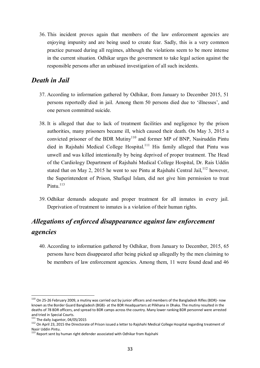36. This incident proves again that members of the law enforcement agencies are enjoying impunity and are being used to create fear. Sadly, this is a very common practice pursued during all regimes, although the violations seem to be more intense in the current situation. Odhikar urges the government to take legal action against the responsible persons after an unbiased investigation of all such incidents.

## *Death in Jail*

- 37. According to information gathered by Odhikar, from January to December 2015, 51 persons reportedly died in jail. Among them 50 persons died due to 'illnesses', and one person committed suicide.
- 38. It is alleged that due to lack of treatment facilities and negligence by the prison authorities, many prisoners became ill, which caused their death. On May 3, 2015 a convicted prisoner of the BDR Mutiny<sup>110</sup> and former MP of BNP, Nasiruddin Pintu died in Rajshahi Medical College Hospital.<sup>111</sup> His family alleged that Pintu was unwell and was killed intentionally by being deprived of proper treatment. The Head of the Cardiology Department of Rajshahi Medical College Hospital, Dr. Rais Uddin stated that on May 2, 2015 he went to see Pintu at Rajshahi Central Jail,  $^{112}$  however, the Superintendent of Prison, Shafiqul Islam, did not give him permission to treat Pintu $113$
- 39. Odhikar demands adequate and proper treatment for all inmates in every jail. Deprivation of treatment to inmates is a violation of their human rights.

# *Allegations of enforced disappearance against law enforcement agencies*

40. According to information gathered by Odhikar, from January to December, 2015, 65 persons have been disappeared after being picked up allegedly by the men claiming to be members of law enforcement agencies. Among them, 11 were found dead and 46

 $^{110}$  On 25-26 February 2009, a mutiny was carried out by junior officers and members of the Bangladesh Rifles (BDR)- now known as the Border Guard Bangladesh (BGB)- at the BDR Headquarters at Pilkhana in Dhaka. The mutiny resulted in the deaths of 78 BDR officers, and spread to BDR camps across the country. Many lower ranking BDR personnel were arrested and tried in Special Courts.

 $^{111}$  The daily Jugantor, 04/05/2015

<sup>112</sup> On April 23, 2015 the Directorate of Prison issued a letter to Rajshahi Medical College Hospital regarding treatment of Nasir Uddin Pintu.

 $^{113}$  Report sent by human right defender associated with Odhikar from Rajshahi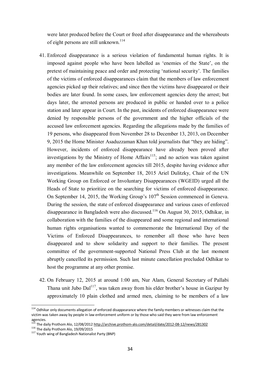were later produced before the Court or freed after disappearance and the whereabouts of eight persons are still unknown.<sup>114</sup>

- 41. Enforced disappearance is a serious violation of fundamental human rights. It is imposed against people who have been labelled as 'enemies of the State', on the pretext of maintaining peace and order and protecting 'national security'. The families of the victims of enforced disappearances claim that the members of law enforcement agencies picked up their relatives; and since then the victims have disappeared or their bodies are later found. In some cases, law enforcement agencies deny the arrest; but days later, the arrested persons are produced in public or handed over to a police station and later appear in Court. In the past, incidents of enforced disappearance were denied by responsible persons of the government and the higher officials of the accused law enforcement agencies. Regarding the allegations made by the families of 19 persons, who disappeared from November 28 to December 13, 2013, on December 9, 2015 the Home Minister Asaduzzaman Khan told journalists that "they are hiding". However, incidents of enforced disappearance have already been proved after investigations by the Ministry of Home Affairs<sup>115</sup>; and no action was taken against any member of the law enforcement agencies till 2015, despite having evidence after investigations. Meanwhile on September 18, 2015 Ariel Dulitzky, Chair of the UN Working Group on Enforced or Involuntary Disappearances (WGEID) urged all the Heads of State to prioritize on the searching for victims of enforced disappearance. On September 14, 2015, the Working Group's  $107<sup>th</sup>$  Session commenced in Geneva. During the session, the state of enforced disappearance and various cases of enforced disappearance in Bangladesh were also discussed.<sup>116</sup> On August 30, 2015, Odhikar, in collaboration with the families of the disappeared and some regional and international human rights organisations wanted to commemorate the International Day of the Victims of Enforced Disappearances, to remember all those who have been disappeared and to show solidarity and support to their families. The present committee of the government-supported National Press Club at the last moment abruptly cancelled its permission. Such last minute cancellation precluded Odhikar to host the programme at any other premise.
- 42. On February 12, 2015 at around 1:00 am, Nur Alam, General Secretary of Pallabi Thana unit Jubo  $\text{Dal}^{117}$ , was taken away from his elder brother's house in Gazipur by approximately 10 plain clothed and armed men, claiming to be members of a law

 $114$  Odhikar only documents allegation of enforced disappearance where the family members or witnesses claim that the victim was taken away by people in law enforcement uniform or by those who said they were from law enforcement agencies.

<sup>&</sup>lt;sup>115</sup> The daily Prothom Alo, 12/08/2012 <u>http://archive.prothom-alo.com/detail/date/2012-08-12/news/281302</u>

<sup>&</sup>lt;sup>116</sup> The daily Prothom Alo, 19/09/2015

<sup>116</sup> The daily Prothom Alo,  $19/09/2015$ <br>
117 Youth wing of Bangladesh Nationalist Party (BNP)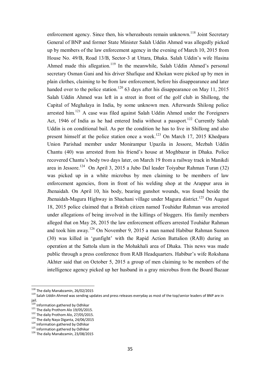enforcement agency. Since then, his whereabouts remain unknown.<sup>118</sup> Joint Secretary General of BNP and former State Minister Salah Uddin Ahmed was allegedly picked up by members of the law enforcement agency in the evening of March 10, 2015 from House No. 49/B, Road 13/B, Sector-3 at Uttara, Dhaka. Salah Uddin's wife Hasina Ahmed made this allegation.<sup>119</sup> In the meanwhile, Salah Uddin Ahmed's personal secretary Osman Gani and his driver Shafique and Khokan were picked up by men in plain clothes, claiming to be from law enforcement, before his disappearance and later handed over to the police station.<sup>120</sup> 63 days after his disappearance on May 11, 2015 Salah Uddin Ahmed was left in a street in front of the golf club in Shillong, the Capital of Meghalaya in India, by some unknown men. Afterwards Shilong police arrested him.<sup>121</sup> A case was filed against Salah Uddin Ahmed under the Foreigners Act, 1946 of India as he had entered India without a passport.<sup>122</sup> Currently Salah Uddin is on conditional bail. As per the condition he has to live in Shillong and also present himself at the police station once a week.<sup>123</sup> On March 17, 2015 Khedpara Union Parishad member under Monirampur Upazila in Jessore, Mezbah Uddin Chantu (40) was arrested from his friend's house at Moghbazar in Dhaka. Police recovered Chantu's body two days later, on March 19 from a railway track in Manikdi area in Jessore.<sup>124</sup> On April 3, 2015 a Jubo Dal leader Toiyabur Rahman Turan (32) was picked up in a white microbus by men claiming to be members of law enforcement agencies, from in front of his welding shop at the Arappur area in Jhenaidah. On April 10, his body, bearing gunshot wounds, was found beside the Jhenaidah-Magura Highway in Shachani village under Magura district.<sup>125</sup> On August 18, 2015 police claimed that a British citizen named Touhidur Rahman was arrested under allegations of being involved in the killings of bloggers. His family members alleged that on May 28, 2015 the law enforcement officers arrested Touhidur Rahman and took him away.<sup>126</sup> On November 9, 2015 a man named Habibur Rahman Sumon (30) was killed in 'gunfight' with the Rapid Action Battalion (RAB) during an operation at the Sattola slum in the Mohakhali area of Dhaka. This news was made public through a press conference from RAB Headquarters. Habibur's wife Rokshana Akhter said that on October 5, 2015 a group of men claiming to be members of the intelligence agency picked up her husband in a gray microbus from the Board Bazaar

 $\overline{a}$  $^{118}$  The daily Manabzamin, 26/02/2015

<sup>119</sup> Salah Uddin Ahmed was sending updates and press releases everyday as most of the top/senior leaders of BNP are in jail.

<sup>&</sup>lt;sup>120</sup> Information gathered by Odhikar

<sup>121</sup> The daily Prothom Alo 19/05/2015.

<sup>122</sup> The daily Prothom Alo, 27/05/2015.

<sup>123</sup> The daily Naya Diganta, 24/06/2015

<sup>&</sup>lt;sup>124</sup> Information gathered by Odhikar

<sup>125</sup> Information gathered by Odhikar

<sup>126</sup> The daily Manabzamin, 23/08/2015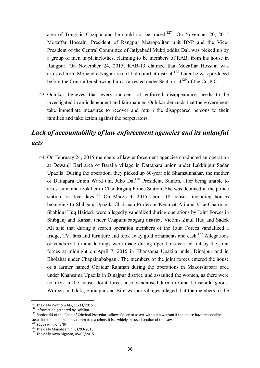area of Tongi in Gazipur and he could not be traced.<sup>127</sup> On November 20, 2015 Mozaffar Hossain, President of Rangpur Metropolitan unit BNP and the Vice-President of the Central Committee of Jatiyabadi Muktijoddha Dal, was picked up by a group of men in plainclothes, claiming to be members of RAB, from his house in Rangpur. On November 24, 2015, RAB-13 claimed that Mozaffar Hossain was arrested from Mohendra Nagar area of Lalmonirhat district.<sup>128</sup> Later he was produced before the Court after showing him as arrested under Section  $54^{129}$  of the Cr. P.C.

43. Odhikar believes that every incident of enforced disappearance needs to be investigated in an independent and fair manner. Odhikar demands that the government take immediate measures to recover and return the disappeared persons to their families and take action against the perpetrators.

# *Lack of accountability of law enforcement agencies and its unlawful acts*

44. On February 24, 2015 members of law enforcement agencies conducted an operation at Dewanji Bari area of Baralia village in Dattapara union under Lakkhipur Sadar Upazila. During the operation, they picked up 60-year old Shamsunnahar, the mother of Dattapara Union Ward unit Jubo Dal<sup>130</sup> President, Sumon, after being unable to arrest him; and took her to Chandraganj Police Station. She was detained in the police station for five days.<sup>131</sup> On March 4, 2015 about 18 houses, including houses belonging to Shibganj Upazila Chairman Professor Keramat Ali and Vice-Chairman Shahidul Huq Haideri, were allegedly vandalized during operations by Joint Forces in Shibganj and Kansat under Chapainababganj district. Victims Ziaul Huq and Sadek Ali said that during a search operation members of the Joint Forces vandalized a fridge, TV, fans and furniture and took away gold ornaments and cash.<sup>132</sup> Allegations of vandalization and lootings were made during operations carried out by the joint forces at midnight on April 7, 2015 in Khansama Upazila under Dinajpur and in Bholahat under Chapainababganj. The members of the joint forces entered the house of a farmer named Obaidur Rahman during the operations in Makorshapara area under Khansama Upazila in Dinajpur district; and assaulted the women, as there were no men in the house. Joint forces also vandalised furniture and household goods. Women in Tiloki, Suranpur and Bireswarpur villages alleged that the members of the

 $127$  The daily Prothom Alo, 11/11/2015

<sup>128</sup> Information gathered by Odhikar

<sup>129</sup> Section 54 of the Code of Criminal Procedure allows Police to assert without a warrant if the police have reasonable suspicion that a person has committed a crime. It is a widely misused section of the Law.

<sup>130</sup> Youth wing of BNP

<sup>&</sup>lt;sup>131</sup> The daily Manabzamin. 01/03/2015

<sup>132</sup> The daily Naya Diganta, 05/03/2015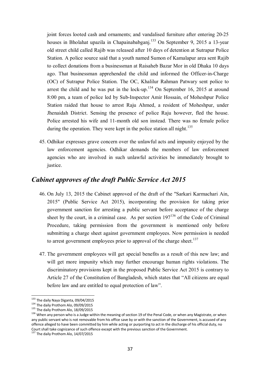joint forces looted cash and ornaments; and vandalised furniture after entering 20-25 houses in Bholahat upazila in Chapainababganj.<sup>133</sup> On September 9, 2015 a 13-year old street child called Rajib was released after 10 days of detention at Sutrapur Police Station. A police source said that a youth named Sumon of Kamalapur area sent Rajib to collect donations from a businessman at Raisaheb Bazar Mor in old Dhaka 10 days ago. That businessman apprehended the child and informed the Officer-in-Charge (OC) of Sutrapur Police Station. The OC, Khalilur Rahman Patwary sent police to arrest the child and he was put in the lock-up.<sup>134</sup> On September 16, 2015 at around 8:00 pm, a team of police led by Sub-Inspector Amir Hossain, of Moheshpur Police Station raided that house to arrest Raju Ahmed, a resident of Moheshpur, under Jhenaidah District. Sensing the presence of police Raju however, fled the house. Police arrested his wife and 11-month old son instead. There was no female police during the operation. They were kept in the police station all night.<sup>135</sup>

45. Odhikar expresses grave concern over the unlawful acts and impunity enjoyed by the law enforcement agencies. Odhikar demands the members of law enforcement agencies who are involved in such unlawful activities be immediately brought to justice.

## *Cabinet approves of the draft Public Service Act 2015*

- 46. On July 13, 2015 the Cabinet approved of the draft of the "Sarkari Karmachari Ain, 2015" (Public Service Act 2015), incorporating the provision for taking prior government sanction for arresting a public servant before acceptance of the charge sheet by the court, in a criminal case. As per section  $197^{136}$  of the Code of Criminal Procedure, taking permission from the government is mentioned only before submitting a charge sheet against government employees. Now permission is needed to arrest government employees prior to approval of the charge sheet.<sup>137</sup>
- 47. The government employees will get special benefits as a result of this new law; and will get more impunity which may further encourage human rights violations. The discriminatory provisions kept in the proposed Public Service Act 2015 is contrary to Article 27 of the Constitution of Bangladesh, which states that "All citizens are equal before law and are entitled to equal protection of law".

 $\overline{a}$ <sup>133</sup> The daily Naya Diganta, 09/04/2015

<sup>134</sup> The daily Prothom Alo, 09/09/2015

<sup>&</sup>lt;sup>135</sup> The daily Prothom Alo, 18/09/2015

<sup>&</sup>lt;sup>136</sup> When any person who is a Judge within the meaning of section 19 of the Penal Code, or when any Magistrate, or when any public servant who is not removable from his office save by or with the sanction of the Government, is accused of any offence alleged to have been committed by him while acting or purporting to act in the discharge of his official duty, no Court shall take cognizance of such offence except with the previous sanction of the Government.

<sup>&</sup>lt;sup>137</sup> The daily Prothom Alo, 14/07/2015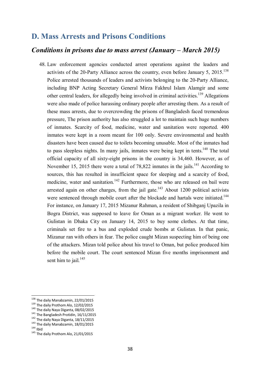## **D. Mass Arrests and Prisons Conditions**

#### *Conditions in prisons due to mass arrest (January – March 2015)*

48. Law enforcement agencies conducted arrest operations against the leaders and activists of the 20-Party Alliance across the country, even before January 5,  $2015$ <sup>138</sup> Police arrested thousands of leaders and activists belonging to the 20-Party Alliance, including BNP Acting Secretary General Mirza Fakhrul Islam Alamgir and some other central leaders, for allegedly being involved in criminal activities.<sup>139</sup> Allegations were also made of police harassing ordinary people after arresting them. As a result of these mass arrests, due to overcrowding the prisons of Bangladesh faced tremendous pressure, The prison authority has also struggled a lot to maintain such huge numbers of inmates. Scarcity of food, medicine, water and sanitation were reported. 400 inmates were kept in a room meant for 100 only. Severe environmental and health disasters have been caused due to toilets becoming unusable. Most of the inmates had to pass sleepless nights. In many jails, inmates were being kept in tents.<sup>140</sup> The total official capacity of all sixty-eight prisons in the country is 34,460. However, as of November 15, 2015 there were a total of 78,822 inmates in the jails.<sup>141</sup> According to sources, this has resulted in insufficient space for sleeping and a scarcity of food, medicine, water and sanitation.<sup>142</sup> Furthermore, those who are released on bail were arrested again on other charges, from the jail gate.<sup>143</sup> About 1200 political activists were sentenced through mobile court after the blockade and hartals were initiated.<sup>144</sup> For instance, on January 17, 2015 Mizanur Rahman, a resident of Shibganj Upazila in Bogra District, was supposed to leave for Oman as a migrant worker. He went to Gulistan in Dhaka City on January 14, 2015 to buy some clothes. At that time, criminals set fire to a bus and exploded crude bombs at Gulistan. In that panic, Mizanur ran with others in fear. The police caught Mizan suspecting him of being one of the attackers. Mizan told police about his travel to Oman, but police produced him before the mobile court. The court sentenced Mizan five months imprisonment and sent him to jail. $145$ 

<sup>&</sup>lt;sup>138</sup> The daily Manabzamin, 22/01/2015

 $139$  The daily Prothom Alo, 12/02/2015

 $140$  The daily Naya Diganta, 08/02/2015

<sup>&</sup>lt;sup>141</sup> The Bangladesh Protidin, 16/11/2015

<sup>142</sup> The daily Naya Diganta, 18/11/2015

<sup>143</sup> The daily Manabzamin, 18/01/2015

 $144$  Ibid

<sup>145</sup> The daily Prothom Alo, 21/01/2015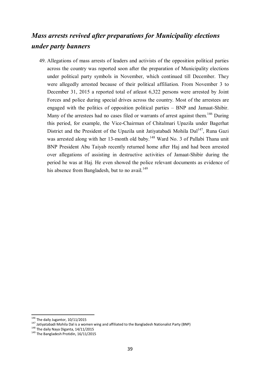# *Mass arrests revived after preparations for Municipality elections under party banners*

49. Allegations of mass arrests of leaders and activists of the opposition political parties across the country was reported soon after the preparation of Municipality elections under political party symbols in November, which continued till December. They were allegedly arrested because of their political affiliation. From November 3 to December 31, 2015 a reported total of atleast 6,322 persons were arrested by Joint Forces and police during special drives across the country. Most of the arrestees are engaged with the politics of opposition political parties – BNP and Jamaat-Shibir. Many of the arrestees had no cases filed or warrants of arrest against them.<sup>146</sup> During this period, for example, the Vice-Chairman of Chitalmari Upazila under Bagerhat District and the President of the Upazila unit Jatiyatabadi Mohila Dal<sup>147</sup>, Runa Gazi was arrested along with her 13-month old baby.<sup>148</sup> Ward No. 3 of Pallabi Thana unit BNP President Abu Taiyab recently returned home after Haj and had been arrested over allegations of assisting in destructive activities of Jamaat-Shibir during the period he was at Haj. He even showed the police relevant documents as evidence of his absence from Bangladesh, but to no avail.<sup>149</sup>

 $\overline{a}$  $146$  The daily Jugantor, 10/11/2015

<sup>147</sup> Jatiyatabadi Mohila Dal is a women wing and affiliated to the Bangladesh Nationalist Party (BNP)

<sup>148</sup> The daily Naya Diganta, 14/11/2015

<sup>&</sup>lt;sup>149</sup> The Bangladesh Protidin, 16/11/2015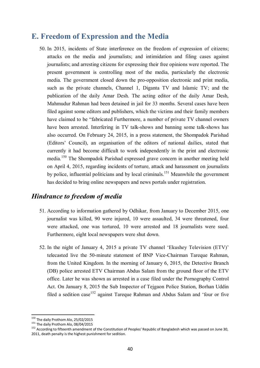# **E. Freedom of Expression and the Media**

50. In 2015, incidents of State interference on the freedom of expression of citizens; attacks on the media and journalists; and intimidation and filing cases against journalists; and arresting citizens for expressing their free opinions were reported. The present government is controlling most of the media, particularly the electronic media. The government closed down the pro-opposition electronic and print media, such as the private channels, Channel 1, Diganta TV and Islamic TV; and the publication of the daily Amar Desh. The acting editor of the daily Amar Desh, Mahmudur Rahman had been detained in jail for 33 months. Several cases have been filed against some editors and publishers, which the victims and their family members have claimed to be "fabricated Furthermore, a number of private TV channel owners have been arrested. Interfering in TV talk-shows and banning some talk-shows has also occurred. On February 24, 2015, in a press statement, the Shompadok Parishad (Editors' Council), an organisation of the editors of national dailies, stated that currently it had become difficult to work independently in the print and electronic media.<sup>150</sup> The Shompadok Parishad expressed grave concern in another meeting held on April 4, 2015, regarding incidents of torture, attack and harassment on journalists by police, influential politicians and by local criminals.<sup>151</sup> Meanwhile the government has decided to bring online newspapers and news portals under registration.

## *Hindrance to freedom of media*

- 51. According to information gathered by Odhikar, from January to December 2015, one journalist was killed, 90 were injured, 10 were assaulted, 34 were threatened, four were attacked, one was tortured, 10 were arrested and 18 journalists were sued. Furthermore, eight local newspapers were shut down.
- 52. In the night of January 4, 2015 a private TV channel 'Ekushey Television (ETV)' telecasted live the 50-minute statement of BNP Vice-Chairman Tareque Rahman, from the United Kingdom. In the morning of January 6, 2015, the Detective Branch (DB) police arrested ETV Chairman Abdus Salam from the ground floor of the ETV office. Later he was shown as arrested in a case filed under the Pornography Control Act. On January 8, 2015 the Sub Inspector of Tejgaon Police Station, Borhan Uddin filed a sedition case<sup>152</sup> against Tareque Rahman and Abdus Salam and 'four or five

<sup>&</sup>lt;sup>150</sup> The daily Prothom Alo, 25/02/2015

<sup>&</sup>lt;sup>151</sup> The daily Prothom Alo, 08/04/2015

<sup>&</sup>lt;sup>152</sup> According to fifteenth amendment of the Constitution of Peoples' Republic of Bangladesh which was passed on June 30, 2011, death penalty is the highest punishment for sedition.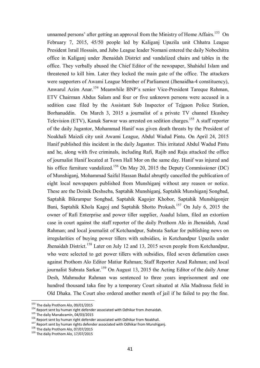unnamed persons' after getting an approval from the Ministry of Home Affairs.<sup>153</sup> On February 7, 2015, 45/50 people led by Kaliganj Upazila unit Chhatra League President Israil Hossain, and Jubo League leader Nomani entered the daily Nobochitra office in Kaliganj under Jhenaidah District and vandalized chairs and tables in the office. They verbally abused the Chief Editor of the newspaper, Shahidul Islam and threatened to kill him. Later they locked the main gate of the office. The attackers were supporters of Awami League Member of Parliament (Jhenaidha-4 constituency), Anwarul Azim Anar.<sup>154</sup> Meanwhile BNP's senior Vice-President Tareque Rahman, ETV Chairman Abdus Salam and four or five unknown persons were accused in a sedition case filed by the Assistant Sub Inspector of Tejgaon Police Station, Borhanuddin. On March 3, 2015 a journalist of a private TV channel Ekushey Television (ETV), Kanak Sarwar was arrested on sedition charges.<sup>155</sup> A staff reporter of the daily Jugantor, Mohammad Hanif was given death threats by the President of Noakhali Maizdi city unit Awami League, Abdul Wadud Pintu. On April 24, 2015 Hanif published this incident in the daily Jagantor. This irritated Abdul Wadud Pintu and he, along with five criminals, including Rafi, Rajib and Raju attacked the office of journalist Hanif located at Town Hall Mor on the same day. Hanif was injured and his office furniture vandalized.<sup>156</sup> On May 20, 2015 the Deputy Commissioner (DC) of Munshiganj, Mohammad Saiful Hassan Badal abruptly cancelled the publication of eight local newspapers published from Munshiganj without any reason or notice. These are the Doinik Deshseba, Saptahik Munshiganj, Saptahik Munshiganj Songbad, Saptahik Bikrampur Songbad, Saptahik Kagojer Khobor, Saptahik Munshigonjer Bani, Saptahik Khola Kagoj and Saptahik Shotto Prokash.<sup>157</sup> On July 6, 2015 the owner of Rafi Enterprise and power tiller supplier, Asadul Islam, filed an extortion case in court against the staff reporter of the daily Prothom Alo in Jhenaidah, Azad Rahman; and local journalist of Kotchandpur, Subrata Sarkar for publishing news on irregularities of buying power tillers with subsidies, in Kotchandpur Upazila under Jhenaidah District.<sup>158</sup> Later on July 12 and 13, 2015 seven people from Kotchandpur, who were selected to get power tillers with subsidies, filed seven defamation cases against Prothom Alo Editor Matiur Rahman; Staff Reporter Azad Rahman; and local journalist Subrata Sarkar.<sup>159</sup> On August 13, 2015 the Acting Editor of the daily Amar Desh, Mahmudur Rahman was sentenced to three years imprisonment and one hundred thousand taka fine by a temporary Court situated at Alia Madrassa field in Old Dhaka. The Court also ordered another month of jail if he failed to pay the fine.

<sup>&</sup>lt;sup>153</sup> The daily Prothom Alo, 09/01/2015

<sup>&</sup>lt;sup>154</sup> Report sent by human right defender associated with Odhikar from Jhenaidah.

<sup>&</sup>lt;sup>155</sup> The daily Manabzamin, 04/03/2015

<sup>156</sup> Report sent by human right defender associated with Odhikar from Noakhali.

<sup>157</sup> Report sent by human rights defender associated with Odhikar from Munshiganj.

<sup>158</sup> The daily Prothom Alo, 07/07/2015

<sup>&</sup>lt;sup>159</sup> The daily Prothom Alo, 17/07/2015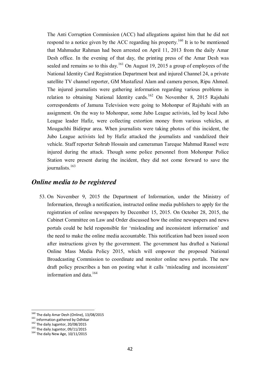The Anti Corruption Commission (ACC) had allegations against him that he did not respond to a notice given by the ACC regarding his property.<sup>160</sup> It is to be mentioned that Mahmudur Rahman had been arrested on April 11, 2013 from the daily Amar Desh office. In the evening of that day, the printing press of the Amar Desh was sealed and remains so to this day.<sup>161</sup> On August 19, 2015 a group of employees of the National Identity Card Registration Department beat and injured Channel 24, a private satellite TV channel reporter, GM Mustafizul Alam and camera person, Ripu Ahmed. The injured journalists were gathering information regarding various problems in relation to obtaining National Identity cards.<sup>162</sup> On November 8, 2015 Rajshahi correspondents of Jamuna Television were going to Mohonpur of Rajshahi with an assignment. On the way to Mohonpur, some Jubo League activists, led by local Jubo League leader Hafiz, were collecting extortion money from various vehicles, at Mougachhi Bidirpur area. When journalists were taking photos of this incident, the Jubo League activists led by Hafiz attacked the journalists and vandalized their vehicle. Staff reporter Sohrab Hossain and cameraman Tareque Mahmud Rassel were injured during the attack. Though some police personnel from Mohonpur Police Station were present during the incident, they did not come forward to save the journalists<sup>163</sup>

#### *Online media to be registered*

53. On November 9, 2015 the Department of Information, under the Ministry of Information, through a notification, instructed online media publishers to apply for the registration of online newspapers by December 15, 2015. On October 28, 2015, the Cabinet Committee on Law and Order discussed how the online newspapers and news portals could be held responsible for 'misleading and inconsistent information' and the need to make the online media accountable. This notification had been issued soon after instructions given by the government. The government has drafted a National Online Mass Media Policy 2015, which will empower the proposed National Broadcasting Commission to coordinate and monitor online news portals. The new draft policy prescribes a ban on posting what it calls 'misleading and inconsistent' information and data.<sup>164</sup>

 $^{160}$  The daily Amar Desh (Online), 13/08/2015

<sup>161</sup> Information gathered by Odhikar

<sup>162</sup> The daily Jugantor, 20/08/2015

<sup>&</sup>lt;sup>163</sup> The daily Jugantor, 09/11/2015

<sup>164</sup> The daily New Age, 10/11/2015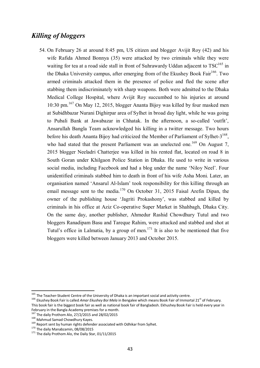## *Killing of bloggers*

54. On February 26 at around 8:45 pm, US citizen and blogger Avijit Roy (42) and his wife Rafida Ahmed Bonnya (35) were attacked by two criminals while they were waiting for tea at a road side stall in front of Suhrawardy Uddan adjacent to  $TSC^{165}$  in the Dhaka University campus, after emerging from of the Ekushev Book Fair<sup>166</sup>. Two armed criminals attacked them in the presence of police and fled the scene after stabbing them indiscriminately with sharp weapons. Both were admitted to the Dhaka Medical College Hospital, where Avijit Roy succumbed to his injuries at around 10:30 pm.<sup>167</sup> On May 12, 2015, blogger Ananta Bijoy was killed by four masked men at Subidhbazar Nurani Dighirpar area of Sylhet in broad day light, while he was going to Pubali Bank at Jawabazar in Chhatak. In the afternoon, a so-called 'outfit', Ansarullah Bangla Team acknowledged his killing in a twitter message. Two hours before his death Ananta Bijoy had criticized the Member of Parliament of Sylhet-3<sup>168</sup>, who had stated that the present Parliament was an unelected one.<sup>169</sup> On August 7, 2015 blogger Neeladri Chatterjee was killed in his rented flat, located on road 8 in South Goran under Khilgaon Police Station in Dhaka. He used to write in various social media, including Facebook and had a blog under the name 'Niloy Neel'. Four unidentified criminals stabbed him to death in front of his wife Asha Moni. Later, an organisation named 'Ansarul Al-Islam' took responsibility for this killing through an email message sent to the media.<sup>170</sup> On October 31, 2015 Faisal Arefin Dipan, the owner of the publishing house 'Jagriti Prokashony', was stabbed and killed by criminals in his office at Aziz Co-operative Super Market in Shahbagh, Dhaka City. On the same day, another publisher, Ahmedur Rashid Chowdhury Tutul and two bloggers Ranadipam Basu and Tareque Rahim, were attacked and stabbed and shot at Tutul's office in Lalmatia, by a group of men.<sup>171</sup> It is also to be mentioned that five bloggers were killed between January 2013 and October 2015.

<sup>167</sup> The daily Prothom Alo, 27/2/2015 and 28/02/2015

 $165$  The Teacher-Student Centre of the University of Dhaka is an important social and activity centre.

<sup>&</sup>lt;sup>166</sup> Ekushey Book Fair is called *Amar Ekushey Boi Mela* in Bengalee which means Book Fair of Immortal 21<sup>st</sup> of February. This book fair is the biggest book fair as well as national book fair of Bangladesh. Ekhushey Book Fair is held every year in February in the Bangla Academy premises for a month.

<sup>168</sup> Mahmud Samad Chowdhury Kayes.

<sup>169</sup> Report sent by human rights defender associated with Odhikar from Sylhet.

<sup>170</sup> The daily Manabzamin, 08/08/2015

<sup>&</sup>lt;sup>171</sup> The daily Prothom Alo, the Daily Star, 01/11/2015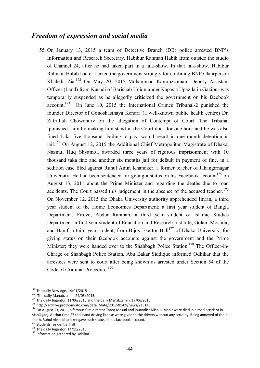#### *Freedom of expression and social media*

55. On January 13, 2015 a team of Detective Branch (DB) police arrested BNP's Information and Research Secretary, Habibur Rahman Habib from outside the studio of Channel 24, after he had taken part in a talk-show. In that talk-show, Habibur Rahman Habib had criticized the government strongly for confining BNP Chairperson Khaleda Zia.<sup>172</sup> On May 20, 2015 Mohammad Kamruzzaman, Deputy Assistant Officer (Land) from Kushdi of Barishab Union under Kapasia Upazila in Gazipur was temporarily suspended as he allegedly criticized the government on his facebook  $account.<sup>173</sup>$  On June 10, 2015 the International Crimes Tribunal-2 punished the founder Director of Gonoshasthaya Kendra (a well-known public health centre) Dr. Zafrullah Chowdhury on the allegation of Contempt of Court. The Tribunal 'punished' him by making him stand in the Court dock for one hour and he was also fined Taka five thousand. Failing to pay, would result in one month detention in jail.<sup>174</sup> On August 12, 2015 the Additional Chief Metropolitan Magistrate of Dhaka, Nazmul Huq Shyamol, awarded three years of rigorous imprisonment with 10 thousand taka fine and another six months jail for default in payment of fine, in a sedition case filed against Ruhul Amin Khandker, a former teacher of Jahangirnagar University. He had been sentenced for giving a status on his Facebook account<sup>175</sup> on August 13, 2011 about the Prime Minister and regarding the deaths due to road accidents. The Court passed this judgement in the absence of the accused teacher.<sup>176</sup> On November 12, 2015 the Dhaka University authority apprehended Imran, a third year student of the Home Economics Department; a first year student of Bangla Department, Firoze; Abdur Rahman, a third year student of Islamic Studies Department; a first year student of Education and Research Institute, Golam Mostafa; and Hanif, a third year student, from Bijoy Ekattor Hall<sup>177</sup> of Dhaka University, for giving status on their facebook accounts against the government and the Prime Minister; they were handed over to the Shahbagh Police Station.<sup>178</sup> The Officer-in-Charge of Shahbagh Police Station, Abu Bakar Siddique informed Odhikar that the arrestees were sent to court after being shown as arrested under Section 54 of the Code of Criminal Procedure.<sup>179</sup>

 $172$  The daily New Age, 14/01/2015

<sup>&</sup>lt;sup>173</sup> The daily Manabzamin, 24/05/2015.

 $174$  The daily Jugantor, 11/06/2015 and the daily Manabzamin, 17/06/2015

<sup>175</sup> http://archive.prothom-alo.com/detail/date/2012-01-09/news/215140

<sup>176</sup> On August 13, 2011, a famous film director Tareq Masud and journalist Mishuk Manir were died in a road accident in Manikganj. At that time 27 thousand driving license were given to the drivers without any scrutiny. Being annoyed of their death, Ruhul AMin Khandker gave such status on his facebook account.

<sup>&</sup>lt;sup>177</sup> Students residential hall

<sup>178</sup> The daily Jugantor, 14/11/2015

<sup>179</sup> Information gathered by Odhikar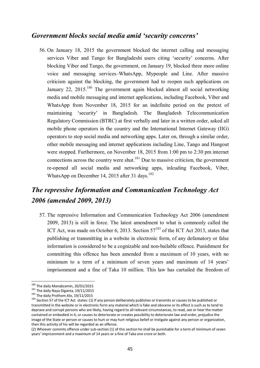## *Government blocks social media amid 'security concerns'*

56. On January 18, 2015 the government blocked the internet calling and messaging services Viber and Tango for Bangladeshi users citing 'security' concerns. After blocking Viber and Tango, the government, on January 19, blocked three more online voice and messaging services–WhatsApp, Mypeople and Line. After massive criticism against the blocking, the government had to reopen such applications on January 22, 2015.<sup>180</sup> The government again blocked almost all social networking media and mobile messaging and internet applications, including Facebook, Viber and WhatsApp from November 18, 2015 for an indefinite period on the pretext of maintaining 'security' in Bangladesh. The Bangladesh Telecommunication Regulatory Commission (BTRC) at first verbally and later in a written order, asked all mobile phone operators in the country and the International Internet Gateway (IIG) operators to stop social media and networking apps. Later on, through a similar order, other mobile messaging and internet applications including Line, Tango and Hangout were stopped. Furthermore, on November 18, 2015 from 1:00 pm to 2:30 pm internet connections across the country were shut.<sup>181</sup> Due to massive criticism, the government re-opened all social media and networking apps, inlcuding Facebook, Viber, WhatsApp on December 14, 2015 after 31 days.<sup>182</sup>

# *The repressive Information and Communication Technology Act 2006 (amended 2009, 2013)*

57. The repressive Information and Communication Technology Act 2006 (amendment 2009, 2013) is still in force. The latest amendment to what is commonly called the ICT Act, was made on October 6, 2013. Section  $57^{183}$  of the ICT Act 2013, states that publishing or transmitting in a website in electronic form, of any defamatory or false information is considered to be a cognizable and non-bailable offence. Punishment for committing this offence has been amended from a maximum of 10 years, with no minimum to a term of a minimum of seven years and maximum of 14 years' imprisonment and a fine of Taka 10 million. This law has curtailed the freedom of

 $^{180}$  The daily Manabzamin, 20/01/2015

<sup>&</sup>lt;sup>181</sup> The daily Naya Diganta, 19/11/2015

<sup>&</sup>lt;sup>182</sup> The daily Prothom Alo, 19/11/2015

<sup>&</sup>lt;sup>183</sup> Section 57 of the ICT Act states: (1) If any person deliberately publishes or transmits or causes to be published or transmitted in the website or in electronic form any material which is fake and obscene or its effect is such as to tend to deprave and corrupt persons who are likely, having regard to all relevant circumstances, to read, see or hear the matter contained or embodied in it, or causes to deteriorate or creates possibility to deteriorate law and order, prejudice the image of the State or person or causes to hurt or may hurt religious belief or instigate against any person or organization, then this activity of his will be regarded as an offence.

<sup>(2)</sup> Whoever commits offence under sub-section (1) of this section he shall be punishable for a term of minimum of seven years' imprisonment and a maximum of 14 years or a fine of Taka one crore or both.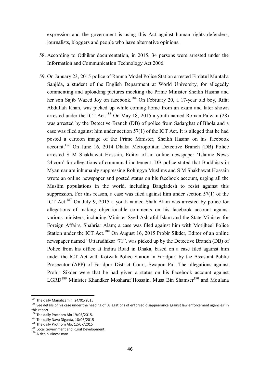expression and the government is using this Act against human rights defenders, journalists, bloggers and people who have alternative opinions.

- 58. According to Odhikar documentation, in 2015, 34 persons were arrested under the Information and Communication Technology Act 2006.
- 59. On January 23, 2015 police of Ramna Model Police Station arrested Firdatul Muntaha Sanjida, a student of the English Department at World University, for allegedly commenting and uploading pictures mocking the Prime Minister Sheikh Hasina and her son Sajib Wazed Joy on facebook.<sup>184</sup> On February 20, a 17-year old boy, Rifat Abdullah Khan, was picked up while coming home from an exam and later shown arrested under the ICT Act.<sup>185</sup> On May 18, 2015 a youth named Roman Palwan  $(28)$ was arrested by the Detective Branch (DB) of police from Sadarghat of Bhola and a case was filed against him under section 57(1) of the ICT Act. It is alleged that he had posted a cartoon image of the Prime Minister, Sheikh Hasina on his facebook account.<sup>186</sup> On June 16, 2014 Dhaka Metropolitan Detective Branch (DB) Police arrested S M Shakhawat Hossain, Editor of an online newspaper 'Islamic News 24.com' for allegations of communal incitement. DB police stated that Buddhists in Myanmar are inhumanly suppressing Rohingya Muslims and S M Shakhawat Hossain wrote an online newspaper and posted status on his facebook account, urging all the Muslim populations in the world, including Bangladesh to resist against this suppression. For this reason, a case was filed against him under section 57(1) of the ICT Act.<sup>187</sup> On July 9, 2015 a youth named Shah Alam was arrested by police for allegations of making objectionable comments on his facebook account against various ministers, including Minister Syed Ashraful Islam and the State Minister for Foreign Affairs, Shahriar Alam; a case was filed against him with Motijheel Police Station under the ICT Act.<sup>188</sup> On August 16, 2015 Probir Sikder, Editor of an online newspaper named "Uttaradhikar '71", was picked up by the Detective Branch (DB) of Police from his office at Indira Road in Dhaka, based on a case filed against him under the ICT Act with Kotwali Police Station in Faridpur, by the Assistant Public Prosecutor (APP) of Faridpur District Court, Swapon Pal. The allegations against Probir Sikder were that he had given a status on his Facebook account against LGRD<sup>189</sup> Minister Khandker Mosharaf Hossain, Musa Bin Shamser<sup>190</sup> and Moulana

<sup>&</sup>lt;sup>184</sup> The daily Manabzamin, 24/01/2015

<sup>185</sup> See details of his case under the heading of 'Allegations of enforced disappearance against law enforcement agencies' in this report.

<sup>186</sup> The daily Prothom Alo 19/05/2015.

<sup>187</sup> The daily Naya Diganta,  $18/06/2015$ 

<sup>188</sup> The daily Prothom Alo, 12/07/2015

<sup>&</sup>lt;sup>189</sup> Local Government and Rural Development

<sup>190</sup> A rich business man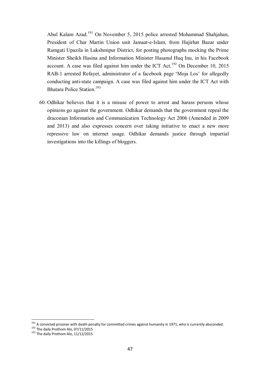Abul Kalam Azad.<sup>191</sup> On November 5, 2015 police arrested Mohammad Shahjahan, President of Char Martin Union unit Jamaat-e-Islam, from Hajirhat Bazar under Ramgati Upazila in Lakshmipur District, for posting photographs mocking the Prime Minister Sheikh Hasina and Information Minister Hasanul Huq Inu, in his Facebook account. A case was filed against him under the ICT Act.<sup>192</sup> On December 10, 2015 RAB-1 arrested Refayet, administrator of a facebook page 'Moja Los' for allegedly conducting anti-state campaign. A case was filed against him under the ICT Act with Bhatara Police Station.<sup>193</sup>

60. Odhikar believes that it is a misuse of power to arrest and harass persons whose opinions go against the government. Odhikar demands that the government repeal the draconian Information and Communication Technology Act 2006 (Amended in 2009 and 2013) and also expresses concern over taking initiative to enact a new more repressive law on internet usage. Odhikar demands justice through impartial investigations into the killings of bloggers.

 $191$  A convicted prisoner with death penalty for committed crimes against humanity in 1971, who is currently absconded.

<sup>192</sup> The daily Prothom Alo, 07/11/2015

<sup>&</sup>lt;sup>193</sup> The daily Prothom Alo, 11/12/2015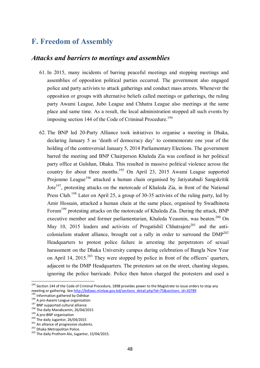# **F. Freedom of Assembly**

#### *Attacks and barriers to meetings and assemblies*

- 61. In 2015, many incidents of barring peaceful meetings and stopping meetings and assemblies of opposition political parties occurred. The government also engaged police and party activists to attack gatherings and conduct mass arrests. Whenever the opposition or groups with alternative beliefs called meetings or gatherings, the ruling party Awami League, Jubo League and Chhatra League also meetings at the same place and same time. As a result, the local administration stopped all such events by imposing section 144 of the Code of Criminal Procedure.<sup>194</sup>
- 62. The BNP led 20-Party Alliance took initiatives to organise a meeting in Dhaka, declaring January 5 as 'death of democracy day' to commemorate one year of the holding of the controversial January 5, 2014 Parliamentary Elections. The government barred the meeting and BNP Chairperson Khaleda Zia was confined in her political party office at Gulshan, Dhaka. This resulted in massive political violence across the country for about three months.<sup>195</sup> On April 23, 2015 Awami League supported Projonmo League<sup>196</sup> attacked a human chain organised by Jatiyatabadi Sangskritik Jote<sup>197</sup>, protesting attacks on the motorcade of Khaleda Zia, in front of the National Press Club.<sup>198</sup> Later on April 25, a group of 30-35 activists of the ruling party, led by Amir Hossain, attacked a human chain at the same place, organised by Swadhinota Forum<sup>199</sup> protesting attacks on the motorcade of Khaleda Zia. During the attack, BNP executive member and former parliamentarian, Khaleda Yeasmin, was beaten.<sup>200</sup> On May 10, 2015 leaders and activists of Progatishil Chhatrajote<sup>201</sup> and the anticolonialism student alliance, brought out a rally in order to surround the  $DMP^{202}$ Headquarters to protest police failure in arresting the perpetrators of sexual harassment on the Dhaka University campus during celebration of Bangla New Year on April 14, 2015.<sup>203</sup> They were stopped by police in front of the officers' quarters, adjacent to the DMP Headquarters. The protestors sat on the street, chanting slogans, ignoring the police barricade. Police then baton charged the protesters and used a

 $194$  Section 144 of the Code of Criminal Procedure, 1898 provides power to the Magistrate to issue orders to stop any meeting or gathering. See http://bdlaws.minlaw.gov.bd/sections\_detail.php?id=75&sections\_id=20789

<sup>195</sup> Information gathered by Odhikar

<sup>196</sup> A pro-Awami League organisation

<sup>&</sup>lt;sup>197</sup> BNP supported cultural alliance

<sup>198</sup> The daily Manabzamin, 26/04/2015

 $^{199}$  A pro-BNP organisation

<sup>200</sup> The daily Jugantor, 26/04/2015

<sup>201</sup> An alliance of progressive students.

<sup>202</sup> Dhaka Metropolitan Police.

<sup>203</sup> The daily Prothom Alo, Jugantor, 15/04/2015.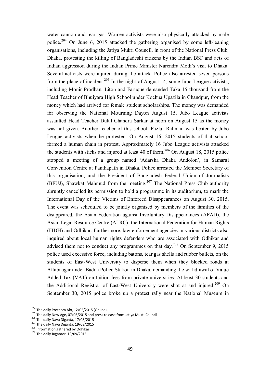water cannon and tear gas. Women activists were also physically attacked by male police.<sup>204</sup> On June 6, 2015 attacked the gathering organised by some left-leaning organisations, including the Jatiya Mukti Council, in front of the National Press Club, Dhaka, protesting the killing of Bangladeshi citizens by the Indian BSF and acts of Indian aggression during the Indian Prime Minister Narendra Modi's visit to Dhaka. Several activists were injured during the attack. Police also arrested seven persons from the place of incident.<sup>205</sup> In the night of August 14, some Jubo League activists, including Monir Prodhan, Liton and Faruque demanded Taka 15 thousand from the Head Teacher of Bhuiyara High School under Kochua Upazila in Chandpur, from the money which had arrived for female student scholarships. The money was demanded for observing the National Mourning Dayon August 15. Jubo League activists assaulted Head Teacher Dulal Chandra Sarkar at noon on August 15 as the money was not given. Another teacher of this school, Fazlur Rahman was beaten by Jubo League activists when he protested. On August 16, 2015 students of that school formed a human chain in protest. Approximately 16 Jubo League activists attacked the students with sticks and injured at least 40 of them.<sup>206</sup> On August 18, 2015 police stopped a meeting of a group named 'Adarsha Dhaka Andolon', in Samarai Convention Centre at Panthapath in Dhaka. Police arrested the Member Secretary of this organisation; and the President of Bangladesh Federal Union of Journalists (BFUJ), Shawkat Mahmud from the meeting.<sup>207</sup> The National Press Club authority abruptly cancelled its permission to hold a programme in its auditorium, to mark the International Day of the Victims of Enforced Disappearances on August 30, 2015. The event was scheduled to be jointly organised by members of the families of the disappeared, the Asian Federation against Involuntary Disappearances (AFAD), the Asian Legal Resource Centre (ALRC), the International Federation for Human Rights (FIDH) and Odhikar. Furthermore, law enforcement agencies in various districts also inquired about local human rights defenders who are associated with Odhikar and advised them not to conduct any programmes on that day.<sup>208</sup> On September 9, 2015 police used excessive force, including batons, tear gas shells and rubber bullets, on the students of East-West University to disperse them when they blocked roads at Aftabnagar under Badda Police Station in Dhaka, demanding the withdrawal of Value Added Tax (VAT) on tuition fees from private universities. At least 30 students and the Additional Registrar of East-West University were shot at and injured.<sup>209</sup> On September 30, 2015 police broke up a protest rally near the National Museum in

 $^{204}$  The daily Prothom Alo, 12/05/2015 (Online).

<sup>205</sup> The daily New Age, 07/06/2015 and press release from Jatiya Mukti Council

<sup>206</sup> The daily Naya Diganta, 17/08/2015

<sup>&</sup>lt;sup>207</sup> The daily Naya Diganta, 19/08/2015

<sup>208</sup> Information gathered by Odhikar

<sup>&</sup>lt;sup>209</sup> The daily Jugantor, 10/09/2015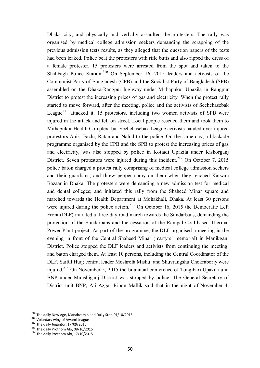Dhaka city; and physically and verbally assaulted the protesters. The rally was organised by medical college admission seekers demanding the scrapping of the previous admission tests results, as they alleged that the question papers of the tests had been leaked. Police beat the protesters with rifle butts and also ripped the dress of a female protester. 15 protesters were arrested from the spot and taken to the Shahbagh Police Station.<sup>210</sup> On September 16, 2015 leaders and activists of the Communist Party of Bangladesh (CPB) and the Socialist Party of Bangladesh (SPB) assembled on the Dhaka-Rangpur highway under Mithapukur Upazila in Rangpur District to protest the increasing prices of gas and electricity. When the protest rally started to move forward, after the meeting, police and the activists of Sechchasebak League<sup>211</sup> attacked it. 15 protestors, including two women activists of SPB were injured in the attack and fell on street. Local people rescued them and took them to Mithapukur Health Complex, but Sechchasebak League activists handed over injured protestors Anik, Fazlu, Ratan and Nahid to the police. On the same day, a blockade programme organised by the CPB and the SPB to protest the increasing prices of gas and electricity, was also stopped by police in Kotiadi Upazila under Kishorganj District. Seven protestors were injured during this incident.<sup>212</sup> On October 7, 2015 police baton charged a protest rally comprising of medical college admission seekers and their guardians; and threw pepper spray on them when they reached Karwan Bazaar in Dhaka. The protesters were demanding a new admission test for medical and dental colleges; and initiated this rally from the Shaheed Minar square and marched towards the Health Department at Mohakhali, Dhaka. At least 30 persons were injured during the police action.<sup>213</sup> On October 16, 2015 the Democratic Left Front (DLF) initiated a three-day road march towards the Sundarbans, demanding the protection of the Sundarbans and the cessation of the Rampal Coal-based Thermal Power Plant project. As part of the programme, the DLF organised a meeting in the evening in front of the Central Shaheed Minar (martyrs' memorial) in Manikganj District. Police stopped the DLF leaders and activists from continuing the meeting; and baton charged them. At least 10 persons, including the Central Coordinator of the DLF, Saiful Huq; central leader Moshrefa Mishu; and Shuvrangshu Chokraborty were injured.<sup>214</sup> On November 5, 2015 the bi-annual conference of Tongibari Upazila unit BNP under Munshiganj District was stopped by police. The General Secretary of District unit BNP, Ali Azgar Ripon Mallik said that in the night of November 4,

<sup>&</sup>lt;sup>210</sup> The daily New Age, Manabzamin and Daily Star, 01/10/2015

<sup>&</sup>lt;sup>211</sup> Voluntary wing of Awami League

<sup>&</sup>lt;sup>212</sup> The daily Jugantor, 17/09/2015

<sup>&</sup>lt;sup>213</sup> The daily Prothom Alo, 08/10/2015

 $214$  The daily Prothom Alo, 17/10/2015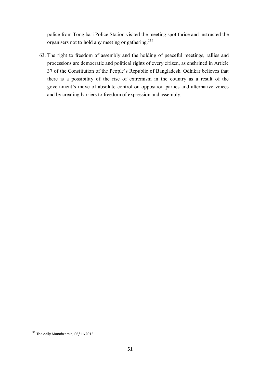police from Tongibari Police Station visited the meeting spot thrice and instructed the organisers not to hold any meeting or gathering.<sup>215</sup>

63. The right to freedom of assembly and the holding of peaceful meetings, rallies and processions are democratic and political rights of every citizen, as enshrined in Article 37 of the Constitution of the People's Republic of Bangladesh. Odhikar believes that there is a possibility of the rise of extremism in the country as a result of the government's move of absolute control on opposition parties and alternative voices and by creating barriers to freedom of expression and assembly.

 $\overline{\phantom{a}}$ <sup>215</sup> The daily Manabzamin, 06/11/2015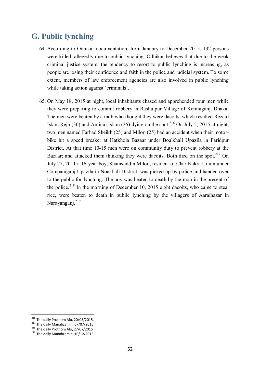# **G. Public lynching**

- 64. According to Odhikar documentation, from January to December 2015, 132 persons were killed, allegedly due to public lynching. Odhikar believes that due to the weak criminal justice system, the tendency to resort to public lynching is increasing, as people are losing their confidence and faith in the police and judicial system. To some extent, members of law enforcement agencies are also involved in public lynching while taking action against 'criminals'.
- 65. On May 18, 2015 at night, local inhabitants chased and apprehended four men while they were preparing to commit robbery in Rashulpur Village of Keraniganj, Dhaka. The men were beaten by a mob who thought they were dacoits, which resulted Rezaul Islam Reju (30) and Aminul Islam (35) dying on the spot.<sup>216</sup> On July 5, 2015 at night, two men named Farhad Sheikh (25) and Milon (25) had an accident when their motorbike hit a speed breaker at Hatkhola Bazaar under Boalkhali Upazila in Faridpur District. At that time 10-15 men were on community duty to prevent robbery at the Bazaar; and attacked them thinking they were dacoits. Both died on the spot.<sup>217</sup> On July 27, 2011 a 16-year boy, Shamsuddin Milon, resident of Char Kakra Union under Companiganj Upazila in Noakhali District, was picked up by police and handed over to the public for lynching. The boy was beaten to death by the mob in the present of the police.<sup>218</sup> In the morning of December 10, 2015 eight dacoits, who came to steal rice, were beaten to death in public lynching by the villagers of Aaraihazar in Narayanganj.<sup>219</sup>

<sup>&</sup>lt;sup>216</sup> The daily Prothom Alo, 20/05/2015.

<sup>&</sup>lt;sup>217</sup> The daily Manabzamin, 07/07/2015

<sup>&</sup>lt;sup>218</sup> The daily Prothom Alo, 27/07/2015

<sup>&</sup>lt;sup>219</sup> The daily Manabzamin, 10/12/2015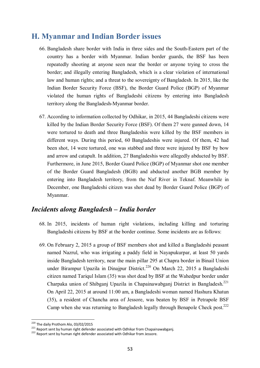# **H. Myanmar and Indian Border issues**

- 66. Bangladesh share border with India in three sides and the South-Eastern part of the country has a border with Myanmar. Indian border guards, the BSF has been repeatedly shooting at anyone seen near the border or anyone trying to cross the border; and illegally entering Bangladesh, which is a clear violation of international law and human rights; and a threat to the sovereignty of Bangladesh. In 2015, like the Indian Border Security Force (BSF), the Border Guard Police (BGP) of Myanmar violated the human rights of Bangladeshi citizens by entering into Bangladesh territory along the Bangladesh-Myanmar border.
- 67. According to information collected by Odhikar, in 2015, 44 Bangladeshi citizens were killed by the Indian Border Security Force (BSF). Of them 27 were gunned down, 14 were tortured to death and three Bangladeshis were killed by the BSF members in different ways. During this period, 60 Bangladeshis were injured. Of them, 42 had been shot, 14 were tortured, one was stabbed and three were injured by BSF by bow and arrow and catapult. In addition, 27 Bangladeshis were allegedly abducted by BSF. Furthermore, in June 2015, Border Guard Police (BGP) of Myanmar shot one member of the Border Guard Bangladesh (BGB) and abducted another BGB member by entering into Bangladesh territory, from the Naf River in Teknaf. Meanwhile in December, one Bangladeshi citizen was shot dead by Border Guard Police (BGP) of Myanmar.

## *Incidents along Bangladesh – India border*

- 68. In 2015, incidents of human right violations, including killing and torturing Bangladeshi citizens by BSF at the border continue. Some incidents are as follows:
- 69. On February 2, 2015 a group of BSF members shot and killed a Bangladeshi peasant named Nazrul, who was irrigating a paddy field in Nayapukurpar, at least 50 yards inside Bangladesh territory, near the main pillar 295 at Chapra border in Binail Union under Birampur Upazila in Dinajpur District.<sup>220</sup> On March 22, 2015 a Bangladeshi citizen named Tariqul Islam (35) was shot dead by BSF at the Wahedpur border under Charpaka union of Shibganj Upazila in Chapainawabganj District in Bangladesh.<sup>221</sup> On April 22, 2015 at around 11:00 am, a Bangladeshi woman named Hashura Khatun (35), a resident of Chancha area of Jessore, was beaten by BSF in Petrapole BSF Camp when she was returning to Bangladesh legally through Benapole Check post.<sup>222</sup>

 $\overline{\phantom{a}}$ <sup>220</sup> The daily Prothom Alo, 03/02/2015

<sup>221</sup> Report sent by human right defender associated with Odhikar from Chapainawabganj.

<sup>222</sup> Report sent by human right defender associated with Odhikar from Jessore.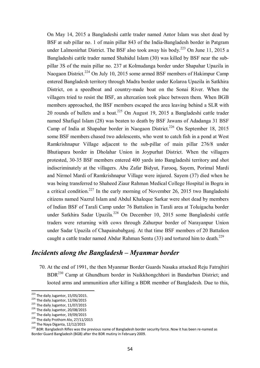On May 14, 2015 a Bangladeshi cattle trader named Antor Islam was shot dead by BSF at sub pillar no. 1 of main pillar 843 of the India-Bangladesh border in Patgram under Lalmonirhat District. The BSF also took away his body. <sup>223</sup> On June 11, 2015 a Bangladeshi cattle trader named Shahidul Islam (30) was killed by BSF near the subpillar 3S of the main pillar no. 237 at Kolmudanga border under Shapahar Upazila in Naogaon District.<sup>224</sup> On July 10, 2015 some armed BSF members of Hakimpur Camp entered Bangladesh territory through Madra border under Kolaroa Upazila in Satkhira District, on a speedboat and country-made boat on the Sonai River. When the villagers tried to resist the BSF, an altercation took place between them. When BGB members approached, the BSF members escaped the area leaving behind a SLR with 20 rounds of bullets and a boat.<sup>225</sup> On August 19, 2015 a Bangladeshi cattle trader named Shafiqul Islam (28) was beaten to death by BSF Jawans of Adadanga 31 BSF Camp of India at Shapahar border in Naogaon District.<sup>226</sup> On September 18, 2015 some BSF members chased two adolescents, who went to catch fish in a pond at West Ramkrishnapur Village adjacent to the sub-pillar of main pillar 276/8 under Bhutiapara border in Dholahar Union in Joypurhat District. When the villagers protested, 30-35 BSF members entered 400 yards into Bangladeshi territory and shot indiscriminately at the villagers. Abu Zafar Bidyut, Farooq, Sayem, Porimal Mardi and Nirmol Mardi of Ramkrishnapur Village were injured. Sayem (37) died when he was being transferred to Shaheed Ziaur Rahman Medical College Hospital in Bogra in a critical condition.<sup>227</sup> In the early morning of November 26, 2015 two Bangladeshi citizens named Nazrul Islam and Abdul Khaleque Sarkar were shot dead by members of Indian BSF of Tarali Camp under 76 Battalion in Tarali area at Toluigacha border under Satkhira Sadar Upazila.<sup>228</sup> On December 10, 2015 some Bangladeshi cattle traders were returning with cows through Zahurpur border of Narayanpur Union under Sadar Upazila of Chapainababganj. At that time BSF members of 20 Battalion caught a cattle trader named Abdur Rahman Sentu  $(33)$  and tortured him to death.<sup>229</sup>

#### *Incidents along the Bangladesh – Myanmar border*

70. At the end of 1991, the then Myanmar Border Guards Nasaka attacked Reju Fatrajhiri BDR<sup>230</sup> Camp at Ghundhum border in Naikkhongchhori in Bandarban District; and looted arms and ammunition after killing a BDR member of Bangladesh. Due to this,

 $^{223}$  The daily Jugantor, 15/05/2015.

 $224$  The daily Jugantor, 12/06/2015

 $225$  The daily Jugantor, 11/07/2015

<sup>&</sup>lt;sup>226</sup> The daily Jugantor, 20/08/2015

 $227$  The daily Jugantor, 19/09/2015

<sup>&</sup>lt;sup>228</sup> The daily Prothom Alo, 27/11/2015

<sup>229</sup> The Naya Diganta, 12/12/2015

<sup>&</sup>lt;sup>230</sup> BDR: Bangladesh Rifles was the previous name of Bangladesh border security force. Now it has been re-named as Border Guard Bangladesh (BGB) after the BDR mutiny in February 2009.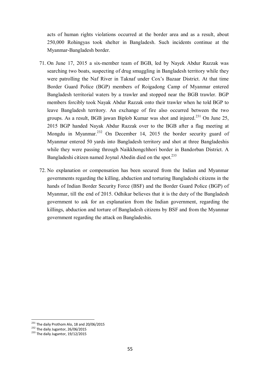acts of human rights violations occurred at the border area and as a result, about 250,000 Rohingyas took shelter in Bangladesh. Such incidents continue at the Myanmar-Bangladesh border.

- 71. On June 17, 2015 a six-member team of BGB, led by Nayek Abdur Razzak was searching two boats, suspecting of drug smuggling in Bangladesh territory while they were patrolling the Naf River in Taknaf under Cox's Bazaar District. At that time Border Guard Police (BGP) members of Roigadong Camp of Myanmar entered Bangladesh territorial waters by a trawler and stopped near the BGB trawler. BGP members forcibly took Nayak Abdur Razzak onto their trawler when he told BGP to leave Bangladesh territory. An exchange of fire also occurred between the two groups. As a result, BGB jawan Biplob Kumar was shot and injured.<sup>231</sup> On June 25, 2015 BGP handed Nayak Abdur Razzak over to the BGB after a flag meeting at Mongdu in Myanmar.<sup>232</sup> On December 14, 2015 the border security guard of Myanmar entered 50 yards into Bangladesh territory and shot at three Bangladeshis while they were passing through Naikkhongchhori border in Bandorban District. A Bangladeshi citizen named Joynal Abedin died on the spot.<sup>233</sup>
- 72. No explanation or compensation has been secured from the Indian and Myanmar governments regarding the killing, abduction and torturing Bangladeshi citizens in the hands of Indian Border Security Force (BSF) and the Border Guard Police (BGP) of Myanmar, till the end of 2015. Odhikar believes that it is the duty of the Bangladesh government to ask for an explanation from the Indian government, regarding the killings, abduction and torture of Bangladesh citizens by BSF and from the Myanmar government regarding the attack on Bangladeshis.

 $^{231}$  The daily Prothom Alo, 18 and 20/06/2015

<sup>&</sup>lt;sup>232</sup> The daily Jugantor, 26/06/2015

<sup>233</sup> The daily Jugantor, 19/12/2015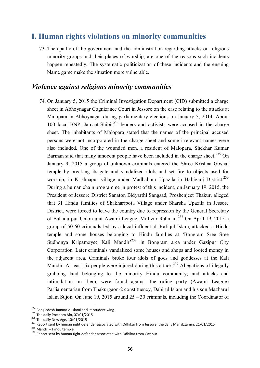## **I. Human rights violations on minority communities**

73. The apathy of the government and the administration regarding attacks on religious minority groups and their places of worship, are one of the reasons such incidents happen repeatedly. The systematic politicization of these incidents and the ensuing blame game make the situation more vulnerable.

#### *Violence against religious minority communities*

74. On January 5, 2015 the Criminal Investigation Department (CID) submitted a charge sheet in Abhoynagar Cognizance Court in Jessore on the case relating to the attacks at Malopara in Abhoynagar during parliamentary elections on January 5, 2014. About 100 local BNP, Jamaat-Shibir<sup>234</sup> leaders and activists were accused in the charge sheet. The inhabitants of Malopara stated that the names of the principal accused persons were not incorporated in the charge sheet and some irrelevant names were also included. One of the wounded men, a resident of Malopara, Shekhar Kumar Barman said that many innocent people have been included in the charge sheet.<sup>235</sup> On January 9, 2015 a group of unknown criminals entered the Shree Krishna Goshai temple by breaking its gate and vandalized idols and set fire to objects used for worship, in Krishnapur village under Madhabpur Upazila in Habiganj District.<sup>236</sup> During a human chain programme in protest of this incident, on January 19, 2015, the President of Jessore District Sanaton Bidyarthi Sangsad, Proshenjeet Thakur, alleged that 31 Hindu families of Shakharipota Village under Sharsha Upazila in Jessore District, were forced to leave the country due to repression by the General Secretary of Bahadurpur Union unit Awami League, Mofizur Rahman. <sup>237</sup> On April 19, 2015 a group of 50-60 criminals led by a local influential, Rafiqul Islam, attacked a Hindu temple and some houses belonging to Hindu families at 'Bongram Sree Sree Sudhonya Kripamoyee Kali Mandir'<sup>238</sup> in Bongram area under Gazipur City Corporation. Later criminals vandalized some houses and shops and looted money in the adjacent area. Criminals broke four idols of gods and goddesses at the Kali Mandir. At least six people were injured during this attack.<sup>239</sup> Allegations of illegally grabbing land belonging to the minority Hindu community; and attacks and intimidation on them, were found against the ruling party (Awami League) Parliamentarian from Thakurgaon-2 constituency, Dabirul Islam and his son Mazharul Islam Sujon. On June 19, 2015 around 25 – 30 criminals, including the Coordinator of

<sup>&</sup>lt;sup>234</sup> Bangladesh Jamaat-e-Islami and its student wing

<sup>235</sup> The daily Prothom Alo, 07/01/2015

<sup>&</sup>lt;sup>236</sup> The daily New Age, 10/01/2015

<sup>&</sup>lt;sup>237</sup> Report sent by human right defender associated with Odhikar from Jessore; the daily Manabzamin, 21/01/2015

<sup>238</sup> Mandir – Hindu temple

<sup>239</sup> Report sent by human right defender associated with Odhikar from Gazipur.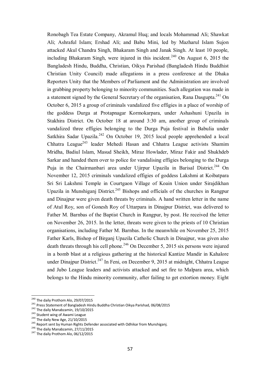Ronobagh Tea Estate Company, Akramul Huq; and locals Mohammad Ali; Shawkat Ali; Ashraful Islam; Ershad Ali; and Babu Mini, led by Mazharul Islam Sujon attacked Akul Chandra Singh, Bhakaram Singh and Janak Singh. At least 10 people, including Bhakaram Singh, were injured in this incident.<sup>240</sup> On August 6, 2015 the Bangladesh Hindu, Buddha, Christian, Oikya Parishad (Bangladesh Hindu Buddhist Christian Unity Council) made allegations in a press conference at the Dhaka Reporters Unity that the Members of Parliament and the Administration are involved in grabbing property belonging to minority communities. Such allegation was made in a statement signed by the General Secretary of the organisation, Rana Dasgupta.<sup>241</sup> On October 6, 2015 a group of criminals vandalized five effigies in a place of worship of the goddess Durga at Protapnagar Kormokarpara, under Ashashuni Upazila in Stakhira District. On October 18 at around 3:30 am, another group of criminals vandalized three effigies belonging to the Durga Puja festival in Babulia under Satkhira Sadar Upazila.<sup>242</sup> On October 19, 2015 local people apprehended a local Chhatra League<sup>243</sup> leader Mehedi Hasan and Chhatra League activists Shamim Mridha, Badiul Islam, Masud Sheikh, Miraz Howlader, Miraz Fakir and Shukhdeb Sarkar and handed them over to police for vandalising effigies belonging to the Durga Puja in the Chairmanbari area under Ujirpur Upazila in Barisal District.<sup>244</sup> On November 12, 2015 criminals vandalized effigies of goddess Lakshmi at Koibatpara Sri Sri Lakshmi Temple in Courtgaon Village of Koain Union under Sirajdikhan Upazila in Munshiganj District.<sup>245</sup> Bishops and officials of the churches in Rangpur and Dinajpur were given death threats by criminals. A hand written letter in the name of Atul Roy, son of Gonesh Roy of Uttarpara in Dinajpur District, was delivered to Father M. Barnbas of the Baptist Church in Rangpur, by post. He received the letter on November 26, 2015. In the letter, threats were given to the priests of 10 Christian organisations, including Father M. Barnbas. In the meanwhile on November 25, 2015 Father Karls, Bishop of Birganj Upazila Catholic Church in Dinajpur, was given also death threats through his cell phone.<sup>246</sup> On December 5, 2015 six persons were injured in a bomb blast at a religious gathering at the historical Kantize Mandir in Kahalore under Dinajpur District.<sup>247</sup> In Feni, on December 9, 2015 at midnight, Chhatra League and Jubo League leaders and activists attacked and set fire to Malpara area, which belongs to the Hindu minority community, after failing to get extortion money. Eight

<sup>&</sup>lt;sup>240</sup> The daily Prothom Alo, 29/07/2015

<sup>241</sup> Press Statement of Bangladesh Hindu Buddha Christian Oikya Parishad, 06/08/2015

 $242$  The daily Manabzamin, 19/10/2015

<sup>&</sup>lt;sup>243</sup> Student wing of Awami League

<sup>&</sup>lt;sup>244</sup> The daily New Age, 21/10/2015

<sup>&</sup>lt;sup>245</sup> Report sent by Human Rights Defender associated with Odhikar from Munshiganj.

<sup>246</sup> The daily Manabzamin, 27/11/2015

<sup>&</sup>lt;sup>247</sup> The daily Prothom Alo, 06/12/2015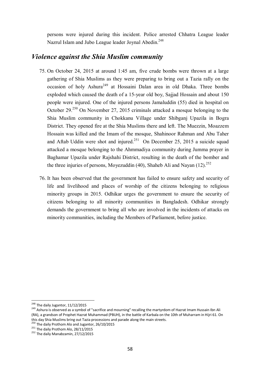persons were injured during this incident. Police arrested Chhatra League leader Nazrul Islam and Jubo League leader Joynal Abedin.<sup>248</sup>

#### *Violence against the Shia Muslim community*

- 75. On October 24, 2015 at around 1:45 am, five crude bombs were thrown at a large gathering of Shia Muslims as they were preparing to bring out a Tazia rally on the occasion of holy Ashura<sup>249</sup> at Hossaini Dalan area in old Dhaka. Three bombs exploded which caused the death of a 15-year old boy, Sajjad Hossain and about 150 people were injured. One of the injured persons Jamaluddin (55) died in hospital on October 29.<sup>250</sup> On November 27, 2015 criminals attacked a mosque belonging to the Shia Muslim community in Chokkanu Village under Shibganj Upazila in Bogra District. They opened fire at the Shia Muslims there and left. The Muezzin, Moazzem Hossain was killed and the Imam of the mosque, Shahinoor Rahman and Abu Taher and Aftab Uddin were shot and injured. $^{251}$  On December 25, 2015 a suicide squad attacked a mosque belonging to the Ahmmadiya community during Jumma prayer in Baghamar Upazila under Rajshahi District, resulting in the death of the bomber and the three injuries of persons, Moyezuddin (40), Shaheb Ali and Nayan  $(12).^{252}$
- 76. It has been observed that the government has failed to ensure safety and security of life and livelihood and places of worship of the citizens belonging to religious minority groups in 2015. Odhikar urges the government to ensure the security of citizens belonging to all minority communities in Bangladesh. Odhikar strongly demands the government to bring all who are involved in the incidents of attacks on minority communities, including the Members of Parliament, before justice.

 $^{248}$  The daily Jugantor, 11/12/2015

<sup>&</sup>lt;sup>249</sup> Ashura is observed as a symbol of "sacrifice and mourning" recalling the martyrdom of Hazrat Imam Hussain Ibn Ali (RA), a grandson of Prophet Hazrat Muhammad (PBUH), in the battle of Karbala on the 10th of Muharram in Hijri 61. On this day Shia Muslims bring out Tazia processions and parade along the main streets.

<sup>&</sup>lt;sup>250</sup> The daily Prothom Alo and Jugantor, 26/10/2015

 $^{251}$  The daily Prothom Alo, 28/11/2015

<sup>&</sup>lt;sup>252</sup> The daily Manabzamin, 27/12/2015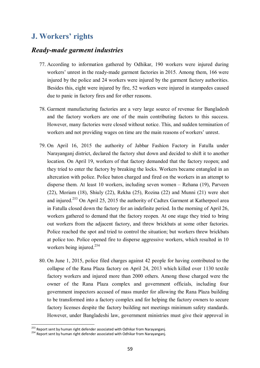# **J. Workers' rights**

#### *Ready-made garment industries*

- 77. According to information gathered by Odhikar, 190 workers were injured during workers' unrest in the ready-made garment factories in 2015. Among them, 166 were injured by the police and 24 workers were injured by the garment factory authorities. Besides this, eight were injured by fire, 52 workers were injured in stampedes caused due to panic in factory fires and for other reasons.
- 78. Garment manufacturing factories are a very large source of revenue for Bangladesh and the factory workers are one of the main contributing factors to this success. However, many factories were closed without notice. This, and sudden termination of workers and not providing wages on time are the main reasons of workers' unrest.
- 79. On April 16, 2015 the authority of Jabbar Fashion Factory in Fatulla under Narayanganj district, declared the factory shut down and decided to shift it to another location. On April 19, workers of that factory demanded that the factory reopen; and they tried to enter the factory by breaking the locks. Workers became entangled in an altercation with police. Police baton charged and fired on the workers in an attempt to disperse them. At least 10 workers, including seven women – Rehana (19), Parveen (22), Moriam (18), Shiuly (22), Rekha (25), Rozina (22) and Munni (21) were shot and injured.<sup>253</sup> On April 25, 2015 the authority of Cadtex Garment at Katherpool area in Fatulla closed down the factory for an indefinite period. In the morning of April 26, workers gathered to demand that the factory reopen. At one stage they tried to bring out workers from the adjacent factory, and threw brickbats at some other factories. Police reached the spot and tried to control the situation; but workers threw brickbats at police too. Police opened fire to disperse aggressive workers, which resulted in 10 workers being injured.<sup>254</sup>
- 80. On June 1, 2015, police filed charges against 42 people for having contributed to the collapse of the Rana Plaza factory on April 24, 2013 which killed over 1130 textile factory workers and injured more than 2000 others. Among those charged were the owner of the Rana Plaza complex and government officials, including four government inspectors accused of mass murder for allowing the Rana Plaza building to be transformed into a factory complex and for helping the factory owners to secure factory licenses despite the factory building not meetings minimum safety standards. However, under Bangladeshi law, government ministries must give their approval in

 $\overline{a}$ <sup>253</sup> Report sent by human right defender associated with Odhikar from Narayanganj.

<sup>254</sup> Report sent by human right defender associated with Odhikar from Narayanganj.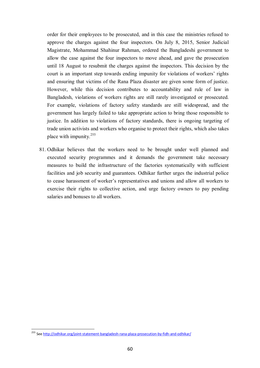order for their employees to be prosecuted, and in this case the ministries refused to approve the charges against the four inspectors. On July 8, 2015, Senior Judicial Magistrate, Mohammad Shahinur Rahman, ordered the Bangladeshi government to allow the case against the four inspectors to move ahead, and gave the prosecution until 18 August to resubmit the charges against the inspectors. This decision by the court is an important step towards ending impunity for violations of workers' rights and ensuring that victims of the Rana Plaza disaster are given some form of justice. However, while this decision contributes to accountability and rule of law in Bangladesh, violations of workers rights are still rarely investigated or prosecuted. For example, violations of factory safety standards are still widespread, and the government has largely failed to take appropriate action to bring those responsible to justice. In addition to violations of factory standards, there is ongoing targeting of trade union activists and workers who organise to protect their rights, which also takes place with impunity.<sup>255</sup>

81. Odhikar believes that the workers need to be brought under well planned and executed security programmes and it demands the government take necessary measures to build the infrastructure of the factories systematically with sufficient facilities and job security and guarantees. Odhikar further urges the industrial police to cease harassment of worker's representatives and unions and allow all workers to exercise their rights to collective action, and urge factory owners to pay pending salaries and bonuses to all workers.

<sup>&</sup>lt;sup>255</sup> See <u>http://odhikar.org/joint-statement-bangladesh-rana-plaza-prosecution-by-fidh-and-odhikar/</u>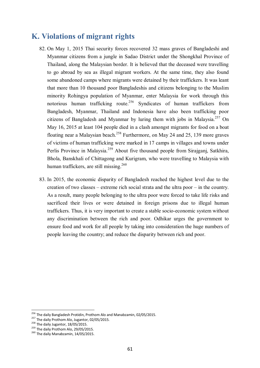# **K. Violations of migrant rights**

- 82. On May 1, 2015 Thai security forces recovered 32 mass graves of Bangladeshi and Myanmar citizens from a jungle in Sadao District under the Shongkhal Province of Thailand, along the Malaysian border. It is believed that the deceased were travelling to go abroad by sea as illegal migrant workers. At the same time, they also found some abandoned camps where migrants were detained by their traffickers. It was leant that more than 10 thousand poor Bangladeshis and citizens belonging to the Muslim minority Rohingya population of Myanmar, enter Malaysia for work through this notorious human trafficking route.<sup>256</sup> Syndicates of human traffickers from Bangladesh, Myanmar, Thailand and Indonesia have also been trafficking poor citizens of Bangladesh and Myanmar by luring them with jobs in Malaysia.<sup>257</sup> On May 16, 2015 at least 104 people died in a clash amongst migrants for food on a boat floating near a Malaysian beach.<sup>258</sup> Furthermore, on May 24 and 25, 139 more graves of victims of human trafficking were marked in 17 camps in villages and towns under Perlis Province in Malaysia.<sup>259</sup> About five thousand people from Sirajganj, Satkhira, Bhola, Banskhali of Chittagong and Kurigram, who were travelling to Malaysia with human traffickers, are still missing.<sup>260</sup>
- 83. In 2015, the economic disparity of Bangladesh reached the highest level due to the creation of two classes – extreme rich social strata and the ultra poor – in the country. As a result, many people belonging to the ultra poor were forced to take life risks and sacrificed their lives or were detained in foreign prisons due to illegal human traffickers. Thus, it is very important to create a stable socio-economic system without any discrimination between the rich and poor. Odhikar urges the government to ensure food and work for all people by taking into consideration the huge numbers of people leaving the country; and reduce the disparity between rich and poor.

<sup>&</sup>lt;sup>256</sup> The daily Bangladesh Protidin, Prothom Alo and Manabzamin, 02/05/2015.

<sup>257</sup> The daily Prothom Alo, Jugantor, 02/05/2015.

<sup>&</sup>lt;sup>258</sup> The daily Jugantor, 18/05/2015.

<sup>&</sup>lt;sup>259</sup> The daily Prothom Alo, 29/05/2015.

<sup>&</sup>lt;sup>260</sup> The daily Manabzamin, 14/05/2015.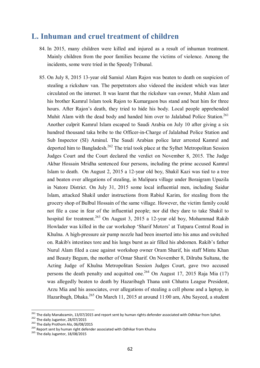## **L. Inhuman and cruel treatment of children**

- 84. In 2015, many children were killed and injured as a result of inhuman treatment. Mainly children from the poor families became the victims of violence. Among the incidents, some were tried in the Speedy Tribunal.
- 85. On July 8, 2015 13-year old Samiul Alam Rajon was beaten to death on suspicion of stealing a rickshaw van. The perpetrators also videoed the incident which was later circulated on the internet. It was learnt that the rickshaw van owner, Muhit Alam and his brother Kamrul Islam took Rajon to Kumargaon bus stand and beat him for three hours. After Rajon's death, they tried to hide his body. Local people apprehended Muhit Alam with the dead body and handed him over to Jalalabad Police Station.<sup>261</sup> Another culprit Kamrul Islam escaped to Saudi Arabia on July 10 after giving a six hundred thousand taka bribe to the Officer-in-Charge of Jalalabad Police Station and Sub Inspector (SI) Aminul. The Saudi Arabian police later arrested Kamrul and deported him to Bangladesh.<sup>262</sup> The trial took place at the Sylhet Metropolitan Session Judges Court and the Court declared the verdict on November 8, 2015. The Judge Akbar Hossain Mridha sentenced four persons, including the prime accused Kamrul Islam to death. On August 2, 2015 a 12-year old boy, Shakil Kazi was tied to a tree and beaten over allegations of stealing, in Malipara village under Boraigram Upazila in Natore District. On July 31, 2015 some local influential men, including Saidur Islam, attacked Shakil under instructions from Rabiul Karim, for stealing from the grocery shop of Bulbul Hossain of the same village. However, the victim family could not file a case in fear of the influential people; nor did they dare to take Shakil to hospital for treatment.<sup>263</sup> On August 3, 2015 a 12-year old boy, Mohammad Rakib Howlader was killed in the car workshop 'Sharif Motors' at Tutpara Central Road in Khulna. A high-pressure air pump nozzle had been inserted into his anus and switched on. Rakib's intestines tore and his lungs burst as air filled his abdomen. Rakib's father Nurul Alam filed a case against workshop owner Oram Sharif, his staff Mintu Khan and Beauty Begum, the mother of Omar Sharif. On November 8, Dilruba Sultana, the Acting Judge of Khulna Metropolitan Session Judges Court, gave two accused persons the death penalty and acquitted one.<sup>264</sup> On August 17, 2015 Raja Mia  $(17)$ was allegedly beaten to death by Hazaribagh Thana unit Chhatra League President, Arzu Mia and his associates, over allegations of stealing a cell phone and a laptop, in Hazaribagh, Dhaka.<sup>265</sup> On March 11, 2015 at around 11:00 am, Abu Sayeed, a student

<sup>261</sup> The daily Manabzamin, 13/07/2015 and report sent by human rights defender associated with Odhikar from Sylhet.

<sup>&</sup>lt;sup>262</sup> The daily Jugantor, 28/07/2015

<sup>&</sup>lt;sup>263</sup> The daily Prothom Alo, 06/08/2015

<sup>&</sup>lt;sup>264</sup> Report sent by human right defender associated with Odhikar from Khulna

<sup>&</sup>lt;sup>265</sup> The daily Jugantor, 18/08/2015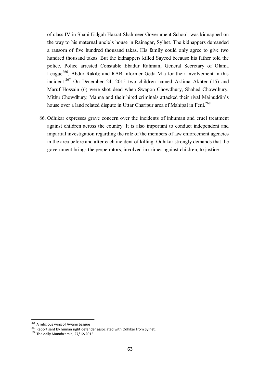of class IV in Shahi Eidgah Hazrat Shahmeer Government School, was kidnapped on the way to his maternal uncle's house in Rainagar, Sylhet. The kidnappers demanded a ransom of five hundred thousand takas. His family could only agree to give two hundred thousand takas. But the kidnappers killed Sayeed because his father told the police. Police arrested Constable Ebadur Rahman; General Secretary of Olama League<sup>266</sup>. Abdur Rakib; and RAB informer Geda Mia for their involvement in this incident.<sup>267</sup> On December 24, 2015 two children named Aklima Akhter (15) and Maruf Hossain (6) were shot dead when Swapon Chowdhury, Shahed Chowdhury, Mithu Chowdhury, Manna and their hired criminals attacked their rival Mainuddin's house over a land related dispute in Uttar Charipur area of Mahipal in Feni.<sup>268</sup>

86. Odhikar expresses grave concern over the incidents of inhuman and cruel treatment against children across the country. It is also important to conduct independent and impartial investigation regarding the role of the members of law enforcement agencies in the area before and after each incident of killing. Odhikar strongly demands that the government brings the perpetrators, involved in crimes against children, to justice.

<sup>&</sup>lt;sup>266</sup> A religious wing of Awami League

<sup>267</sup> Report sent by human right defender associated with Odhikar from Sylhet.

<sup>&</sup>lt;sup>268</sup> The daily Manabzamin, 27/12/2015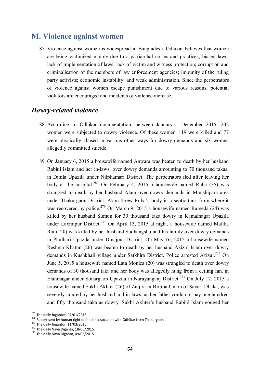## **M. Violence against women**

87. Violence against women is widespread in Bangladesh. Odhikar believes that women are being victimized mainly due to a patriarchal norms and practices; biased laws; lack of implementation of laws; lack of victim and witness protection; corruption and criminalisation of the members of law enforcement agencies; impunity of the ruling party activists; economic instability; and weak administration. Since the perpetrators of violence against women escape punishment due to various reasons, potential violators are encouraged and incidents of violence increase.

#### *Dowry-related violence*

- 88. According to Odhikar documentation, between January December 2015, 202 women were subjected to dowry violence. Of these women, 119 were killed and 77 were physically abused in various other ways for dowry demands and six women allegedly committed suicide.
- 89. On January 6, 2015 a housewife named Anwara was beaten to death by her husband Rabiul Islam and her in-laws, over dowry demands amounting to 70 thousand takas, in Dimla Upazila under Nilphamari District. The perpetrators fled after leaving her body at the hospital.<sup>269</sup> On February 4, 2015 a housewife named Ruba (35) was strangled to death by her husband Alam over dowry demands in Munshipara area under Thakurgaon District. Alam threw Ruba's body in a septic tank from where it was recovered by police.<sup>270</sup> On March 9, 2015 a housewife named Rameda (24) was killed by her husband Sumon for 30 thousand taka dowry in Kamalnagar Upazila under Laxmipur District.<sup>271</sup> On April 13, 2015 at night, a housewife named Malika Rani (20) was killed by her husband Sudhangshu and his family over dowry demands in Phulbari Upazila under Dinajpur District. On May 16, 2015 a housewife named Reshma Khatun (26) was beaten to death by her husband Azizul Islam over dowry demands in Kushkhali village under Satkhira District. Police arrested Azizul.<sup>272</sup> On June 5, 2015 a housewife named Lata Monica (20) was strangled to death over dowry demands of 30 thousand taka and her body was allegedly hung from a ceiling fan, in Elahinagar under Sonargaon Upazila in Narayanganj District. <sup>273</sup> On July 17, 2015 a housewife named Sukhi Akhter (26) of Zinjira in Birulia Union of Savar, Dhaka, was severely injured by her husband and in-laws, as her father could not pay one hundred and fifty thousand taka as dowry. Sukhi Akhter's husband Rabiul Islam gouged her

<sup>&</sup>lt;sup>269</sup> The daily Jugantor, 07/01/2015

<sup>270</sup> Report sent by human right defender associated with Odhikar from Thakurgaon

 $271$  The daily Jugantor, 11/03/2015

<sup>&</sup>lt;sup>272</sup> The daily Naya Diganta, 18/05/2015.

 $273$  The daily Naya Diganta, 09/06/2015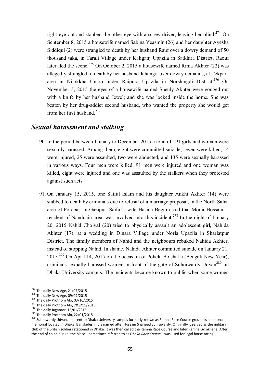right eye out and stabbed the other eye with a screw driver, leaving her blind.<sup>274</sup> On September 8, 2015 a housewife named Sabina Yeasmin (26) and her daughter Ayesha Siddiqui (2) were strangled to death by her husband Rauf over a dowry demand of 50 thousand taka, in Tarali Village under Kaliganj Upazila in Satkhira District. Raouf later fled the scene.<sup>275</sup> On October 2, 2015 a housewife named Rima Akhter (22) was allegedly strangled to death by her husband Jahangir over dowry demands, at Tekpara area in Nilokkha Union under Raipura Upazila in Norshingdi District.<sup>276</sup> On November 5, 2015 the eyes of a housewife named Sheuly Akhter were gouged out with a knife by her husband Jewel; and she was locked inside the home. She was beaten by her drug-addict second husband, who wanted the property she would get from her first husband. 277

#### *Sexual harassment and stalking*

- 90. In the period between January to December 2015 a total of 191 girls and women were sexually harassed. Among them, eight were committed suicide, seven were killed, 14 were injured, 25 were assaulted, two were abducted, and 135 were sexually harassed in various ways. Four men were killed, 91 men were injured and one woman was killed, eight were injured and one was assaulted by the stalkers when they protested against such acts.
- 91. On January 15, 2015, one Saiful Islam and his daughter Ankhi Akhter (14) were stabbed to death by criminals due to refusal of a marriage proposal, in the North Salna area of Porabari in Gazipur. Saiful's wife Hasina Begum said that Monir Hossain, a resident of Nanduain area, was involved into this incident.<sup>278</sup> In the night of January 20, 2015 Nahid Choiyal (20) tried to physically assault an adolescent girl, Nahida Akhter (17), at a wedding in Dinara Village under Noria Upazila in Shariatpur District. The family members of Nahid and the neighbours rebuked Nahida Akhter, instead of stopping Nahid. In shame, Nahida Akhter committed suicide on January 21, 2015.<sup>279</sup> On April 14, 2015 on the occasion of Pohela Boishakh (Bengali New Year), criminals sexually harassed women in front of the gate of Suhrawardy Udyan<sup>280</sup> on Dhaka University campus. The incidents became known to public when some women

 $^{274}$  The daily New Age, 21/07/2015

 $275$  The daily New Age, 09/09/2015

<sup>&</sup>lt;sup>276</sup> The daily Prothom Alo, 03/10/2015

<sup>&</sup>lt;sup>277</sup> The daily Prothom Alo, 7&8/11/2015

<sup>&</sup>lt;sup>278</sup> The daily Jugantor, 16/01/2015

<sup>&</sup>lt;sup>279</sup> The daily Prothom Alo, 22/01/2015

<sup>&</sup>lt;sup>280</sup> Suhrawardy Udyan, adjacent to Dhaka University campus formerly known as Ramna Race Course ground is a national memorial located in Dhaka, Bangladesh. It is named after Hussain Shaheed Suhrawardy. Originally it served as the military club of the British soldiers stationed in Dhaka. It was then called the Ramna Race Course and later Ramna Gymkhana. After the end of colonial rule, the place – sometimes referred to as *Dhaka Race Course* – was used for legal horse racing.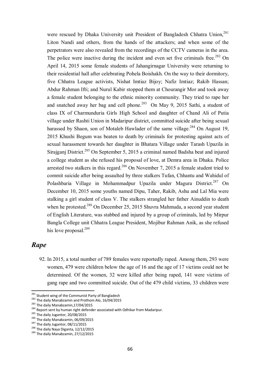were rescued by Dhaka University unit President of Bangladesh Chhatra Union,<sup>281</sup> Liton Nandi and others, from the hands of the attackers; and when some of the perpetrators were also revealed from the recordings of the CCTV cameras in the area. The police were inactive during the incident and even set five criminals free.<sup>282</sup> On April 14, 2015 some female students of Jahangirnagar University were returning to their residential hall after celebrating Pohela Boishakh. On the way to their dormitory, five Chhatra League activists, Nishat Imtiaz Bijoy; Nafiz Imtiaz; Rakib Hassan; Abdur Rahman Ifti; and Nurul Kabir stopped them at Chourangir Mor and took away a female student belonging to the ethnic minority community. They tried to rape her and snatched away her bag and cell phone.<sup>283</sup> On May 9, 2015 Sathi, a student of class IX of Charmunduria Girls High School and daughter of Chand Ali of Putia village under Rashti Union in Madaripur district, committed suicide after being sexual harassed by Shaon, son of Motaleb Hawlader of the same village.<sup>284</sup> On August 19, 2015 Khushi Begum was beaten to death by criminals for protesting against acts of sexual harassment towards her daughter in Bhatara Village under Tarash Upazila in Sirajganj District.<sup>285</sup> On September 5, 2015 a criminal named Badsha beat and injured a college student as she refused his proposal of love, at Demra area in Dhaka. Police arrested two stalkers in this regard.<sup>286</sup> On November 7, 2015 a female student tried to commit suicide after being assaulted by three stalkers Tufan, Chhantu and Wahidul of Polashbaria Village in Mohammadpur Upazila under Magura District.<sup>287</sup> On December 10, 2015 some youths named Dipu, Taher, Rakib, Ashu and Lal Mia were stalking a girl student of class V. The stalkers strangled her father Ainuddin to death when he protested.<sup>288</sup> On December 25, 2015 Shuvra Mahmuda, a second year student of English Literature, was stabbed and injured by a group of criminals, led by Mirpur Bangla College unit Chhatra League President, Mojibur Rahman Anik, as she refused his love proposal.<sup>289</sup>

## *Rape*

 $\overline{\phantom{a}}$ 

92. In 2015, a total number of 789 females were reportedly raped. Among them, 293 were women, 479 were children below the age of 16 and the age of 17 victims could not be determined. Of the women, 32 were killed after being raped, 141 were victims of gang rape and two committed suicide. Out of the 479 child victims, 33 children were

<sup>&</sup>lt;sup>281</sup> Student wing of the Communist Party of Bangladesh

<sup>&</sup>lt;sup>282</sup> The daily Manabzamin and Prothom Alo, 16/04/2015

 $283$  The daily Manabzamin, 17/04/2015

<sup>&</sup>lt;sup>284</sup> Report sent by human right defender associated with Odhikar from Madaripur.

<sup>285</sup> The daily Jugantor, 20/08/2015

<sup>286</sup> The daily Manabzamin, 06/09/2015

<sup>&</sup>lt;sup>287</sup> The daily Jugantor, 08/11/2015

<sup>&</sup>lt;sup>288</sup> The daily Naya Diganta, 12/12/2015

<sup>&</sup>lt;sup>289</sup> The daily Manabzamin, 27/12/2015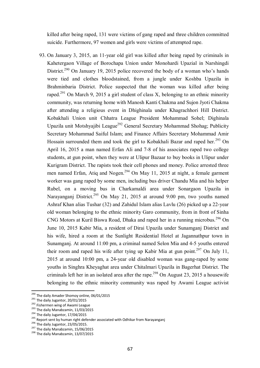killed after being raped, 131 were victims of gang raped and three children committed suicide. Furthermore, 97 women and girls were victims of attempted rape.

93. On January 3, 2015, an 11-year old girl was killed after being raped by criminals in Kahetergaon Village of Borochapa Union under Monohardi Upazial in Narshingdi District.<sup>290</sup> On January 19, 2015 police recovered the body of a woman who's hands were tied and clothes bloodstained, from a jungle under Koshba Upazila in Brahminbaria District. Police suspected that the woman was killed after being raped.<sup>291</sup> On March 9, 2015 a girl student of class X, belonging to an ethnic minority community, was returning home with Manosh Kanti Chakma and Sujon Jyoti Chakma after attending a religious event in Dhighinala under Khagrachhori Hill District. Kobakhali Union unit Chhatra League President Mohammad Sohel; Dighinala Upazila unit Motshyajibi League<sup>292</sup> General Secretary Mohammad Shohag; Publicity Secretary Mohammad Saiful Islam; and Finance Affairs Secretary Mohammad Amir Hossain surrounded them and took the girl to Kobakhali Bazar and raped her.<sup>293</sup> On April 16, 2015 a man named Erfan Ali and 7-8 of his associates raped two college students, at gun point, when they were at Ulipur Bazaar to buy books in Ulipur under Kurigram District. The rapists took their cell phones and money. Police arrested three men named Erfan, Atig and Nogen.<sup>294</sup> On May 11, 2015 at night, a female garment worker was gang raped by some men, including bus driver Chandu Mia and his helper Rubel, on a moving bus in Charkamaldi area under Sonargaon Upazila in Narayanganj District.<sup>295</sup> On May 21, 2015 at around 9:00 pm, two youths named Ashraf Khan alias Tushar (32) and Zahidul Islam alias Lavlu (26) picked up a 22-year old woman belonging to the ethnic minority Garo community, from in front of Sinha CNG Motors at Kuril Biswa Road, Dhaka and raped her in a running microbus.<sup>296</sup> On June 10, 2015 Kabir Mia, a resident of Dirai Upazila under Sunamganj District and his wife, hired a room at the Sunlight Residential Hotel at Jagannathpur town in Sunamganj. At around 11:00 pm, a criminal named Selon Mia and 4-5 youths entered their room and raped his wife after tying up Kabir Mia at gun point.<sup>297</sup> On July 11, 2015 at around 10:00 pm, a 24-year old disabled woman was gang-raped by some youths in Singhra Kheyaghat area under Chitalmari Upazila in Bagerhat District. The criminals left her in an isolated area after the rape.<sup>298</sup> On August 23, 2015 a housewife belonging to the ethnic minority community was raped by Awami League activist

<sup>&</sup>lt;sup>290</sup> The daily Amader Shomoy online, 06/01/2015

 $291$  The daily Jugantor, 20/01/2015

<sup>292</sup> Fishermen wing of Awami League

 $293$  The daily Manabzamin, 11/03/2015

<sup>294</sup> The daily Jugantor, 17/04/2015

<sup>295</sup> Report sent by human right defender associated with Odhikar from Narayanganj

<sup>296</sup> The daily Jugantor, 23/05/2015.

<sup>&</sup>lt;sup>297</sup> The daily Manabzamin, 15/06/2015

<sup>&</sup>lt;sup>298</sup> The daily Manabzamin, 13/07/2015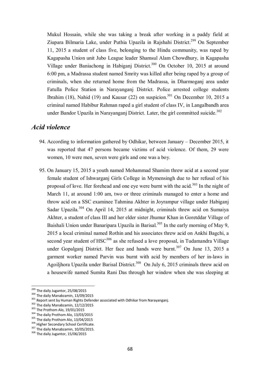Mukul Hossain, while she was taking a break after working in a paddy field at Ziupara Bilmaria Lake, under Puthia Upazila in Rajshahi District.<sup>299</sup> On September 11, 2015 a student of class five, belonging to the Hindu community, was raped by Kagapasha Union unit Jubo League leader Shamsul Alam Chowdhury, in Kagapasha Village under Baniachong in Habiganj District.<sup>300</sup> On October 10, 2015 at around 6:00 pm, a Madrassa student named Smrity was killed after being raped by a group of criminals, when she returned home from the Madrassa, in Dharmoganj area under Fatulla Police Station in Narayanganj District. Police arrested college students Ibrahim (18), Nahid (19) and Kausar (22) on suspicion.<sup>301</sup> On December 10, 2015 a criminal named Habibur Rahman raped a girl student of class IV, in Langalbandh area under Bandor Upazila in Narayanganj District. Later, the girl committed suicide.<sup>302</sup>

#### *Acid violence*

- 94. According to information gathered by Odhikar, between January December 2015, it was reported that 47 persons became victims of acid violence. Of them, 29 were women, 10 were men, seven were girls and one was a boy.
- 95. On January 15, 2015 a youth named Mohammad Shamim threw acid at a second year female student of Ishwarganj Girls College in Mymensingh due to her refusal of his proposal of love. Her forehead and one eye were burnt with the acid.<sup>303</sup> In the night of March 11, at around 1:00 am, two or three criminals managed to enter a home and throw acid on a SSC examinee Tahmina Akhter in Joyrampur village under Habiganj Sadar Upazila.<sup>304</sup> On April 14, 2015 at midnight, criminals threw acid on Sumaiya Akhter, a student of class III and her elder sister Jhumur Khan in Goretddar Village of Baishali Union under Banaripara Upazila in Barisal.<sup>305</sup> In the early morning of May 9, 2015 a local criminal named Rothin and his associates threw acid on Ankhi Bagchi, a second year student of  $HSC^{306}$  as she refused a love proposal, in Tudamandra Village under Gopalganj District. Her face and hands were burnt. <sup>307</sup> On June 13, 2015 a garment worker named Parvin was burnt with acid by members of her in-laws in Agoiljhora Upazila under Barisal District.<sup>308</sup> On July 6, 2015 criminals threw acid on a housewife named Sumita Rani Das through her window when she was sleeping at

<sup>&</sup>lt;sup>299</sup> The daily Jugantor, 25/08/2015

<sup>300</sup> The daily Manabzamin, 13/09/2015

<sup>&</sup>lt;sup>301</sup> Report sent by Human Rights Defender associated with Odhikar from Narayanganj.

<sup>&</sup>lt;sup>302</sup> The daily Manabzamin, 12/12/2015

<sup>303</sup> The Prothom Alo, 19/01/2015

<sup>&</sup>lt;sup>304</sup> The daily Prothom Alo, 13/03/2015

<sup>&</sup>lt;sup>305</sup> The daily Prothom Alo, 13/04/2015

<sup>306</sup> Higher Secondary School Certificate.

<sup>&</sup>lt;sup>307</sup> The daily Manabzamin, 10/05/2015.

<sup>&</sup>lt;sup>308</sup> The daily Jugantor, 15/06/2015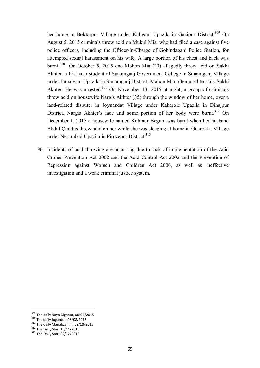her home in Boktarpur Village under Kaliganj Upazila in Gazipur District.<sup>309</sup> On August 5, 2015 criminals threw acid on Mukul Mia, who had filed a case against five police officers, including the Officer-in-Charge of Gobindaganj Police Station, for attempted sexual harassment on his wife. A large portion of his chest and back was burnt.<sup>310</sup> On October 5, 2015 one Mohon Mia (20) allegedly threw acid on Sukhi Akhter, a first year student of Sunamganj Government College in Sunamganj Village under Jamalganj Upazila in Sunamganj District. Mohon Mia often used to stalk Sukhi Akhter. He was arrested.<sup>311</sup> On November 13, 2015 at night, a group of criminals threw acid on housewife Nargis Akhter (35) through the window of her home, over a land-related dispute, in Joynandat Village under Kaharole Upazila in Dinajpur District. Nargis Akhter's face and some portion of her body were burnt.<sup>312</sup> On December 1, 2015 a housewife named Kohinur Begum was burnt when her husband Abdul Quddus threw acid on her while she was sleeping at home in Guarokha Village under Nesarabad Upazila in Pirozepur District.<sup>313</sup>

96. Incidents of acid throwing are occurring due to lack of implementation of the Acid Crimes Prevention Act 2002 and the Acid Control Act 2002 and the Prevention of Repression against Women and Children Act 2000, as well as ineffective investigation and a weak criminal justice system.

<sup>&</sup>lt;sup>309</sup> The daily Naya Diganta, 08/07/2015

<sup>310</sup> The daily Jugantor, 08/08/2015

<sup>&</sup>lt;sup>311</sup> The daily Manabzamin, 09/10/2015

<sup>312</sup> The Daily Star, 15/11/2015

<sup>313</sup> The Daily Star, 02/12/2015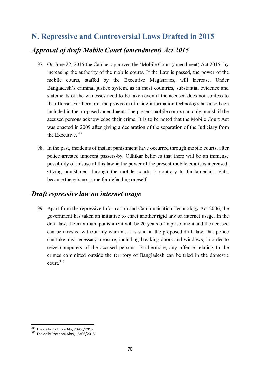# **N. Repressive and Controversial Laws Drafted in 2015** *Approval of draft Mobile Court (amendment) Act 2015*

- 97. On June 22, 2015 the Cabinet approved the 'Mobile Court (amendment) Act 2015' by increasing the authority of the mobile courts. If the Law is passed, the power of the mobile courts, staffed by the Executive Magistrates, will increase. Under Bangladesh's criminal justice system, as in most countries, substantial evidence and statements of the witnesses need to be taken even if the accused does not confess to the offense. Furthermore, the provision of using information technology has also been included in the proposed amendment. The present mobile courts can only punish if the accused persons acknowledge their crime. It is to be noted that the Mobile Court Act was enacted in 2009 after giving a declaration of the separation of the Judiciary from the Executive.<sup>314</sup>
- 98. In the past, incidents of instant punishment have occurred through mobile courts, after police arrested innocent passers-by. Odhikar believes that there will be an immense possibility of misuse of this law in the power of the present mobile courts is increased. Giving punishment through the mobile courts is contrary to fundamental rights, because there is no scope for defending oneself.

## *Draft repressive law on internet usage*

99. Apart from the repressive Information and Communication Technology Act 2006, the government has taken an initiative to enact another rigid law on internet usage. In the draft law, the maximum punishment will be 20 years of imprisonment and the accused can be arrested without any warrant. It is said in the proposed draft law, that police can take any necessary measure, including breaking doors and windows, in order to seize computers of the accused persons. Furthermore, any offense relating to the crimes committed outside the territory of Bangladesh can be tried in the domestic court $15$ 

 $314$  The daily Prothom Alo, 23/06/2015

<sup>315</sup> The daily Prothom Alo9, 15/06/2015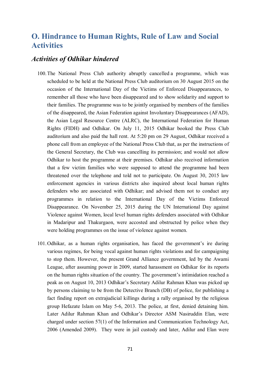# **O. Hindrance to Human Rights, Rule of Law and Social Activities**

#### *Activities of Odhikar hindered*

- 100.The National Press Club authority abruptly cancelled a programme, which was scheduled to be held at the National Press Club auditorium on 30 August 2015 on the occasion of the International Day of the Victims of Enforced Disappearances, to remember all those who have been disappeared and to show solidarity and support to their families. The programme was to be jointly organised by members of the families of the disappeared, the Asian Federation against Involuntary Disappearances (AFAD), the Asian Legal Resource Centre (ALRC), the International Federation for Human Rights (FIDH) and Odhikar. On July 11, 2015 Odhikar booked the Press Club auditorium and also paid the hall rent. At 5:20 pm on 29 August, Odhikar received a phone call from an employee of the National Press Club that, as per the instructions of the General Secretary, the Club was cancelling its permission; and would not allow Odhikar to host the programme at their premises. Odhikar also received information that a few victim families who were supposed to attend the programme had been threatened over the telephone and told not to participate. On August 30, 2015 law enforcement agencies in various districts also inquired about local human rights defenders who are associated with Odhikar; and advised them not to conduct any programmes in relation to the International Day of the Victims Enforced Disappearance. On November 25, 2015 during the UN International Day against Violence against Women, local level human rights defenders associated with Odhikar in Madaripur and Thakurgaon, were accosted and obstructed by police when they were holding programmes on the issue of violence against women.
- 101.Odhikar, as a human rights organisation, has faced the government's ire during various regimes, for being vocal against human rights violations and for campaigning to stop them. However, the present Grand Alliance government, led by the Awami League, after assuming power in 2009, started harassment on Odhikar for its reports on the human rights situation of the country. The government's intimidation reached a peak as on August 10, 2013 Odhikar's Secretary Adilur Rahman Khan was picked up by persons claiming to be from the Detective Branch (DB) of police, for publishing a fact finding report on extrajudicial killings during a rally organised by the religious group Hefazate Islam on May 5-6, 2013. The police, at first, denied detaining him. Later Adilur Rahman Khan and Odhikar's Director ASM Nasiruddin Elan, were charged under section 57(1) of the Information and Communication Technology Act, 2006 (Amended 2009). They were in jail custody and later, Adilur and Elan were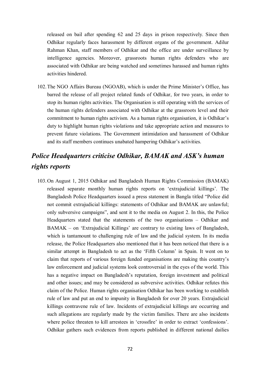released on bail after spending 62 and 25 days in prison respectively. Since then Odhikar regularly faces harassment by different organs of the government. Adilur Rahman Khan, staff members of Odhikar and the office are under surveillance by intelligence agencies. Moreover, grassroots human rights defenders who are associated with Odhikar are being watched and sometimes harassed and human rights activities hindered.

102.The NGO Affairs Bureau (NGOAB), which is under the Prime Minister's Office, has barred the release of all project related funds of Odhikar, for two years, in order to stop its human rights activities. The Organisation is still operating with the services of the human rights defenders associated with Odhikar at the grassroots level and their commitment to human rights activism. As a human rights organisation, it is Odhikar's duty to highlight human rights violations and take appropriate action and measures to prevent future violations. The Government intimidation and harassment of Odhikar and its staff members continues unabated hampering Odhikar's activities.

# *Police Headquarters criticise Odhikar, BAMAK and ASK's human rights reports*

103.On August 1, 2015 Odhikar and Bangladesh Human Rights Commission (BAMAK) released separate monthly human rights reports on 'extrajudicial killings'. The Bangladesh Police Headquarters issued a press statement in Bangla titled "Police did not commit extrajudicial killings: statements of Odhikar and BAMAK are unlawful; only subversive campaigns", and sent it to the media on August 2. In this, the Police Headquarters stated that the statements of the two organisations – Odhikar and BAMAK – on 'Extrajudicial Killings' are contrary to existing laws of Bangladesh, which is tantamount to challenging rule of law and the judicial system. In its media release, the Police Headquarters also mentioned that it has been noticed that there is a similar attempt in Bangladesh to act as the 'Fifth Column' in Spain. It went on to claim that reports of various foreign funded organisations are making this country's law enforcement and judicial systems look controversial in the eyes of the world. This has a negative impact on Bangladesh's reputation, foreign investment and political and other issues; and may be considered as subversive activities. Odhikar refutes this claim of the Police. Human rights organisation Odhikar has been working to establish rule of law and put an end to impunity in Bangladesh for over 20 years. Extrajudicial killings contravene rule of law. Incidents of extrajudicial killings are occurring and such allegations are regularly made by the victim families. There are also incidents where police threaten to kill arrestees in 'crossfire' in order to extract 'confessions'. Odhikar gathers such evidences from reports published in different national dailies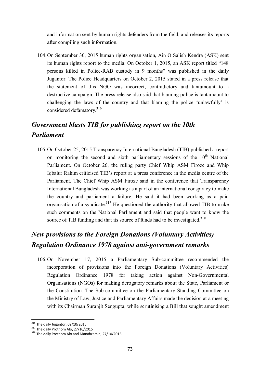and information sent by human rights defenders from the field; and releases its reports after compiling such information.

104.On September 30, 2015 human rights organisation, Ain O Salish Kendra (ASK) sent its human rights report to the media. On October 1, 2015, an ASK report titled "148 persons killed in Police-RAB custody in 9 months" was published in the daily Jugantor. The Police Headquarters on October 2, 2015 stated in a press release that the statement of this NGO was incorrect, contradictory and tantamount to a destructive campaign. The press release also said that blaming police is tantamount to challenging the laws of the country and that blaming the police 'unlawfully' is considered defamatory.<sup>316</sup>

# *Government blasts TIB for publishing report on the 10th Parliament*

105.On October 25, 2015 Transparency International Bangladesh (TIB) published a report on monitoring the second and sixth parliamentary sessions of the  $10<sup>th</sup>$  National Parliament. On October 26, the ruling party Chief Whip ASM Firoze and Whip Iqbalur Rahim criticised TIB's report at a press conference in the media centre of the Parliament. The Chief Whip ASM Firoze said in the conference that Transparency International Bangladesh was working as a part of an international conspiracy to make the country and parliament a failure. He said it had been working as a paid organisation of a syndicate.<sup>317</sup> He questioned the authority that allowed TIB to make such comments on the National Parliament and said that people want to know the source of TIB funding and that its source of funds had to be investigated.<sup>318</sup>

# *New provisions to the Foreign Donations (Voluntary Activities) Regulation Ordinance 1978 against anti-government remarks*

106.On November 17, 2015 a Parliamentary Sub-committee recommended the incorporation of provisions into the Foreign Donations (Voluntary Activities) Regulation Ordinance 1978 for taking action against Non-Governmental Organisations (NGOs) for making derogatory remarks about the State, Parliament or the Constitution. The Sub-committee on the Parliamentary Standing Committee on the Ministry of Law, Justice and Parliamentary Affairs made the decision at a meeting with its Chairman Suranjit Sengupta, while scrutinising a Bill that sought amendment

 $\overline{\phantom{a}}$ 

 $316$  The daily Jugantor, 02/10/2015

 $317$  The daily Prothom Alo, 27/10/2015

<sup>&</sup>lt;sup>318</sup> The daily Prothom Alo and Manabzamin, 27/10/2015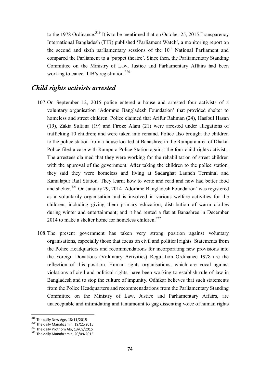to the 1978 Ordinance.<sup>319</sup> It is to be mentioned that on October 25, 2015 Transparency International Bangladesh (TIB) published 'Parliament Watch', a monitoring report on the second and sixth parliamentary sessions of the  $10<sup>th</sup>$  National Parliament and compared the Parliament to a 'puppet theatre'. Since then, the Parliamentary Standing Committee on the Ministry of Law, Justice and Parliamentary Affairs had been working to cancel TIB's registration.<sup>320</sup>

#### *Child rights activists arrested*

- 107.On September 12, 2015 police entered a house and arrested four activists of a voluntary organisation 'Adommo Bangladesh Foundation' that provided shelter to homeless and street children. Police claimed that Arifur Rahman (24), Hasibul Hasan (19), Zakia Sultana (19) and Firoze Alam (21) were arrested under allegations of trafficking 10 children; and were taken into remand. Police also brought the children to the police station from a house located at Banashree in the Rampura area of Dhaka. Police filed a case with Rampura Police Station against the four child rights activists. The arrestees claimed that they were working for the rehabilitation of street children with the approval of the government. After taking the children to the police station, they said they were homeless and living at Sadarghat Launch Terminal and Kamalapur Rail Station. They learnt how to write and read and now had better food and shelter.<sup>321</sup> On January 29, 2014 'Adommo Bangladesh Foundation' was registered as a voluntarily organisation and is involved in various welfare activities for the children, including giving them primary education, distribution of warm clothes during winter and entertainment; and it had rented a flat at Banashree in December 2014 to make a shelter home for homeless children.<sup>322</sup>
- 108.The present government has taken very strong position against voluntary organisations, especially those that focus on civil and political rights. Statements from the Police Headquarters and recommendations for incorporating new provisions into the Foreign Donations (Voluntary Activities) Regulation Ordinance 1978 are the reflection of this position. Human rights organisations, which are vocal against violations of civil and political rights, have been working to establish rule of law in Bangladesh and to stop the culture of impunity. Odhikar believes that such statements from the Police Headquarters and recommenadations from the Parliamentary Standing Committee on the Ministry of Law, Justice and Parliamentary Affairs, are unacceptable and intimidating and tantamount to gag dissenting voice of human rights

 $\overline{a}$ 

 $^{319}$  The daily New Age, 18/11/2015

<sup>&</sup>lt;sup>320</sup> The daily Manabzamin, 19/11/2015

<sup>&</sup>lt;sup>321</sup> The daily Prothom Alo, 13/09/2015

<sup>&</sup>lt;sup>322</sup> The daily Manabzamin, 20/09/2015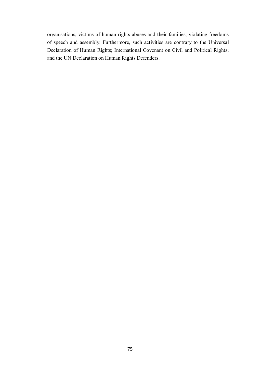organisations, victims of human rights abuses and their families, violating freedoms of speech and assembly. Furthermore, such activities are contrary to the Universal Declaration of Human Rights; International Covenant on Civil and Political Rights; and the UN Declaration on Human Rights Defenders.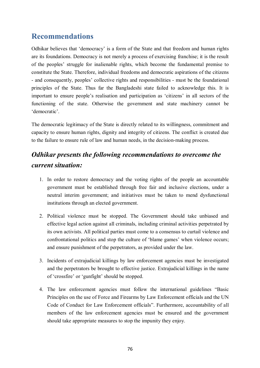### **Recommendations**

Odhikar believes that 'democracy' is a form of the State and that freedom and human rights are its foundations. Democracy is not merely a process of exercising franchise; it is the result of the peoples' struggle for inalienable rights, which become the fundamental premise to constitute the State. Therefore, individual freedoms and democratic aspirations of the citizens - and consequently, peoples' collective rights and responsibilities - must be the foundational principles of the State. Thus far the Bangladeshi state failed to acknowledge this. It is important to ensure people's realisation and participation as 'citizens' in all sectors of the functioning of the state. Otherwise the government and state machinery cannot be 'democratic'.

The democratic legitimacy of the State is directly related to its willingness, commitment and capacity to ensure human rights, dignity and integrity of citizens. The conflict is created due to the failure to ensure rule of law and human needs, in the decision-making process.

## *Odhikar presents the following recommendations to overcome the current situation:*

- 1. In order to restore democracy and the voting rights of the people an accountable government must be established through free fair and inclusive elections, under a neutral interim government; and initiatives must be taken to mend dysfunctional institutions through an elected government.
- 2. Political violence must be stopped. The Government should take unbiased and effective legal action against all criminals, including criminal activities perpetrated by its own activists. All political parties must come to a consensus to curtail violence and confrontational politics and stop the culture of 'blame games' when violence occurs; and ensure punishment of the perpetrators, as provided under the law.
- 3. Incidents of extrajudicial killings by law enforcement agencies must be investigated and the perpetrators be brought to effective justice. Extrajudicial killings in the name of 'crossfire' or 'gunfight' should be stopped.
- 4. The law enforcement agencies must follow the international guidelines "Basic Principles on the use of Force and Firearms by Law Enforcement officials and the UN Code of Conduct for Law Enforcement officials". Furthermore, accountability of all members of the law enforcement agencies must be ensured and the government should take appropriate measures to stop the impunity they enjoy.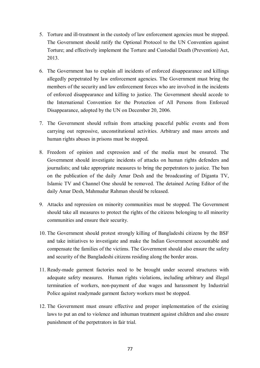- 5. Torture and ill-treatment in the custody of law enforcement agencies must be stopped. The Government should ratify the Optional Protocol to the UN Convention against Torture; and effectively implement the Torture and Custodial Death (Prevention) Act, 2013.
- 6. The Government has to explain all incidents of enforced disappearance and killings allegedly perpetrated by law enforcement agencies. The Government must bring the members of the security and law enforcement forces who are involved in the incidents of enforced disappearance and killing to justice. The Government should accede to the International Convention for the Protection of All Persons from Enforced Disappearance, adopted by the UN on December 20, 2006.
- 7. The Government should refrain from attacking peaceful public events and from carrying out repressive, unconstitutional activities. Arbitrary and mass arrests and human rights abuses in prisons must be stopped.
- 8. Freedom of opinion and expression and of the media must be ensured. The Government should investigate incidents of attacks on human rights defenders and journalists; and take appropriate measures to bring the perpetrators to justice. The ban on the publication of the daily Amar Desh and the broadcasting of Diganta TV, Islamic TV and Channel One should be removed. The detained Acting Editor of the daily Amar Desh, Mahmudur Rahman should be released.
- 9. Attacks and repression on minority communities must be stopped. The Government should take all measures to protect the rights of the citizens belonging to all minority communities and ensure their security.
- 10. The Government should protest strongly killing of Bangladeshi citizens by the BSF and take initiatives to investigate and make the Indian Government accountable and compensate the families of the victims. The Government should also ensure the safety and security of the Bangladeshi citizens residing along the border areas.
- 11. Ready-made garment factories need to be brought under secured structures with adequate safety measures. Human rights violations, including arbitrary and illegal termination of workers, non-payment of due wages and harassment by Industrial Police against readymade garment factory workers must be stopped.
- 12. The Government must ensure effective and proper implementation of the existing laws to put an end to violence and inhuman treatment against children and also ensure punishment of the perpetrators in fair trial.